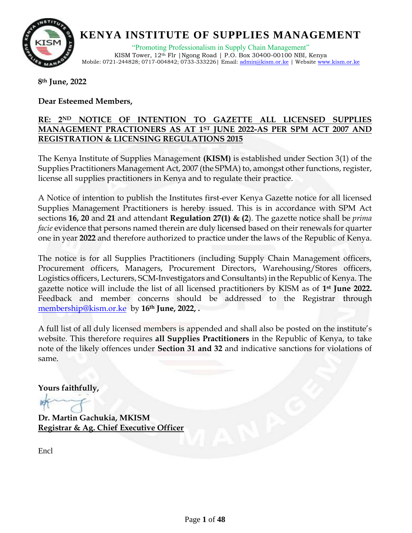

"Promoting Professionalism in Supply Chain Management" KISM Tower, 12th Flr |Ngong Road | P.O. Box 30400-00100 NBI, Kenya Mobile: 0721-244828; 0717-004842; 0733-333226 | Email[: admin@kism.or.ke](mailto:admin@kism.or.ke) | Website [www.kism.or.ke](http://www.kism.or.ke/)

**8th June, 2022**

#### **Dear Esteemed Members,**

#### **RE: 2ND NOTICE OF INTENTION TO GAZETTE ALL LICENSED SUPPLIES MANAGEMENT PRACTIONERS AS AT 1ST JUNE 2022-AS PER SPM ACT 2007 AND REGISTRATION & LICENSING REGULATIONS 2015**

The Kenya Institute of Supplies Management **(KISM)** is established under Section 3(1) of the Supplies Practitioners Management Act, 2007 (the SPMA) to, amongst other functions, register, license all supplies practitioners in Kenya and to regulate their practice.

A Notice of intention to publish the Institutes first-ever Kenya Gazette notice for all licensed Supplies Management Practitioners is hereby issued. This is in accordance with SPM Act sections **16, 20** and **21** and attendant **Regulation 27(1) & (2**). The gazette notice shall be *prima facie* evidence that persons named therein are duly licensed based on their renewals for quarter one in year **2022** and therefore authorized to practice under the laws of the Republic of Kenya.

The notice is for all Supplies Practitioners (including Supply Chain Management officers, Procurement officers, Managers, Procurement Directors, Warehousing/Stores officers, Logistics officers, Lecturers, SCM-Investigators and Consultants) in the Republic of Kenya. The gazette notice will include the list of all licensed practitioners by KISM as of **1st June 2022.**  Feedback and member concerns should be addressed to the Registrar through [membership@kism.or.ke](mailto:membership@kism.or.ke) by **16th June, 2022, .**

A full list of all duly licensed members is appended and shall also be posted on the institute's website. This therefore requires **all Supplies Practitioners** in the Republic of Kenya, to take note of the likely offences under **Section 31 and 32** and indicative sanctions for violations of same.

**Yours faithfully,**

**Dr. Martin Gachukia, MKISM Registrar & Ag. Chief Executive Officer**

Encl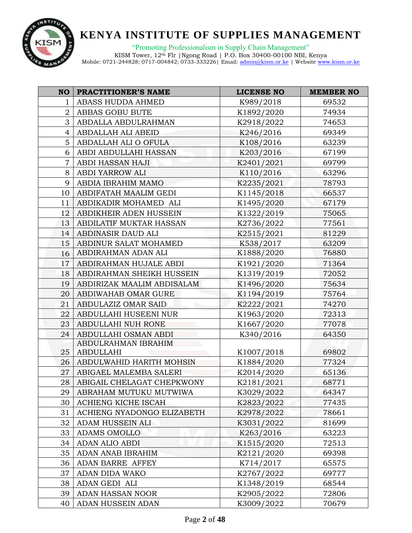

"Promoting Professionalism in Supply Chain Management"

| <b>NO</b>      | <b>PRACTITIONER'S NAME</b> | <b>LICENSE NO</b> | <b>MEMBER NO</b> |
|----------------|----------------------------|-------------------|------------------|
| $\mathbf{1}$   | ABASS HUDDA AHMED          | K989/2018         | 69532            |
| 2              | ABBAS GOBU BUTE            | K1892/2020        | 74934            |
| 3              | ABDALLA ABDULRAHMAN        | K2918/2022        | 74653            |
| 4              | ABDALLAH ALI ABEID         | K246/2016         | 69349            |
| 5 <sup>1</sup> | ABDALLAH ALI O OFULA       | K108/2016         | 63239            |
| 6              | ABDI ABDULLAHI HASSAN      | K203/2016         | 67199            |
| $\overline{7}$ | ABDI HASSAN HAJI           | K2401/2021        | 69799            |
| 8              | ABDI YARROW ALI            | K110/2016         | 63296            |
| 9              | ABDIA IBRAHIM MAMO         | K2235/2021        | 78793            |
| 10             | ABDIFATAH MAALIM GEDI      | K1145/2018        | 66537            |
| 11             | ABDIKADIR MOHAMED ALI      | K1495/2020        | 67179            |
| 12             | ABDIKHEIR ADEN HUSSEIN     | K1322/2019        | 75065            |
| 13             | ABDILATIF MUKTAR HASSAN    | K2736/2022        | 77561            |
| 14             | ABDINASIR DAUD ALI         | K2515/2021        | 81229            |
| 15             | ABDINUR SALAT MOHAMED      | K538/2017         | 63209            |
| 16             | ABDIRAHMAN ADAN ALI        | K1888/2020        | 76880            |
| 17             | ABDIRAHMAN HUJALE ABDI     | K1921/2020        | 71364            |
| 18             | ABDIRAHMAN SHEIKH HUSSEIN  | K1319/2019        | 72052            |
| 19             | ABDIRIZAK MAALIM ABDISALAM | K1496/2020        | 75634            |
| 20             | ABDIWAHAB OMAR GURE        | K1194/2019        | 75764            |
| 21             | ABDULAZIZ OMAR SAID        | K2222/2021        | 74270            |
| 22             | ABDULLAHI HUSEENI NUR      | K1963/2020        | 72313            |
| 23             | ABDULLAHI NUH RONE         | K1667/2020        | 77078            |
| 24             | ABDULLAHI OSMAN ABDI       | K340/2016         | 64350            |
|                | ABDULRAHMAN IBRAHIM        |                   |                  |
| 25             | <b>ABDULLAHI</b>           | K1007/2018        | 69802            |
| 26             | ABDULWAHID HARITH MOHSIN   | K1884/2020        | 77324            |
| 27             | ABIGAEL MALEMBA SALERI     | K2014/2020        | 65136            |
| 28             | ABIGAIL CHELAGAT CHEPKWONY | K2181/2021        | 68771            |
| 29             | ABRAHAM MUTUKU MUTWIWA     | K3029/2022        | 64347            |
| 30             | ACHIENG KICHE ISCAH        | K2823/2022        | 77435            |
| 31             | ACHIENG NYADONGO ELIZABETH | K2978/2022        | 78661            |
| 32             | ADAM HUSSEIN ALI           | K3031/2022        | 81699            |
| 33             | <b>ADAMS OMOLLO</b>        | K263/2016         | 63223            |
| 34             | ADAN ALIO ABDI             | K1515/2020        | 72513            |
| 35             | ADAN ANAB IBRAHIM          | K2121/2020        | 69398            |
| 36             | ADAN BARRE AFFEY           | K714/2017         | 65575            |
| 37             | ADAN DIDA WAKO             | K2767/2022        | 69777            |
| 38             | ADAN GEDI ALI              | K1348/2019        | 68544            |
| 39             | ADAN HASSAN NOOR           | K2905/2022        | 72806            |
| 40             | ADAN HUSSEIN ADAN          | K3009/2022        | 70679            |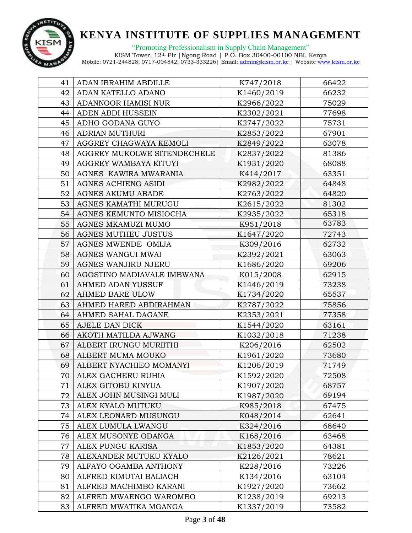

"Promoting Professionalism in Supply Chain Management"

| 41 | ADAN IBRAHIM ABDILLE        | K747/2018  | 66422 |
|----|-----------------------------|------------|-------|
| 42 | ADAN KATELLO ADANO          | K1460/2019 | 66232 |
| 43 | ADANNOOR HAMISI NUR         | K2966/2022 | 75029 |
| 44 | ADEN ABDI HUSSEIN           | K2302/2021 | 77698 |
| 45 | ADHO GODANA GUYO            | K2747/2022 | 75731 |
| 46 | ADRIAN MUTHURI              | K2853/2022 | 67901 |
| 47 | AGGREY CHAGWAYA KEMOLI      | K2849/2022 | 63078 |
| 48 | AGGREY MUKOLWE SITENDECHELE | K2837/2022 | 81386 |
| 49 | AGGREY WAMBAYA KITUYI       | K1931/2020 | 68088 |
| 50 | AGNES KAWIRA MWARANIA       | K414/2017  | 63351 |
| 51 | AGNES ACHIENG ASIDI         | K2982/2022 | 64848 |
| 52 | <b>AGNES AKUMU ABADE</b>    | K2763/2022 | 64820 |
| 53 | AGNES KAMATHI MURUGU        | K2615/2022 | 81302 |
| 54 | AGNES KEMUNTO MISIOCHA      | K2935/2022 | 65318 |
| 55 | AGNES MKAMUZI MUMO          | K951/2018  | 63783 |
| 56 | AGNES MUTHEU JUSTUS         | K1647/2020 | 72743 |
| 57 | AGNES MWENDE OMIJA          | K309/2016  | 62732 |
| 58 | AGNES WANGUI MWAI           | K2392/2021 | 63063 |
| 59 | AGNES WANJIRU NJERU         | K1686/2020 | 69206 |
| 60 | AGOSTINO MADIAVALE IMBWANA  | K015/2008  | 62915 |
| 61 | AHMED ADAN YUSSUF           | K1446/2019 | 73238 |
| 62 | AHMED BARE ULOW             | K1734/2020 | 65537 |
| 63 | AHMED HARED ABDIRAHMAN      | K2787/2022 | 75856 |
| 64 | AHMED SAHAL DAGANE          | K2353/2021 | 77358 |
| 65 | AJELE DAN DICK              | K1544/2020 | 63161 |
| 66 | AKOTH MATILDA AJWANG        | K1032/2018 | 71238 |
| 67 | ALBERT IRUNGU MURIITHI      | K206/2016  | 62502 |
| 68 | ALBERT MUMA MOUKO           | K1961/2020 | 73680 |
| 69 | ALBERT NYACHIEO MOMANYI     | K1206/2019 | 71749 |
| 70 | ALEX GACHERU RUHIA          | K1592/2020 | 72508 |
| 71 | ALEX GITOBU KINYUA          | K1907/2020 | 68757 |
| 72 | ALEX JOHN MUSINGI MULI      | K1987/2020 | 69194 |
| 73 | ALEX KYALO MUTUKU           | K985/2018  | 67475 |
| 74 | ALEX LEONARD MUSUNGU        | K048/2014  | 62641 |
| 75 | ALEX LUMULA LWANGU          | K324/2016  | 68640 |
| 76 | ALEX MUSONYE ODANGA         | K168/2016  | 63468 |
| 77 | ALEX PUNGU KARISA           | K1853/2020 | 64381 |
| 78 | ALEXANDER MUTUKU KYALO      | K2126/2021 | 78621 |
| 79 | ALFAYO OGAMBA ANTHONY       | K228/2016  | 73226 |
| 80 | ALFRED KIMUTAI BALIACH      | K134/2016  | 63104 |
| 81 | ALFRED MACHIMBO KARANI      | K1927/2020 | 73662 |
| 82 | ALFRED MWAENGO WAROMBO      | K1238/2019 | 69213 |
| 83 | ALFRED MWATIKA MGANGA       | K1337/2019 | 73582 |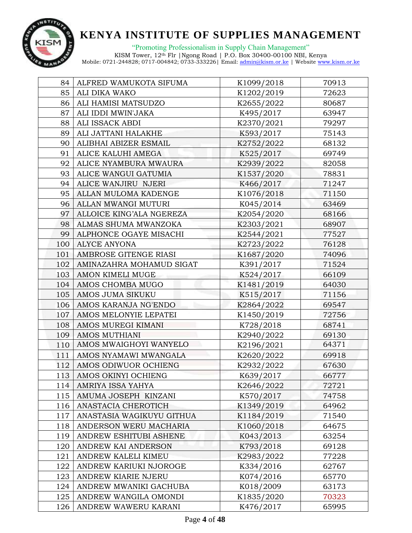

| 84  | ALFRED WAMUKOTA SIFUMA    | K1099/2018 | 70913 |
|-----|---------------------------|------------|-------|
| 85  | ALI DIKA WAKO             | K1202/2019 | 72623 |
| 86  | ALI HAMISI MATSUDZO       | K2655/2022 | 80687 |
| 87  | ALI IDDI MWIN'JAKA        | K495/2017  | 63947 |
| 88  | ALI ISSACK ABDI           | K2370/2021 | 79297 |
| 89  | ALI JATTANI HALAKHE       | K593/2017  | 75143 |
| 90  | ALIBHAI ABIZER ESMAIL     | K2752/2022 | 68132 |
| 91  | ALICE KALUHI AMEGA        | K525/2017  | 69749 |
| 92  | ALICE NYAMBURA MWAURA     | K2939/2022 | 82058 |
| 93  | ALICE WANGUI GATUMIA      | K1537/2020 | 78831 |
| 94  | ALICE WANJIRU NJERI       | K466/2017  | 71247 |
| 95  | ALLAN MULOMA KADENGE      | K1076/2018 | 71150 |
| 96  | ALLAN MWANGI MUTURI       | K045/2014  | 63469 |
| 97  | ALLOICE KING'ALA NGEREZA  | K2054/2020 | 68166 |
| 98  | ALMAS SHUMA MWANZOKA      | K2303/2021 | 68907 |
| 99  | ALPHONCE OGAYE MISACHI    | K2544/2021 | 77527 |
| 100 | <b>ALYCE ANYONA</b>       | K2723/2022 | 76128 |
| 101 | AMBROSE GITENGE RIASI     | K1687/2020 | 74096 |
| 102 | AMINAZAHRA MOHAMUD SIGAT  | K391/2017  | 71524 |
| 103 | AMON KIMELI MUGE          | K524/2017  | 66109 |
| 104 | AMOS CHOMBA MUGO          | K1481/2019 | 64030 |
| 105 | AMOS JUMA SIKUKU          | K515/2017  | 71156 |
| 106 | AMOS KARANJA NG'ENDO      | K2864/2022 | 69547 |
| 107 | AMOS MELONYIE LEPATEI     | K1450/2019 | 72756 |
| 108 | AMOS MUREGI KIMANI        | K728/2018  | 68741 |
| 109 | <b>AMOS MUTHIANI</b>      | K2940/2022 | 69130 |
| 110 | AMOS MWAIGHOYI WANYELO    | K2196/2021 | 64371 |
| 111 | AMOS NYAMAWI MWANGALA     | K2620/2022 | 69918 |
| 112 | AMOS ODIWUOR OCHIENG      | K2932/2022 | 67630 |
| 113 | AMOS OKINYI OCHIENG       | K639/2017  | 66777 |
| 114 | AMRIYA ISSA YAHYA         | K2646/2022 | 72721 |
| 115 | AMUMA JOSEPH KINZANI      | K570/2017  | 74758 |
| 116 | ANASTACIA CHEROTICH       | K1349/2019 | 64962 |
| 117 | ANASTASIA WAGIKUYU GITHUA | K1184/2019 | 71540 |
| 118 | ANDERSON WERU MACHARIA    | K1060/2018 | 64675 |
| 119 | ANDREW ESHITUBI ASHENE    | K043/2013  | 63254 |
| 120 | ANDREW KAI ANDERSON       | K793/2018  | 69128 |
| 121 | ANDREW KALELI KIMEU       | K2983/2022 | 77228 |
| 122 | ANDREW KARIUKI NJOROGE    | K334/2016  | 62767 |
| 123 | ANDREW KIARIE NJERU       | K074/2016  | 65770 |
| 124 | ANDREW MWANIKI GACHUBA    | K018/2009  | 63173 |
| 125 | ANDREW WANGILA OMONDI     | K1835/2020 | 70323 |
| 126 | ANDREW WAWERU KARANI      | K476/2017  | 65995 |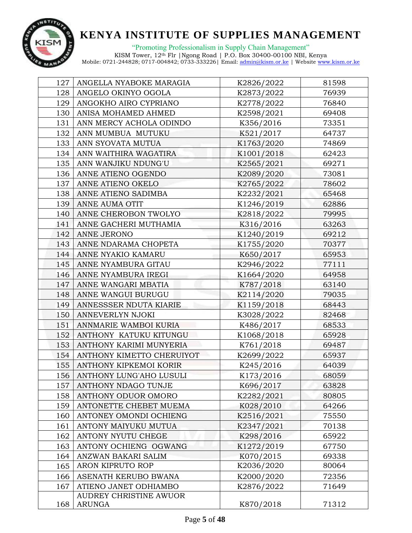

"Promoting Professionalism in Supply Chain Management" KISM Tower, 12th Flr |Ngong Road | P.O. Box 30400-00100 NBI, Kenya

| 127 | ANGELLA NYABOKE MARAGIA   | K2826/2022 | 81598 |
|-----|---------------------------|------------|-------|
| 128 | ANGELO OKINYO OGOLA       | K2873/2022 | 76939 |
| 129 | ANGOKHO AIRO CYPRIANO     | K2778/2022 | 76840 |
| 130 | ANISA MOHAMED AHMED       | K2598/2021 | 69408 |
| 131 | ANN MERCY ACHOLA ODINDO   | K356/2016  | 73351 |
| 132 | ANN MUMBUA MUTUKU         | K521/2017  | 64737 |
| 133 | ANN SYOVATA MUTUA         | K1763/2020 | 74869 |
| 134 | ANN WAITHIRA WAGATIRA     | K1001/2018 | 62423 |
| 135 | ANN WANJIKU NDUNG'U       | K2565/2021 | 69271 |
| 136 | ANNE ATIENO OGENDO        | K2089/2020 | 73081 |
| 137 | ANNE ATIENO OKELO         | K2765/2022 | 78602 |
| 138 | ANNE ATIENO SADIMBA       | K2232/2021 | 65468 |
| 139 | ANNE AUMA OTIT            | K1246/2019 | 62886 |
| 140 | ANNE CHEROBON TWOLYO      | K2818/2022 | 79995 |
| 141 | ANNE GACHERI MUTHAMIA     | K316/2016  | 63263 |
| 142 | ANNE JERONO               | K1240/2019 | 69212 |
| 143 | ANNE NDARAMA CHOPETA      | K1755/2020 | 70377 |
| 144 | ANNE NYAKIO KAMARU        | K650/2017  | 65953 |
| 145 | ANNE NYAMBURA GITAU       | K2946/2022 | 77111 |
| 146 | ANNE NYAMBURA IREGI       | K1664/2020 | 64958 |
| 147 | ANNE WANGARI MBATIA       | K787/2018  | 63140 |
| 148 | ANNE WANGUI BURUGU        | K2114/2020 | 79035 |
| 149 | ANNESSSER NDUTA KIARIE    | K1159/2018 | 68443 |
| 150 | ANNEVERLYN NJOKI          | K3028/2022 | 82468 |
| 151 | ANNMARIE WAMBOI KURIA     | K486/2017  | 68533 |
| 152 | ANTHONY KATUKU KITUNGU    | K1068/2018 | 65928 |
| 153 | ANTHONY KARIMI MUNYERIA   | K761/2018  | 69487 |
| 154 | ANTHONY KIMETTO CHERUIYOT | K2699/2022 | 65937 |
| 155 | ANTHONY KIPKEMOI KORIR    | K245/2016  | 64039 |
| 156 | ANTHONY LUNG'AHO LUSULI   | K173/2016  | 68059 |
| 157 | ANTHONY NDAGO TUNJE       | K696/2017  | 63828 |
| 158 | ANTHONY ODUOR OMORO       | K2282/2021 | 80805 |
| 159 | ANTONETTE CHEBET MUEMA    | K028/2010  | 64266 |
| 160 | ANTONEY OMONDI OCHIENG    | K2516/2021 | 75550 |
| 161 | ANTONY MAIYUKU MUTUA      | K2347/2021 | 70138 |
| 162 | ANTONY NYUTU CHEGE        | K298/2016  | 65922 |
| 163 | ANTONY OCHIENG OGWANG     | K1272/2019 | 67750 |
| 164 | ANZWAN BAKARI SALIM       | K070/2015  | 69338 |
| 165 | ARON KIPRUTO ROP          | K2036/2020 | 80064 |
| 166 | ASENATH KERUBO BWANA      | K2000/2020 | 72356 |
| 167 | ATIENO JANET ODHIAMBO     | K2876/2022 | 71649 |
|     | AUDREY CHRISTINE AWUOR    |            |       |
| 168 | ARUNGA                    | K870/2018  | 71312 |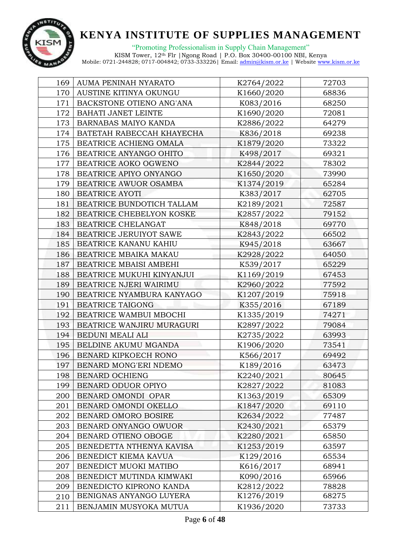

"Promoting Professionalism in Supply Chain Management" KISM Tower, 12th Flr |Ngong Road | P.O. Box 30400-00100 NBI, Kenya

| 169 | AUMA PENINAH NYARATO        | K2764/2022 | 72703 |
|-----|-----------------------------|------------|-------|
| 170 | AUSTINE KITINYA OKUNGU      | K1660/2020 | 68836 |
| 171 | BACKSTONE OTIENO ANG'ANA    | K083/2016  | 68250 |
| 172 | <b>BAHATI JANET LEINTE</b>  | K1690/2020 | 72081 |
| 173 | <b>BARNABAS MAIYO KANDA</b> | K2886/2022 | 64279 |
| 174 | BATETAH RABECCAH KHAYECHA   | K836/2018  | 69238 |
| 175 | BEATRICE ACHIENG OMALA      | K1879/2020 | 73322 |
| 176 | BEATRICE ANYANGO OHITO      | K498/2017  | 69321 |
| 177 | BEATRICE AOKO OGWENO        | K2844/2022 | 78302 |
| 178 | BEATRICE APIYO ONYANGO      | K1650/2020 | 73990 |
| 179 | BEATRICE AWUOR OSAMBA       | K1374/2019 | 65284 |
| 180 | <b>BEATRICE AYOTI</b>       | K383/2017  | 62705 |
| 181 | BEATRICE BUNDOTICH TALLAM   | K2189/2021 | 72587 |
| 182 | BEATRICE CHEBELYON KOSKE    | K2857/2022 | 79152 |
| 183 | BEATRICE CHELANGAT          | K848/2018  | 69770 |
| 184 | BEATRICE JERUIYOT SAWE      | K2843/2022 | 66502 |
| 185 | BEATRICE KANANU KAHIU       | K945/2018  | 63667 |
| 186 | BEATRICE MBAIKA MAKAU       | K2928/2022 | 64050 |
| 187 | BEATRICE MBAISI AMBEHI      | K539/2017  | 65229 |
| 188 | BEATRICE MUKUHI KINYANJUI   | K1169/2019 | 67453 |
| 189 | BEATRICE NJERI WAIRIMU      | K2960/2022 | 77592 |
| 190 | BEATRICE NYAMBURA KANYAGO   | K1207/2019 | 75918 |
| 191 | <b>BEATRICE TAIGONG</b>     | K355/2016  | 67189 |
| 192 | BEATRICE WAMBUI MBOCHI      | K1335/2019 | 74271 |
| 193 | BEATRICE WANJIRU MURAGURI   | K2897/2022 | 79084 |
| 194 | BEDUNI MEALI ALI            | K2735/2022 | 63993 |
| 195 | BELDINE AKUMU MGANDA        | K1906/2020 | 73541 |
| 196 | BENARD KIPKOECH RONO        | K566/2017  | 69492 |
| 197 | BENARD MONG'ERI NDEMO       | K189/2016  | 63473 |
| 198 | <b>BENARD OCHIENG</b>       | K2240/2021 | 80645 |
| 199 | BENARD ODUOR OPIYO          | K2827/2022 | 81083 |
| 200 | BENARD OMONDI OPAR          | K1363/2019 | 65309 |
| 201 | BENARD OMONDI OKELLO        | K1847/2020 | 69110 |
| 202 | BENARD OMORO BOSIRE         | K2634/2022 | 77487 |
| 203 | BENARD ONYANGO OWUOR        | K2430/2021 | 65379 |
| 204 | BENARD OTIENO OBOGE         | K2280/2021 | 65850 |
| 205 | BENEDETTA NTHENYA KAVISA    | K1253/2019 | 63597 |
| 206 | BENEDICT KIEMA KAVUA        | K129/2016  | 65534 |
| 207 | BENEDICT MUOKI MATIBO       | K616/2017  | 68941 |
| 208 | BENEDICT MUTINDA KIMWAKI    | K090/2016  | 65966 |
| 209 | BENEDICTO KIPRONO KANDA     | K2812/2022 | 78828 |
| 210 | BENIGNAS ANYANGO LUYERA     | K1276/2019 | 68275 |
| 211 | BENJAMIN MUSYOKA MUTUA      | K1936/2020 | 73733 |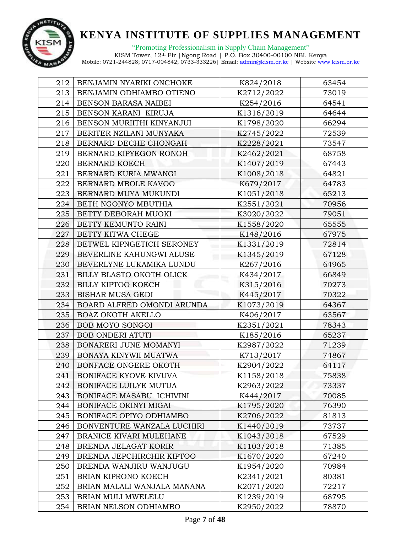

"Promoting Professionalism in Supply Chain Management" KISM Tower, 12th Flr |Ngong Road | P.O. Box 30400-00100 NBI, Kenya

| 212 | BENJAMIN NYARIKI ONCHOKE    | K824/2018  | 63454 |
|-----|-----------------------------|------------|-------|
| 213 | BENJAMIN ODHIAMBO OTIENO    | K2712/2022 | 73019 |
| 214 | BENSON BARASA NAIBEI        | K254/2016  | 64541 |
| 215 | BENSON KARANI KIRUJA        | K1316/2019 | 64644 |
| 216 | BENSON MURIITHI KINYANJUI   | K1798/2020 | 66294 |
| 217 | BERITER NZILANI MUNYAKA     | K2745/2022 | 72539 |
| 218 | BERNARD DECHE CHONGAH       | K2228/2021 | 73547 |
| 219 | BERNARD KIPYEGON RONOH      | K2462/2021 | 68758 |
| 220 | <b>BERNARD KOECH</b>        | K1407/2019 | 67443 |
| 221 | BERNARD KURIA MWANGI        | K1008/2018 | 64821 |
| 222 | BERNARD MBOLE KAVOO         | K679/2017  | 64783 |
| 223 | BERNARD MUYA MUKUNDI        | K1051/2018 | 65213 |
| 224 | BETH NGONYO MBUTHIA         | K2551/2021 | 70956 |
| 225 | BETTY DEBORAH MUOKI         | K3020/2022 | 79051 |
| 226 | BETTY KEMUNTO RAINI         | K1558/2020 | 65555 |
| 227 | BETTY KITWA CHEGE           | K148/2016  | 67975 |
| 228 | BETWEL KIPNGETICH SERONEY   | K1331/2019 | 72814 |
| 229 | BEVERLINE KAHUNGWI ALUSE    | K1345/2019 | 67128 |
| 230 | BEVERLYNE LUKAMIKA LUNDU    | K267/2016  | 64965 |
| 231 | BILLY BLASTO OKOTH OLICK    | K434/2017  | 66849 |
| 232 | <b>BILLY KIPTOO KOECH</b>   | K315/2016  | 70273 |
| 233 | BISHAR MUSA GEDI            | K445/2017  | 70322 |
| 234 | BOARD ALFRED OMONDI ARUNDA  | K1073/2019 | 64367 |
| 235 | <b>BOAZ OKOTH AKELLO</b>    | K406/2017  | 63567 |
| 236 | BOB MOYO SONGOI             | K2351/2021 | 78343 |
| 237 | <b>BOB ONDERI ATUTI</b>     | K185/2016  | 65237 |
| 238 | BONARERI JUNE MOMANYI       | K2987/2022 | 71239 |
| 239 | BONAYA KINYWII MUATWA       | K713/2017  | 74867 |
| 240 | BONFACE ONGERE OKOTH        | K2904/2022 | 64117 |
| 241 | BONIFACE KYOVE KIVUVA       | K1158/2018 | 75838 |
| 242 | BONIFACE LUILYE MUTUA       | K2963/2022 | 73337 |
| 243 | BONIFACE MASABU ICHIVINI    | K444/2017  | 70085 |
| 244 | BONIFACE OKINYI MIGAI       | K1795/2020 | 76390 |
| 245 | BONIFACE OPIYO ODHIAMBO     | K2706/2022 | 81813 |
| 246 | BONVENTURE WANZALA LUCHIRI  | K1440/2019 | 73737 |
| 247 | BRANICE KIVARI MULEHANE     | K1043/2018 | 67529 |
| 248 | BRENDA JELAGAT KORIR        | K1103/2018 | 71385 |
| 249 | BRENDA JEPCHIRCHIR KIPTOO   | K1670/2020 | 67240 |
| 250 | BRENDA WANJIRU WANJUGU      | K1954/2020 | 70984 |
| 251 | BRIAN KIPRONO KOECH         | K2341/2021 | 80381 |
| 252 | BRIAN MALALI WANJALA MANANA | K2071/2020 | 72217 |
| 253 | BRIAN MULI MWELELU          | K1239/2019 | 68795 |
| 254 | BRIAN NELSON ODHIAMBO       | K2950/2022 | 78870 |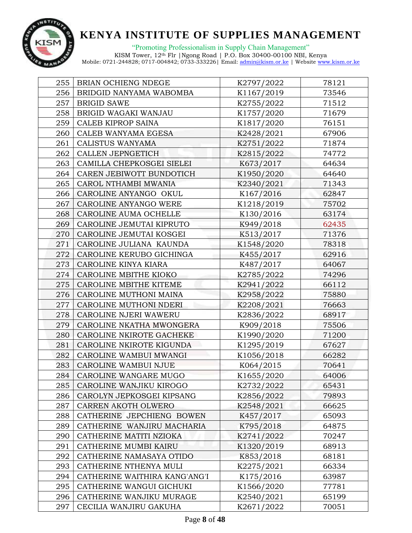

"Promoting Professionalism in Supply Chain Management" KISM Tower, 12th Flr |Ngong Road | P.O. Box 30400-00100 NBI, Kenya

| 255 | BRIAN OCHIENG NDEGE           | K2797/2022 | 78121 |
|-----|-------------------------------|------------|-------|
| 256 | BRIDGID NANYAMA WABOMBA       | K1167/2019 | 73546 |
| 257 | <b>BRIGID SAWE</b>            | K2755/2022 | 71512 |
| 258 | BRIGID WAGAKI WANJAU          | K1757/2020 | 71679 |
| 259 | CALEB KIPROP SAINA            | K1817/2020 | 76151 |
| 260 | CALEB WANYAMA EGESA           | K2428/2021 | 67906 |
| 261 | CALISTUS WANYAMA              | K2751/2022 | 71874 |
| 262 | CALLEN JEPNGETICH             | K2815/2022 | 74772 |
| 263 | CAMILLA CHEPKOSGEI SIELEI     | K673/2017  | 64634 |
| 264 | CAREN JEBIWOTT BUNDOTICH      | K1950/2020 | 64640 |
| 265 | CAROL NTHAMBI MWANIA          | K2340/2021 | 71343 |
| 266 | CAROLINE ANYANGO OKUL         | K167/2016  | 62847 |
| 267 | CAROLINE ANYANGO WERE         | K1218/2019 | 75702 |
| 268 | CAROLINE AUMA OCHELLE         | K130/2016  | 63174 |
| 269 | CAROLINE JEMUTAI KIPRUTO      | K949/2018  | 62435 |
| 270 | CAROLINE JEMUTAI KOSGEI       | K513/2017  | 71376 |
| 271 | CAROLINE JULIANA KAUNDA       | K1548/2020 | 78318 |
| 272 | CAROLINE KERUBO GICHINGA      | K455/2017  | 62916 |
| 273 | CAROLINE KINYA KIARA          | K487/2017  | 64067 |
| 274 | CAROLINE MBITHE KIOKO         | K2785/2022 | 74296 |
| 275 | CAROLINE MBITHE KITEME        | K2941/2022 | 66112 |
| 276 | CAROLINE MUTHONI MAINA        | K2958/2022 | 75880 |
| 277 | CAROLINE MUTHONI NDERI        | K2208/2021 | 76663 |
| 278 | CAROLINE NJERI WAWERU         | K2836/2022 | 68917 |
| 279 | CAROLINE NKATHA MWONGERA      | K909/2018  | 75506 |
| 280 | CAROLINE NKIROTE GACHEKE      | K1990/2020 | 71200 |
| 281 | CAROLINE NKIROTE KIGUNDA      | K1295/2019 | 67627 |
| 282 | CAROLINE WAMBUI MWANGI        | K1056/2018 | 66282 |
| 283 | CAROLINE WAMBUI NJUE          | K064/2015  | 70641 |
| 284 | CAROLINE WANGARE MUGO         | K1655/2020 | 64006 |
| 285 | CAROLINE WANJIKU KIROGO       | K2732/2022 | 65431 |
| 286 | CAROLYN JEPKOSGEI KIPSANG     | K2856/2022 | 79893 |
| 287 | CARREN AKOTH OLWERO           | K2548/2021 | 66625 |
| 288 | CATHERINE JEPCHIENG BOWEN     | K457/2017  | 65093 |
| 289 | CATHERINE WANJIRU MACHARIA    | K795/2018  | 64875 |
| 290 | CATHERINE MATITI NZIOKA       | K2741/2022 | 70247 |
| 291 | CATHERINE MUMBI KAIRU         | K1320/2019 | 68913 |
| 292 | CATHERINE NAMASAYA OTIDO      | K853/2018  | 68181 |
| 293 | CATHERINE NTHENYA MULI        | K2275/2021 | 66334 |
| 294 | CATHERINE WAITHIRA KANG'ANG'I | K175/2016  | 63987 |
| 295 | CATHERINE WANGUI GICHUKI      | K1566/2020 | 77781 |
| 296 | CATHERINE WANJIKU MURAGE      | K2540/2021 | 65199 |
| 297 | CECILIA WANJIRU GAKUHA        | K2671/2022 | 70051 |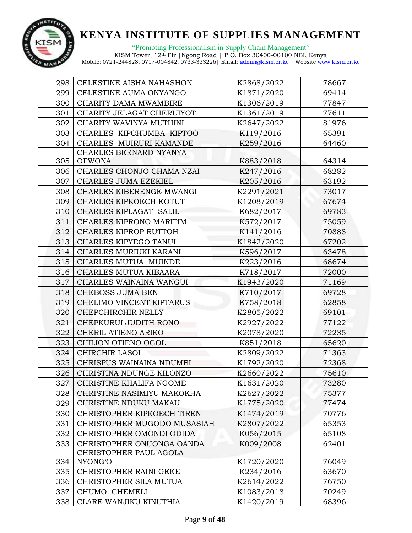

"Promoting Professionalism in Supply Chain Management" KISM Tower, 12th Flr |Ngong Road | P.O. Box 30400-00100 NBI, Kenya

| 298 | CELESTINE AISHA NAHASHON    | K2868/2022 | 78667 |
|-----|-----------------------------|------------|-------|
| 299 | CELESTINE AUMA ONYANGO      | K1871/2020 | 69414 |
| 300 | CHARITY DAMA MWAMBIRE       | K1306/2019 | 77847 |
| 301 | CHARITY JELAGAT CHERUIYOT   | K1361/2019 | 77611 |
| 302 | CHARITY WAVINYA MUTHINI     | K2647/2022 | 81976 |
| 303 | CHARLES KIPCHUMBA KIPTOO    | K119/2016  | 65391 |
| 304 | CHARLES MUIRURI KAMANDE     | K259/2016  | 64460 |
|     | CHARLES BERNARD NYANYA      |            |       |
| 305 | <b>OFWONA</b>               | K883/2018  | 64314 |
| 306 | CHARLES CHONJO CHAMA NZAI   | K247/2016  | 68282 |
| 307 | CHARLES JUMA EZEKIEL        | K205/2016  | 63192 |
| 308 | CHARLES KIBERENGE MWANGI    | K2291/2021 | 73017 |
| 309 | CHARLES KIPKOECH KOTUT      | K1208/2019 | 67674 |
| 310 | CHARLES KIPLAGAT SALIL      | K682/2017  | 69783 |
| 311 | CHARLES KIPRONO MARITIM     | K572/2017  | 75059 |
| 312 | CHARLES KIPROP RUTTOH       | K141/2016  | 70888 |
| 313 | CHARLES KIPYEGO TANUI       | K1842/2020 | 67202 |
| 314 | CHARLES MURIUKI KARANI      | K596/2017  | 63478 |
| 315 | CHARLES MUTUA MUINDE        | K223/2016  | 68674 |
| 316 | CHARLES MUTUA KIBAARA       | K718/2017  | 72000 |
| 317 | CHARLES WAINAINA WANGUI     | K1943/2020 | 71169 |
| 318 | CHEBOSS JUMA BEN            | K710/2017  | 69728 |
| 319 | CHELIMO VINCENT KIPTARUS    | K758/2018  | 62858 |
| 320 | CHEPCHIRCHIR NELLY          | K2805/2022 | 69101 |
| 321 | CHEPKURUI JUDITH RONO       | K2927/2022 | 77122 |
| 322 | CHERIL ATIENO ARIKO         | K2078/2020 | 72235 |
| 323 | CHILION OTIENO OGOL         | K851/2018  | 65620 |
| 324 | CHIRCHIR LASOI              | K2809/2022 | 71363 |
| 325 | CHRISPUS WAINAINA NDUMBI    | K1792/2020 | 72368 |
| 326 | CHRISTINA NDUNGE KILONZO    | K2660/2022 | 75610 |
| 327 | CHRISTINE KHALIFA NGOME     | K1631/2020 | 73280 |
| 328 | CHRISTINE NASIMIYU MAKOKHA  | K2627/2022 | 75377 |
| 329 | CHRISTINE NDUKU MAKAU       | K1775/2020 | 77474 |
| 330 | CHRISTOPHER KIPKOECH TIREN  | K1474/2019 | 70776 |
| 331 | CHRISTOPHER MUGODO MUSASIAH | K2807/2022 | 65353 |
| 332 | CHRISTOPHER OMONDI ODIDA    | K056/2015  | 65108 |
| 333 | CHRISTOPHER ONUONGA OANDA   | K009/2008  | 62401 |
|     | CHRISTOPHER PAUL AGOLA      |            |       |
| 334 | NYONG'O                     | K1720/2020 | 76049 |
| 335 | CHRISTOPHER RAINI GEKE      | K234/2016  | 63670 |
| 336 | CHRISTOPHER SILA MUTUA      | K2614/2022 | 76750 |
| 337 | CHUMO CHEMELI               | K1083/2018 | 70249 |
| 338 | CLARE WANJIKU KINUTHIA      | K1420/2019 | 68396 |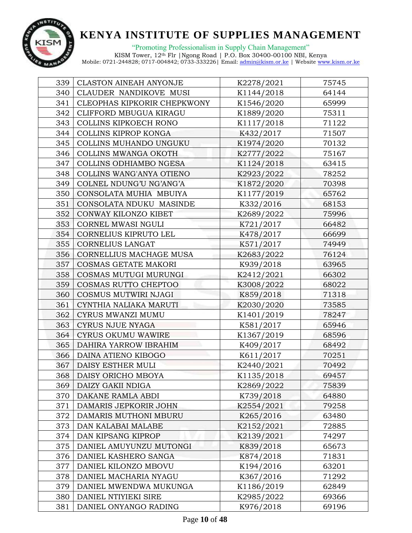

| 339 | <b>CLASTON AINEAH ANYONJE</b> | K2278/2021 | 75745 |
|-----|-------------------------------|------------|-------|
| 340 | CLAUDER NANDIKOVE MUSI        | K1144/2018 | 64144 |
| 341 | CLEOPHAS KIPKORIR CHEPKWONY   | K1546/2020 | 65999 |
| 342 | CLIFFORD MBUGUA KIRAGU        | K1889/2020 | 75311 |
| 343 | COLLINS KIPKOECH RONO         | K1117/2018 | 71122 |
| 344 | COLLINS KIPROP KONGA          | K432/2017  | 71507 |
| 345 | COLLINS MUHANDO UNGUKU        | K1974/2020 | 70132 |
| 346 | COLLINS MWANGA OKOTH          | K2777/2022 | 75167 |
| 347 | COLLINS ODHIAMBO NGESA        | K1124/2018 | 63415 |
| 348 | COLLINS WANG'ANYA OTIENO      | K2923/2022 | 78252 |
| 349 | COLNEL NDUNG'U NG'ANG'A       | K1872/2020 | 70398 |
| 350 | CONSOLATA MUHIA MBUIYA        | K1177/2019 | 65762 |
| 351 | CONSOLATA NDUKU MASINDE       | K332/2016  | 68153 |
| 352 | CONWAY KILONZO KIBET          | K2689/2022 | 75996 |
| 353 | CORNEL MWASI NGULI            | K721/2017  | 66482 |
| 354 | CORNELIUS KIPRUTO LEL         | K478/2017  | 66699 |
| 355 | CORNELIUS LANGAT              | K571/2017  | 74949 |
| 356 | CORNELLIUS MACHAGE MUSA       | K2683/2022 | 76124 |
| 357 | COSMAS GETATE MAKORI          | K939/2018  | 63965 |
| 358 | COSMAS MUTUGI MURUNGI         | K2412/2021 | 66302 |
| 359 | COSMAS RUTTO CHEPTOO          | K3008/2022 | 68022 |
| 360 | COSMUS MUTWIRI NJAGI          | K859/2018  | 71318 |
| 361 | CYNTHIA NALIAKA MARUTI        | K2030/2020 | 73585 |
| 362 | CYRUS MWANZI MUMU             | K1401/2019 | 78247 |
| 363 | <b>CYRUS NJUE NYAGA</b>       | K581/2017  | 65946 |
| 364 | CYRUS OKUMU WAWIRE            | K1367/2019 | 68596 |
| 365 | DAHIRA YARROW IBRAHIM         | K409/2017  | 68492 |
| 366 | DAINA ATIENO KIBOGO           | K611/2017  | 70251 |
| 367 | DAISY ESTHER MULI             | K2440/2021 | 70492 |
| 368 | DAISY ORICHO MBOYA            | K1135/2018 | 69457 |
| 369 | DAIZY GAKII NDIGA             | K2869/2022 | 75839 |
| 370 | DAKANE RAMLA ABDI             | K739/2018  | 64880 |
| 371 | DAMARIS JEPKORIR JOHN         | K2554/2021 | 79258 |
| 372 | DAMARIS MUTHONI MBURU         | K265/2016  | 63480 |
| 373 | DAN KALABAI MALABE            | K2152/2021 | 72885 |
| 374 | DAN KIPSANG KIPROP            | K2139/2021 | 74297 |
| 375 | DANIEL AMUYUNZU MUTONGI       | K839/2018  | 65673 |
| 376 | DANIEL KASHERO SANGA          | K874/2018  | 71831 |
| 377 | DANIEL KILONZO MBOVU          | K194/2016  | 63201 |
| 378 | DANIEL MACHARIA NYAGU         | K367/2016  | 71292 |
| 379 | DANIEL MWENDWA MUKUNGA        | K1186/2019 | 62849 |
| 380 | DANIEL NTIYIEKI SIRE          | K2985/2022 | 69366 |
| 381 | DANIEL ONYANGO RADING         | K976/2018  | 69196 |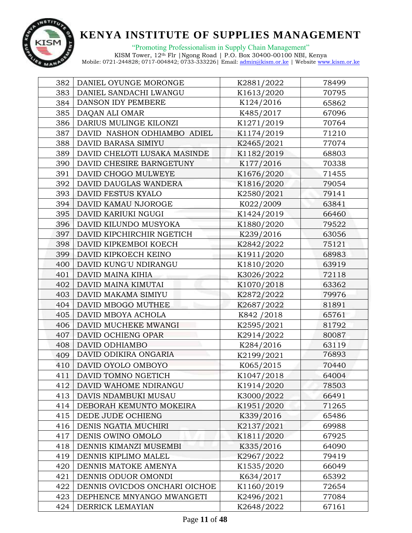

| 382 | DANIEL OYUNGE MORONGE         | K2881/2022  | 78499 |
|-----|-------------------------------|-------------|-------|
| 383 | DANIEL SANDACHI LWANGU        | K1613/2020  | 70795 |
| 384 | DANSON IDY PEMBERE            | K124/2016   | 65862 |
| 385 | DAQAN ALI OMAR                | K485/2017   | 67096 |
| 386 | DARIUS MULINGE KILONZI        | K1271/2019  | 70764 |
| 387 | DAVID NASHON ODHIAMBO ADIEL   | K1174/2019  | 71210 |
| 388 | DAVID BARASA SIMIYU           | K2465/2021  | 77074 |
| 389 | DAVID CHELOTI LUSAKA MASINDE  | K1182/2019  | 68803 |
| 390 | DAVID CHESIRE BARNGETUNY      | K177/2016   | 70338 |
| 391 | DAVID CHOGO MULWEYE           | K1676/2020  | 71455 |
| 392 | DAVID DAUGLAS WANDERA         | K1816/2020  | 79054 |
| 393 | DAVID FESTUS KYALO            | K2580/2021  | 79141 |
| 394 | DAVID KAMAU NJOROGE           | K022/2009   | 63841 |
| 395 | DAVID KARIUKI NGUGI           | K1424/2019  | 66460 |
| 396 | DAVID KILUNDO MUSYOKA         | K1880/2020  | 79522 |
| 397 | DAVID KIPCHIRCHIR NGETICH     | K239/2016   | 63056 |
| 398 | DAVID KIPKEMBOI KOECH         | K2842/2022  | 75121 |
| 399 | DAVID KIPKOECH KEINO          | K1911/2020  | 68983 |
| 400 | DAVID KUNG'U NDIRANGU         | K1810/2020  | 63919 |
| 401 | DAVID MAINA KIHIA             | K3026/2022  | 72118 |
| 402 | DAVID MAINA KIMUTAI           | K1070/2018  | 63362 |
| 403 | DAVID MAKAMA SIMIYU           | K2872/2022  | 79976 |
| 404 | DAVID MBOGO MUTHEE            | K2687/2022  | 81891 |
| 405 | DAVID MBOYA ACHOLA            | K842 / 2018 | 65761 |
| 406 | DAVID MUCHEKE MWANGI          | K2595/2021  | 81792 |
| 407 | DAVID OCHIENG OPAR            | K2914/2022  | 80087 |
| 408 | DAVID ODHIAMBO                | K284/2016   | 63119 |
| 409 | DAVID ODIKIRA ONGARIA         | K2199/2021  | 76893 |
| 410 | DAVID OYOLO OMBOYO            | K065/2015   | 70440 |
| 411 | DAVID TOMNO NGETICH           | K1047/2018  | 64004 |
| 412 | DAVID WAHOME NDIRANGU         | K1914/2020  | 78503 |
| 413 | DAVIS NDAMBUKI MUSAU          | K3000/2022  | 66491 |
| 414 | DEBORAH KEMUNTO MOKEIRA       | K1951/2020  | 71265 |
| 415 | DEDE JUDE OCHIENG             | K339/2016   | 65486 |
| 416 | DENIS NGATIA MUCHIRI          | K2137/2021  | 69988 |
| 417 | DENIS OWINO OMOLO             | K1811/2020  | 67925 |
| 418 | DENNIS KIMANZI MUSEMBI        | K335/2016   | 64090 |
| 419 | DENNIS KIPLIMO MALEL          | K2967/2022  | 79419 |
| 420 | DENNIS MATOKE AMENYA          | K1535/2020  | 66049 |
| 421 | DENNIS ODUOR OMONDI           | K634/2017   | 65392 |
| 422 | DENNIS OVICDOS ONCHARI OICHOE | K1160/2019  | 72654 |
| 423 | DEPHENCE MNYANGO MWANGETI     | K2496/2021  | 77084 |
| 424 | DERRICK LEMAYIAN              | K2648/2022  | 67161 |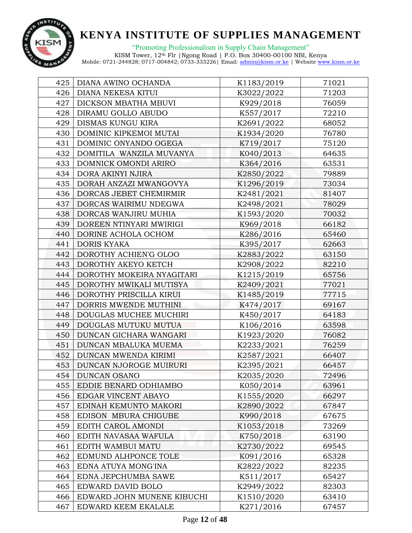

| 425 | DIANA AWINO OCHANDA        | K1183/2019 | 71021 |
|-----|----------------------------|------------|-------|
| 426 | DIANA NEKESA KITUI         | K3022/2022 | 71203 |
| 427 | DICKSON MBATHA MBUVI       | K929/2018  | 76059 |
| 428 | DIRAMU GOLLO ABUDO         | K557/2017  | 72210 |
| 429 | DISMAS KUNGU KIRA          | K2691/2022 | 68052 |
| 430 | DOMINIC KIPKEMOI MUTAI     | K1934/2020 | 76780 |
| 431 | DOMINIC ONYANDO OGEGA      | K719/2017  | 75120 |
| 432 | DOMITILA WANZILA MUVANYA   | K040/2013  | 64635 |
| 433 | DOMNICK OMONDI ARIRO       | K364/2016  | 63531 |
| 434 | DORA AKINYI NJIRA          | K2850/2022 | 79889 |
| 435 | DORAH ANZAZI MWANGOVYA     | K1296/2019 | 73034 |
| 436 | DORCAS JEBET CHEMIRMIR     | K2481/2021 | 81407 |
| 437 | DORCAS WAIRIMU NDEGWA      | K2498/2021 | 78029 |
| 438 | DORCAS WANJIRU MUHIA       | K1593/2020 | 70032 |
| 439 | DOREEN NTINYARI MWIRIGI    | K969/2018  | 66182 |
| 440 | DORINE ACHOLA OCHOM        | K286/2016  | 65460 |
| 441 | <b>DORIS KYAKA</b>         | K395/2017  | 62663 |
| 442 | DOROTHY ACHIEN'G OLOO      | K2883/2022 | 63150 |
| 443 | DOROTHY AKEYO KETCH        | K2908/2022 | 82210 |
| 444 | DOROTHY MOKEIRA NYAGITARI  | K1215/2019 | 65756 |
| 445 | DOROTHY MWIKALI MUTISYA    | K2409/2021 | 77021 |
| 446 | DOROTHY PRISCILLA KIRUI    | K1485/2019 | 77715 |
| 447 | DORRIS MWENDE MUTHINI      | K474/2017  | 69167 |
| 448 | DOUGLAS MUCHEE MUCHIRI     | K450/2017  | 64183 |
| 449 | DOUGLAS MUTUKU MUTUA       | K106/2016  | 63598 |
| 450 | DUNCAN GICHARA WANGARI     | K1923/2020 | 76082 |
| 451 | DUNCAN MBALUKA MUEMA       | K2233/2021 | 76259 |
| 452 | DUNCAN MWENDA KIRIMI       | K2587/2021 | 66407 |
| 453 | DUNCAN NJOROGE MUIRURI     | K2395/2021 | 66457 |
| 454 | <b>DUNCAN OSANO</b>        | K2035/2020 | 72496 |
| 455 | EDDIE BENARD ODHIAMBO      | K050/2014  | 63961 |
| 456 | EDGAR VINCENT ABAYO        | K1555/2020 | 66297 |
| 457 | EDINAH KEMUNTO MAKORI      | K2890/2022 | 67847 |
| 458 | EDISON MBURA CHIGUBE       | K990/2018  | 67675 |
| 459 | EDITH CAROL AMONDI         | K1053/2018 | 73269 |
| 460 | EDITH NAVASAA WAFULA       | K750/2018  | 63190 |
| 461 | EDITH WAMBUI MATU          | K2730/2022 | 69545 |
| 462 | EDMUND ALHPONCE TOLE       | K091/2016  | 65328 |
| 463 | EDNA ATUYA MONG'INA        | K2822/2022 | 82235 |
| 464 | EDNA JEPCHUMBA SAWE        | K511/2017  | 65427 |
| 465 | EDWARD DAVID BOLO          | K2949/2022 | 82303 |
| 466 | EDWARD JOHN MUNENE KIBUCHI | K1510/2020 | 63410 |
| 467 | EDWARD KEEM EKALALE        | K271/2016  | 67457 |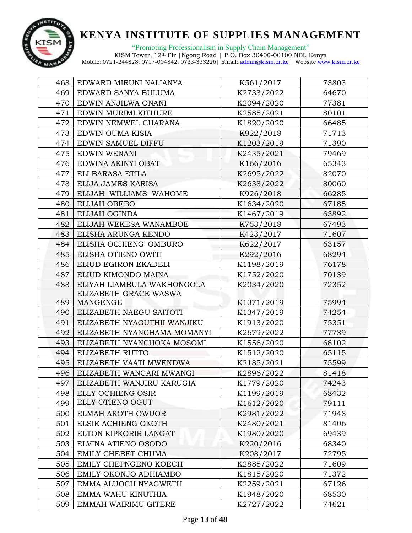

"Promoting Professionalism in Supply Chain Management"

| 468 | EDWARD MIRUNI NALIANYA      | K561/2017  | 73803 |
|-----|-----------------------------|------------|-------|
| 469 | EDWARD SANYA BULUMA         | K2733/2022 | 64670 |
| 470 | EDWIN ANJILWA ONANI         | K2094/2020 | 77381 |
| 471 | EDWIN MURIMI KITHURE        | K2585/2021 | 80101 |
| 472 | EDWIN NEMWEL CHARANA        | K1820/2020 | 66485 |
| 473 | EDWIN OUMA KISIA            | K922/2018  | 71713 |
| 474 | EDWIN SAMUEL DIFFU          | K1203/2019 | 71390 |
| 475 | EDWIN WENANI                | K2435/2021 | 79469 |
| 476 | EDWINA AKINYI OBAT          | K166/2016  | 65343 |
| 477 | ELI BARASA ETILA            | K2695/2022 | 82070 |
| 478 | ELIJA JAMES KARISA          | K2638/2022 | 80060 |
| 479 | ELIJAH WILLIAMS WAHOME      | K926/2018  | 66285 |
| 480 | <b>ELIJAH OBEBO</b>         | K1634/2020 | 67185 |
| 481 | ELIJAH OGINDA               | K1467/2019 | 63892 |
| 482 | ELIJAH WEKESA WANAMBOE      | K753/2018  | 67493 |
| 483 | ELISHA ARUNGA KENDO         | K423/2017  | 71607 |
| 484 | ELISHA OCHIENG' OMBURO      | K622/2017  | 63157 |
| 485 | ELISHA OTIENO OWITI         | K292/2016  | 68294 |
| 486 | ELIUD EGIRON EKADELI        | K1198/2019 | 76178 |
| 487 | ELIUD KIMONDO MAINA         | K1752/2020 | 70139 |
| 488 | ELIYAH LIAMBULA WAKHONGOLA  | K2034/2020 | 72352 |
|     | ELIZABETH GRACE WASWA       |            |       |
| 489 | MANGENGE                    | K1371/2019 | 75994 |
| 490 | ELIZABETH NAEGU SAITOTI     | K1347/2019 | 74254 |
| 491 | ELIZABETH NYAGUTHII WANJIKU | K1913/2020 | 75351 |
| 492 | ELIZABETH NYANCHAMA MOMANYI | K2679/2022 | 77739 |
| 493 | ELIZABETH NYANCHOKA MOSOMI  | K1556/2020 | 68102 |
| 494 | ELIZABETH RUTTO             | K1512/2020 | 65115 |
| 495 | ELIZABETH VAATI MWENDWA     | K2185/2021 | 75599 |
| 496 | ELIZABETH WANGARI MWANGI    | K2896/2022 | 81418 |
| 497 | ELIZABETH WANJIRU KARUGIA   | K1779/2020 | 74243 |
| 498 | ELLY OCHIENG OSIR           | K1199/2019 | 68432 |
| 499 | ELLY OTIENO OGUT            | K1612/2020 | 79111 |
| 500 | ELMAH AKOTH OWUOR           | K2981/2022 | 71948 |
| 501 | ELSIE ACHIENG OKOTH         | K2480/2021 | 81406 |
| 502 | ELTON KIPKORIR LANGAT       | K1980/2020 | 69439 |
| 503 | ELVINA ATIENO OSODO         | K220/2016  | 68340 |
| 504 | EMILY CHEBET CHUMA          | K208/2017  | 72795 |
| 505 | EMILY CHEPNGENO KOECH       | K2885/2022 | 71609 |
| 506 | EMILY OKONJO ADHIAMBO       | K1815/2020 | 71372 |
| 507 | EMMA ALUOCH NYAGWETH        | K2259/2021 | 67126 |
| 508 | EMMA WAHU KINUTHIA          | K1948/2020 | 68530 |
| 509 | EMMAH WAIRIMU GITERE        | K2727/2022 | 74621 |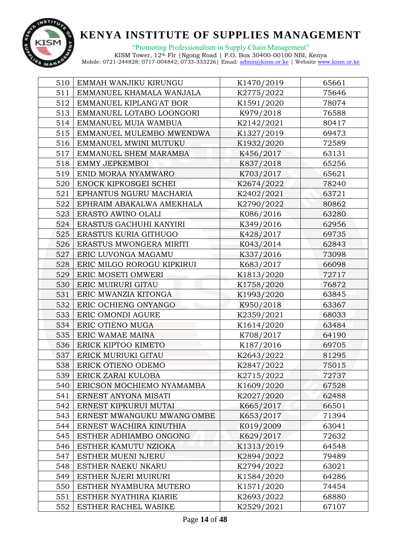

"Promoting Professionalism in Supply Chain Management" KISM Tower, 12th Flr |Ngong Road | P.O. Box 30400-00100 NBI, Kenya

| 510 | EMMAH WANJIKU KIRUNGU      | K1470/2019 | 65661 |
|-----|----------------------------|------------|-------|
| 511 | EMMANUEL KHAMALA WANJALA   | K2775/2022 | 75646 |
| 512 | EMMANUEL KIPLANG'AT BOR    | K1591/2020 | 78074 |
| 513 | EMMANUEL LOTABO LOONGORI   | K979/2018  | 76588 |
| 514 | EMMANUEL MUIA WAMBUA       | K2142/2021 | 80417 |
| 515 | EMMANUEL MULEMBO MWENDWA   | K1327/2019 | 69473 |
| 516 | EMMANUEL MWINI MUTUKU      | K1932/2020 | 72589 |
| 517 | EMMANUEL SHEM MARAMBA      | K456/2017  | 63131 |
| 518 | EMMY JEPKEMBOI             | K837/2018  | 65256 |
| 519 | ENID MORAA NYAMWARO        | K703/2017  | 65621 |
| 520 | ENOCK KIPKOSGEI SCHEI      | K2674/2022 | 78240 |
| 521 | EPHANTUS NGURU MACHARIA    | K2402/2021 | 63721 |
| 522 | EPHRAIM ABAKALWA AMEKHALA  | K2790/2022 | 80862 |
| 523 | ERASTO AWINO OLALI         | K086/2016  | 63280 |
| 524 | ERASTUS GACHUHI KANYIRI    | K349/2016  | 62956 |
| 525 | ERASTUS KURIA GITHUGO      | K428/2017  | 69735 |
| 526 | ERASTUS MWONGERA MIRITI    | K043/2014  | 62843 |
| 527 | ERIC LUVONGA MAGAMU        | K337/2016  | 73098 |
| 528 | ERIC MILGO ROROGU KIPKIRUI | K683/2017  | 66098 |
| 529 | ERIC MOSETI OMWERI         | K1813/2020 | 72717 |
| 530 | ERIC MUIRURI GITAU         | K1758/2020 | 76872 |
| 531 | ERIC MWANZIA KITONGA       | K1993/2020 | 63845 |
| 532 | ERIC OCHIENG ONYANGO       | K950/2018  | 63367 |
| 533 | ERIC OMONDI AGURE          | K2359/2021 | 68033 |
| 534 | ERIC OTIENO MUGA           | K1614/2020 | 63484 |
| 535 | ERIC WAMAE MAINA           | K708/2017  | 64190 |
| 536 | ERICK KIPTOO KIMETO        | K187/2016  | 69705 |
| 537 | ERICK MURIUKI GITAU        | K2643/2022 | 81295 |
| 538 | ERICK OTIENO ODEMO         | K2847/2022 | 75015 |
| 539 | ERICK ZARAI KULOBA         | K2715/2022 | 72737 |
| 540 | ERICSON MOCHIEMO NYAMAMBA  | K1609/2020 | 67528 |
| 541 | ERNEST ANYONA MISATI       | K2027/2020 | 62488 |
| 542 | ERNEST KIPKURUI MUTAI      | K665/2017  | 66501 |
| 543 | ERNEST MWANGUKU MWANG'OMBE | K653/2017  | 71394 |
| 544 | ERNEST WACHIRA KINUTHIA    | K019/2009  | 63041 |
| 545 | ESTHER ADHIAMBO ONGONG     | K629/2017  | 72632 |
| 546 | ESTHER KAMUTU NZIOKA       | K1313/2019 | 64548 |
| 547 | ESTHER MUENI NJERU         | K2894/2022 | 79489 |
| 548 | ESTHER NAEKU NKARU         | K2794/2022 | 63021 |
| 549 | ESTHER NJERI MUIRURI       | K1584/2020 | 64286 |
| 550 | ESTHER NYAMBURA MUTERO     | K1571/2020 | 74454 |
| 551 | ESTHER NYATHIRA KIARIE     | K2693/2022 | 68880 |
| 552 | ESTHER RACHEL WASIKE       | K2529/2021 | 67107 |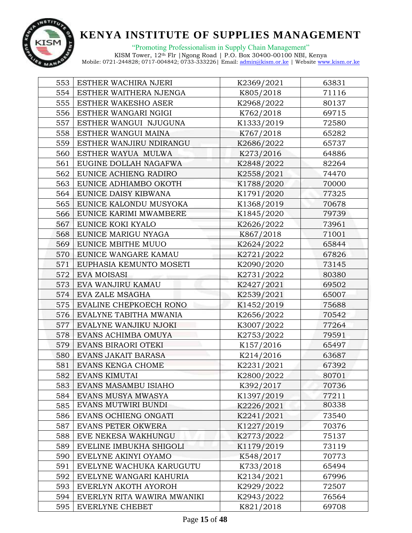

"Promoting Professionalism in Supply Chain Management"

| 553 | ESTHER WACHIRA NJERI        | K2369/2021 | 63831 |
|-----|-----------------------------|------------|-------|
| 554 | ESTHER WAITHERA NJENGA      | K805/2018  | 71116 |
| 555 | <b>ESTHER WAKESHO ASER</b>  | K2968/2022 | 80137 |
| 556 | ESTHER WANGARI NGIGI        | K762/2018  | 69715 |
| 557 | ESTHER WANGUI NJUGUNA       | K1333/2019 | 72580 |
| 558 | ESTHER WANGUI MAINA         | K767/2018  | 65282 |
| 559 | ESTHER WANJIRU NDIRANGU     | K2686/2022 | 65737 |
| 560 | ESTHER WAYUA MULWA          | K273/2016  | 64886 |
| 561 | EUGINE DOLLAH NAGAFWA       | K2848/2022 | 82264 |
| 562 | EUNICE ACHIENG RADIRO       | K2558/2021 | 74470 |
| 563 | EUNICE ADHIAMBO OKOTH       | K1788/2020 | 70000 |
| 564 | EUNICE DAISY KIBWANA        | K1791/2020 | 77325 |
| 565 | EUNICE KALONDU MUSYOKA      | K1368/2019 | 70678 |
| 566 | EUNICE KARIMI MWAMBERE      | K1845/2020 | 79739 |
| 567 | EUNICE KOKI KYALO           | K2626/2022 | 73961 |
| 568 | EUNICE MARIGU NYAGA         | K867/2018  | 71001 |
| 569 | EUNICE MBITHE MUUO          | K2624/2022 | 65844 |
| 570 | EUNICE WANGARE KAMAU        | K2721/2022 | 67826 |
| 571 | EUPHASIA KEMUNTO MOSETI     | K2090/2020 | 73145 |
| 572 | EVA MOISASI                 | K2731/2022 | 80380 |
| 573 | EVA WANJIRU KAMAU           | K2427/2021 | 69502 |
| 574 | EVA ZALE MSAGHA             | K2539/2021 | 65007 |
| 575 | EVALINE CHEPKOECH RONO      | K1452/2019 | 75688 |
| 576 | EVALYNE TABITHA MWANIA      | K2656/2022 | 70542 |
| 577 | EVALYNE WANJIKU NJOKI       | K3007/2022 | 77264 |
| 578 | EVANS ACHIMBA OMUYA         | K2753/2022 | 79591 |
| 579 | EVANS BIRAORI OTEKI         | K157/2016  | 65497 |
| 580 | EVANS JAKAIT BARASA         | K214/2016  | 63687 |
| 581 | EVANS KENGA CHOME           | K2231/2021 | 67392 |
| 582 | EVANS KIMUTAI               | K2800/2022 | 80701 |
| 583 | EVANS MASAMBU ISIAHO        | K392/2017  | 70736 |
| 584 | EVANS MUSYA MWASYA          | K1397/2019 | 77211 |
| 585 | EVANS MUTWIRI BUNDI         | K2226/2021 | 80338 |
| 586 | EVANS OCHIENG ONGATI        | K2241/2021 | 73540 |
| 587 | <b>EVANS PETER OKWERA</b>   | K1227/2019 | 70376 |
| 588 | EVE NEKESA WAKHUNGU         | K2773/2022 | 75137 |
| 589 | EVELINE IMBUKHA SHIGOLI     | K1179/2019 | 73119 |
| 590 | EVELYNE AKINYI OYAMO        | K548/2017  | 70773 |
| 591 | EVELYNE WACHUKA KARUGUTU    | K733/2018  | 65494 |
| 592 | EVELYNE WANGARI KAHURIA     | K2134/2021 | 67996 |
| 593 | EVERLYN AKOTH AYOROH        | K2929/2022 | 72507 |
| 594 | EVERLYN RITA WAWIRA MWANIKI | K2943/2022 | 76564 |
| 595 | EVERLYNE CHEBET             | K821/2018  | 69708 |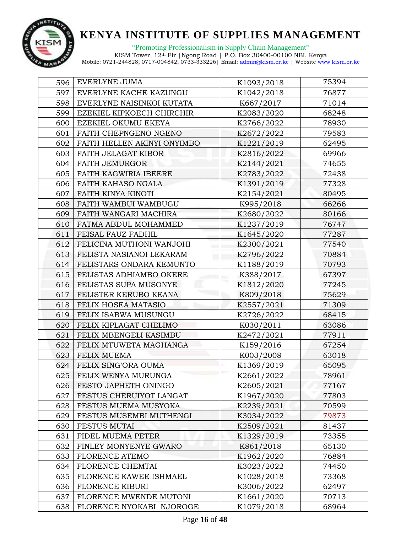

"Promoting Professionalism in Supply Chain Management"

| 596 | EVERLYNE JUMA               | K1093/2018 | 75394 |
|-----|-----------------------------|------------|-------|
| 597 | EVERLYNE KACHE KAZUNGU      | K1042/2018 | 76877 |
| 598 | EVERLYNE NAISINKOI KUTATA   | K667/2017  | 71014 |
| 599 | EZEKIEL KIPKOECH CHIRCHIR   | K2083/2020 | 68248 |
| 600 | EZEKIEL OKUMU EKEYA         | K2766/2022 | 78930 |
| 601 | FAITH CHEPNGENO NGENO       | K2672/2022 | 79583 |
| 602 | FAITH HELLEN AKINYI ONYIMBO | K1221/2019 | 62495 |
| 603 | FAITH JELAGAT KIBOR         | K2816/2022 | 69966 |
| 604 | <b>FAITH JEMURGOR</b>       | K2144/2021 | 74655 |
| 605 | FAITH KAGWIRIA IBEERE       | K2783/2022 | 72438 |
| 606 | FAITH KAHASO NGALA          | K1391/2019 | 77328 |
| 607 | FAITH KINYA KINOTI          | K2154/2021 | 80495 |
| 608 | FAITH WAMBUI WAMBUGU        | K995/2018  | 66266 |
| 609 | FAITH WANGARI MACHIRA       | K2680/2022 | 80166 |
| 610 | FATMA ABDUL MOHAMMED        | K1237/2019 | 76747 |
| 611 | FEISAL FAUZ FADHIL          | K1645/2020 | 77287 |
| 612 | FELICINA MUTHONI WANJOHI    | K2300/2021 | 77540 |
| 613 | FELISTA NASIANOI LEKARAM    | K2796/2022 | 70884 |
| 614 | FELISTARS ONDARA KEMUNTO    | K1188/2019 | 70793 |
| 615 | FELISTAS ADHIAMBO OKERE     | K388/2017  | 67397 |
| 616 | FELISTAS SUPA MUSONYE       | K1812/2020 | 77245 |
| 617 | FELISTER KERUBO KEANA       | K809/2018  | 75629 |
| 618 | FELIX HOSEA MATASIO         | K2557/2021 | 71309 |
| 619 | FELIX ISABWA MUSUNGU        | K2726/2022 | 68415 |
| 620 | FELIX KIPLAGAT CHELIMO      | K030/2011  | 63086 |
| 621 | FELIX MBENGELI KASIMBU      | K2472/2021 | 77911 |
| 622 | FELIX MTUWETA MAGHANGA      | K159/2016  | 67254 |
| 623 | <b>FELIX MUEMA</b>          | K003/2008  | 63018 |
| 624 | FELIX SING'ORA OUMA         | K1369/2019 | 65095 |
| 625 | FELIX WENYA MURUNGA         | K2661/2022 | 78961 |
| 626 | FESTO JAPHETH ONINGO        | K2605/2021 | 77167 |
| 627 | FESTUS CHERUIYOT LANGAT     | K1967/2020 | 77803 |
| 628 | FESTUS MUEMA MUSYOKA        | K2239/2021 | 70599 |
| 629 | FESTUS MUSEMBI MUTHENGI     | K3034/2022 | 79873 |
| 630 | FESTUS MUTAI                | K2509/2021 | 81437 |
| 631 | FIDEL MUEMA PETER           | K1329/2019 | 73355 |
| 632 | FINLEY MONYENYE GWARO       | K861/2018  | 65130 |
| 633 | FLORENCE ATEMO              | K1962/2020 | 76884 |
| 634 | FLORENCE CHEMTAI            | K3023/2022 | 74450 |
| 635 | FLORENCE KAWEE ISHMAEL      | K1028/2018 | 73368 |
| 636 | <b>FLORENCE KIBURI</b>      | K3006/2022 | 62497 |
| 637 | FLORENCE MWENDE MUTONI      | K1661/2020 | 70713 |
| 638 | FLORENCE NYOKABI NJOROGE    | K1079/2018 | 68964 |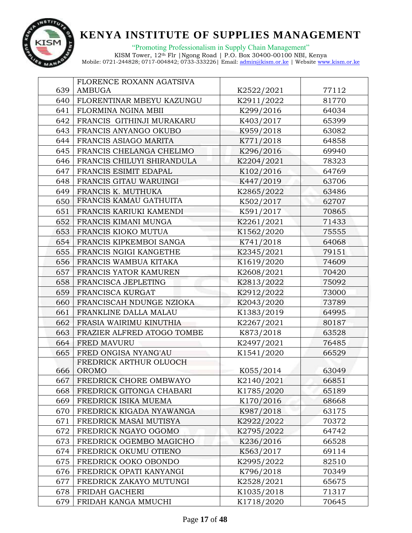

|     | FLORENCE ROXANN AGATSIVA   |            |       |
|-----|----------------------------|------------|-------|
| 639 | <b>AMBUGA</b>              | K2522/2021 | 77112 |
| 640 | FLORENTINAR MBEYU KAZUNGU  | K2911/2022 | 81770 |
| 641 | FLORMINA NGINA MBII        | K299/2016  | 64034 |
| 642 | FRANCIS GITHINJI MURAKARU  | K403/2017  | 65399 |
| 643 | FRANCIS ANYANGO OKUBO      | K959/2018  | 63082 |
| 644 | FRANCIS ASIAGO MARITA      | K771/2018  | 64858 |
| 645 | FRANCIS CHELANGA CHELIMO   | K296/2016  | 69940 |
| 646 | FRANCIS CHILUYI SHIRANDULA | K2204/2021 | 78323 |
| 647 | FRANCIS ESIMIT EDAPAL      | K102/2016  | 64769 |
| 648 | FRANCIS GITAU WARUINGI     | K447/2019  | 63706 |
| 649 | FRANCIS K. MUTHUKA         | K2865/2022 | 63486 |
| 650 | FRANCIS KAMAU GATHUITA     | K502/2017  | 62707 |
| 651 | FRANCIS KARIUKI KAMENDI    | K591/2017  | 70865 |
| 652 | FRANCIS KIMANI MUNGA       | K2261/2021 | 71433 |
| 653 | FRANCIS KIOKO MUTUA        | K1562/2020 | 75555 |
| 654 | FRANCIS KIPKEMBOI SANGA    | K741/2018  | 64068 |
| 655 | FRANCIS NGIGI KANGETHE     | K2345/2021 | 79151 |
| 656 | FRANCIS WAMBUA KITAKA      | K1619/2020 | 74609 |
| 657 | FRANCIS YATOR KAMUREN      | K2608/2021 | 70420 |
| 658 | FRANCISCA JEPLETING        | K2813/2022 | 75092 |
| 659 | FRANCISCA KURGAT           | K2912/2022 | 73000 |
| 660 | FRANCISCAH NDUNGE NZIOKA   | K2043/2020 | 73789 |
| 661 | FRANKLINE DALLA MALAU      | K1383/2019 | 64995 |
| 662 | FRASIA WAIRIMU KINUTHIA    | K2267/2021 | 80187 |
| 663 | FRAZIER ALFRED ATOGO TOMBE | K873/2018  | 63528 |
| 664 | FRED MAVURU                | K2497/2021 | 76485 |
| 665 | FRED ONGISA NYANG'AU       | K1541/2020 | 66529 |
|     | FREDRICK ARTHUR OLUOCH     |            |       |
| 666 | OROMO                      | K055/2014  | 63049 |
| 667 | FREDRICK CHORE OMBWAYO     | K2140/2021 | 66851 |
| 668 | FREDRICK GITONGA CHABARI   | K1785/2020 | 65189 |
| 669 | FREDRICK ISIKA MUEMA       | K170/2016  | 68668 |
| 670 | FREDRICK KIGADA NYAWANGA   | K987/2018  | 63175 |
| 671 | FREDRICK MASAI MUTISYA     | K2922/2022 | 70372 |
| 672 | FREDRICK NGAYO OGOMO       | K2795/2022 | 64742 |
| 673 | FREDRICK OGEMBO MAGICHO    | K236/2016  | 66528 |
| 674 | FREDRICK OKUMU OTIENO      | K563/2017  | 69114 |
| 675 | FREDRICK OOKO OBONDO       | K2995/2022 | 82510 |
| 676 | FREDRICK OPATI KANYANGI    | K796/2018  | 70349 |
| 677 | FREDRICK ZAKAYO MUTUNGI    | K2528/2021 | 65675 |
| 678 | FRIDAH GACHERI             | K1035/2018 | 71317 |
| 679 | FRIDAH KANGA MMUCHI        | K1718/2020 | 70645 |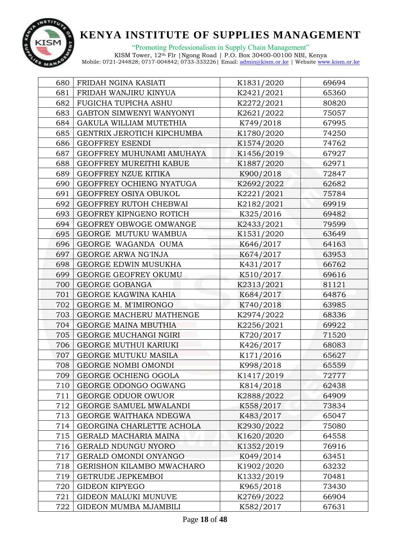

| 680 | FRIDAH NGINA KASIATI         | K1831/2020 | 69694 |
|-----|------------------------------|------------|-------|
| 681 | FRIDAH WANJIRU KINYUA        | K2421/2021 | 65360 |
| 682 | FUGICHA TUPICHA ASHU         | K2272/2021 | 80820 |
| 683 | GABTON SIMWENYI WANYONYI     | K2621/2022 | 75057 |
| 684 | GAKULA WILLIAM MUTETHIA      | K749/2018  | 67995 |
| 685 | GENTRIX JEROTICH KIPCHUMBA   | K1780/2020 | 74250 |
| 686 | <b>GEOFFREY ESENDI</b>       | K1574/2020 | 74762 |
| 687 | GEOFFREY MUHUNAMI AMUHAYA    | K1456/2019 | 67927 |
| 688 | GEOFFREY MUREITHI KABUE      | K1887/2020 | 62971 |
| 689 | GEOFFREY NZUE KITIKA         | K900/2018  | 72847 |
| 690 | GEOFFREY OCHIENG NYATUGA     | K2692/2022 | 62682 |
| 691 | GEOFFREY OSIYA OBUKOL        | K2221/2021 | 75784 |
| 692 | GEOFFREY RUTOH CHEBWAI       | K2182/2021 | 69919 |
| 693 | GEOFREY KIPNGENO ROTICH      | K325/2016  | 69482 |
| 694 | GEOFREY OBWOGE OMWANGE       | K2433/2021 | 79599 |
| 695 | GEORGE MUTUKU WAMBUA         | K1531/2020 | 63649 |
| 696 | GEORGE WAGANDA OUMA          | K646/2017  | 64163 |
| 697 | GEORGE ARWA NG'INJA          | K674/2017  | 63953 |
| 698 | GEORGE EDWIN MUSUKHA         | K431/2017  | 66762 |
| 699 | <b>GEORGE GEOFREY OKUMU</b>  | K510/2017  | 69616 |
| 700 | <b>GEORGE GOBANGA</b>        | K2313/2021 | 81121 |
| 701 | GEORGE KAGWINA KAHIA         | K684/2017  | 64876 |
| 702 | GEORGE M. M'IMIRONGO         | K740/2018  | 63985 |
| 703 | GEORGE MACHERU MATHENGE      | K2974/2022 | 68336 |
| 704 | GEORGE MAINA MBUTHIA         | K2256/2021 | 69922 |
| 705 | GEORGE MUCHANGI NGIRI        | K720/2017  | 71520 |
| 706 | <b>GEORGE MUTHUI KARIUKI</b> | K426/2017  | 68083 |
| 707 | <b>GEORGE MUTUKU MASILA</b>  | K171/2016  | 65627 |
| 708 | <b>GEORGE NOMBI OMONDI</b>   | K998/2018  | 65559 |
| 709 | GEORGE OCHIENG OGOLA         | K1417/2019 | 72777 |
| 710 | GEORGE ODONGO OGWANG         | K814/2018  | 62438 |
| 711 | GEORGE ODUOR OWUOR           | K2888/2022 | 64909 |
| 712 | GEORGE SAMUEL MWALANDI       | K558/2017  | 73834 |
| 713 | GEORGE WAITHAKA NDEGWA       | K483/2017  | 65047 |
| 714 | GEORGINA CHARLETTE ACHOLA    | K2930/2022 | 75080 |
| 715 | GERALD MACHARIA MAINA        | K1620/2020 | 64558 |
| 716 | GERALD NDUNGU NYORO          | K1352/2019 | 76916 |
| 717 | GERALD OMONDI ONYANGO        | K049/2014  | 63451 |
| 718 | GERISHON KILAMBO MWACHARO    | K1902/2020 | 63232 |
| 719 | <b>GETRUDE JEPKEMBOI</b>     | K1332/2019 | 70481 |
| 720 | <b>GIDEON KIPYEGO</b>        | K965/2018  | 73430 |
| 721 | <b>GIDEON MALUKI MUNUVE</b>  | K2769/2022 | 66904 |
| 722 | GIDEON MUMBA MJAMBILI        | K582/2017  | 67631 |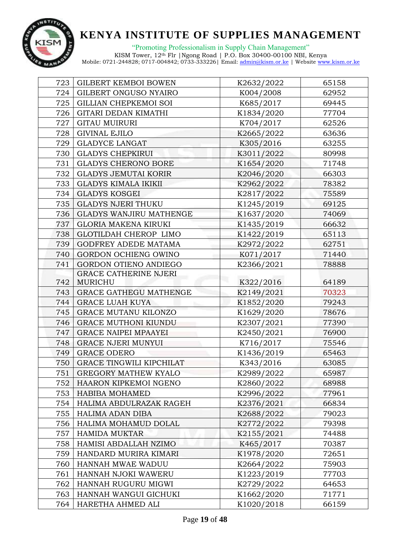

"Promoting Professionalism in Supply Chain Management"

| 723 | <b>GILBERT KEMBOI BOWEN</b>     | K2632/2022 | 65158 |
|-----|---------------------------------|------------|-------|
| 724 | GILBERT ONGUSO NYAIRO           | K004/2008  | 62952 |
| 725 | GILLIAN CHEPKEMOI SOI           | K685/2017  | 69445 |
| 726 | GITARI DEDAN KIMATHI            | K1834/2020 | 77704 |
| 727 | <b>GITAU MUIRURI</b>            | K704/2017  | 62526 |
| 728 | <b>GIVINAL EJILO</b>            | K2665/2022 | 63636 |
| 729 | <b>GLADYCE LANGAT</b>           | K305/2016  | 63255 |
| 730 | <b>GLADYS CHEPKIRUI</b>         | K3011/2022 | 80998 |
| 731 | <b>GLADYS CHERONO BORE</b>      | K1654/2020 | 71748 |
| 732 | <b>GLADYS JEMUTAI KORIR</b>     | K2046/2020 | 66303 |
| 733 | <b>GLADYS KIMALA IKIKII</b>     | K2962/2022 | 78382 |
| 734 | <b>GLADYS KOSGEI</b>            | K2817/2022 | 75589 |
| 735 | <b>GLADYS NJERI THUKU</b>       | K1245/2019 | 69125 |
| 736 | <b>GLADYS WANJIRU MATHENGE</b>  | K1637/2020 | 74069 |
| 737 | <b>GLORIA MAKENA KIRUKI</b>     | K1435/2019 | 66632 |
| 738 | GLOTILDAH CHEROP LIMO           | K1422/2019 | 65113 |
| 739 | GODFREY ADEDE MATAMA            | K2972/2022 | 62751 |
| 740 | GORDON OCHIENG OWINO            | K071/2017  | 71440 |
| 741 | GORDON OTIENO ANDIEGO           | K2366/2021 | 78888 |
|     | <b>GRACE CATHERINE NJERI</b>    |            |       |
| 742 | MURICHU                         | K322/2016  | 64189 |
| 743 | GRACE GATHEGU MATHENGE          | K2149/2021 | 70323 |
| 744 | <b>GRACE LUAH KUYA</b>          | K1852/2020 | 79243 |
| 745 | GRACE MUTANU KILONZO            | K1629/2020 | 78676 |
| 746 | <b>GRACE MUTHONI KIUNDU</b>     | K2307/2021 | 77390 |
| 747 | <b>GRACE NAIPEI MPAAYEI</b>     | K2450/2021 | 76900 |
| 748 | <b>GRACE NJERI MUNYUI</b>       | K716/2017  | 75546 |
| 749 | <b>GRACE ODERO</b>              | K1436/2019 | 65463 |
| 750 | <b>GRACE TINGWILI KIPCHILAT</b> | K343/2016  | 63085 |
| 751 | <b>GREGORY MATHEW KYALO</b>     | K2989/2022 | 65987 |
| 752 | HAARON KIPKEMOI NGENO           | K2860/2022 | 68988 |
| 753 | <b>HABIBA MOHAMED</b>           | K2996/2022 | 77961 |
| 754 | HALIMA ABDULRAZAK RAGEH         | K2376/2021 | 66834 |
| 755 | HALIMA ADAN DIBA                | K2688/2022 | 79023 |
| 756 | HALIMA MOHAMUD DOLAL            | K2772/2022 | 79398 |
| 757 | <b>HAMIDA MUKTAR</b>            | K2155/2021 | 74488 |
| 758 | HAMISI ABDALLAH NZIMO           | K465/2017  | 70387 |
| 759 | HANDARD MURIRA KIMARI           | K1978/2020 | 72651 |
| 760 | HANNAH MWAE WADUU               | K2664/2022 | 75903 |
| 761 | HANNAH NJOKI WAWERU             | K1223/2019 | 77703 |
| 762 | HANNAH RUGURU MIGWI             | K2729/2022 | 64653 |
| 763 | HANNAH WANGUI GICHUKI           | K1662/2020 | 71771 |
| 764 | HARETHA AHMED ALI               | K1020/2018 | 66159 |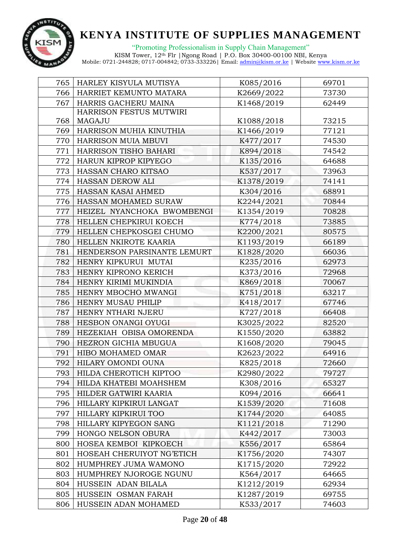

"Promoting Professionalism in Supply Chain Management"

| 765 | HARLEY KISYULA MUTISYA      | K085/2016  | 69701 |
|-----|-----------------------------|------------|-------|
| 766 | HARRIET KEMUNTO MATARA      | K2669/2022 | 73730 |
| 767 | HARRIS GACHERU MAINA        | K1468/2019 | 62449 |
|     | HARRISON FESTUS MUTWIRI     |            |       |
| 768 | MAGAJU                      | K1088/2018 | 73215 |
| 769 | HARRISON MUHIA KINUTHIA     | K1466/2019 | 77121 |
| 770 | HARRISON MUIA MBUVI         | K477/2017  | 74530 |
| 771 | HARRISON TISHO BAHARI       | K894/2018  | 74542 |
| 772 | HARUN KIPROP KIPYEGO        | K135/2016  | 64688 |
| 773 | HASSAN CHARO KITSAO         | K537/2017  | 73963 |
| 774 | HASSAN DEROW ALI            | K1378/2019 | 74141 |
| 775 | HASSAN KASAI AHMED          | K304/2016  | 68891 |
| 776 | HASSAN MOHAMED SURAW        | K2244/2021 | 70844 |
| 777 | HEIZEL NYANCHOKA BWOMBENGI  | K1354/2019 | 70828 |
| 778 | HELLEN CHEPKIRUI KOECH      | K774/2018  | 73885 |
| 779 | HELLEN CHEPKOSGEI CHUMO     | K2200/2021 | 80575 |
| 780 | HELLEN NKIROTE KAARIA       | K1193/2019 | 66189 |
| 781 | HENDERSON PARSINANTE LEMURT | K1828/2020 | 66036 |
| 782 | HENRY KIPKURUI MUTAI        | K235/2016  | 62973 |
| 783 | HENRY KIPRONO KERICH        | K373/2016  | 72968 |
| 784 | HENRY KIRIMI MUKINDIA       | K869/2018  | 70067 |
| 785 | HENRY MBOCHO MWANGI         | K751/2018  | 63217 |
| 786 | HENRY MUSAU PHILIP          | K418/2017  | 67746 |
| 787 | HENRY NTHARI NJERU          | K727/2018  | 66408 |
| 788 | HESBON ONANGI OYUGI         | K3025/2022 | 82520 |
| 789 | HEZEKIAH OBISA OMORENDA     | K1550/2020 | 63882 |
| 790 | HEZRON GICHIA MBUGUA        | K1608/2020 | 79045 |
| 791 | HIBO MOHAMED OMAR           | K2623/2022 | 64916 |
| 792 | HILARY OMONDI OUNA          | K825/2018  | 72660 |
| 793 | HILDA CHEROTICH KIPTOO      | K2980/2022 | 79727 |
| 794 | HILDA KHATEBI MOAHSHEM      | K308/2016  | 65327 |
| 795 | HILDER GATWIRI KAARIA       | K094/2016  | 66641 |
| 796 | HILLARY KIPKIRUI LANGAT     | K1539/2020 | 71608 |
| 797 | HILLARY KIPKIRUI TOO        | K1744/2020 | 64085 |
| 798 | HILLARY KIPYEGON SANG       | K1121/2018 | 71290 |
| 799 | HONGO NELSON OBURA          | K442/2017  | 73003 |
| 800 | HOSEA KEMBOI KIPKOECH       | K556/2017  | 65864 |
| 801 | HOSEAH CHERUIYOT NG'ETICH   | K1756/2020 | 74307 |
| 802 | HUMPHREY JUMA WAMONO        | K1715/2020 | 72922 |
| 803 | HUMPHREY NJOROGE NGUNU      | K564/2017  | 64665 |
| 804 | HUSSEIN ADAN BILALA         | K1212/2019 | 62934 |
| 805 | HUSSEIN OSMAN FARAH         | K1287/2019 | 69755 |
| 806 | HUSSEIN ADAN MOHAMED        | K533/2017  | 74603 |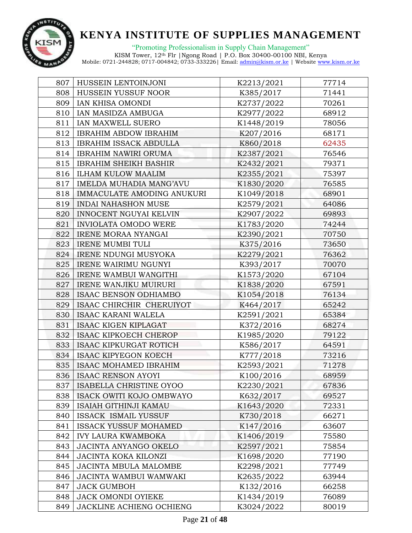

"Promoting Professionalism in Supply Chain Management" KISM Tower, 12th Flr |Ngong Road | P.O. Box 30400-00100 NBI, Kenya

| 807 | HUSSEIN LENTOINJONI           | K2213/2021 | 77714 |
|-----|-------------------------------|------------|-------|
| 808 | HUSSEIN YUSSUF NOOR           | K385/2017  | 71441 |
| 809 | IAN KHISA OMONDI              | K2737/2022 | 70261 |
| 810 | IAN MASIDZA AMBUGA            | K2977/2022 | 68912 |
| 811 | IAN MAXWELL SUERO             | K1448/2019 | 78056 |
| 812 | <b>IBRAHIM ABDOW IBRAHIM</b>  | K207/2016  | 68171 |
| 813 | <b>IBRAHIM ISSACK ABDULLA</b> | K860/2018  | 62435 |
| 814 | <b>IBRAHIM NAWIRI ORUMA</b>   | K2387/2021 | 76546 |
| 815 | <b>IBRAHIM SHEIKH BASHIR</b>  | K2432/2021 | 79371 |
| 816 | <b>ILHAM KULOW MAALIM</b>     | K2355/2021 | 75397 |
| 817 | IMELDA MUHADIA MANG'AVU       | K1830/2020 | 76585 |
| 818 | IMMACULATE AMODING ANUKURI    | K1049/2018 | 68901 |
| 819 | <b>INDAI NAHASHON MUSE</b>    | K2579/2021 | 64086 |
| 820 | INNOCENT NGUYAI KELVIN        | K2907/2022 | 69893 |
| 821 | <b>INVIOLATA OMODO WERE</b>   | K1783/2020 | 74244 |
| 822 | IRENE MORAA NYANGAI           | K2390/2021 | 70750 |
| 823 | <b>IRENE MUMBI TULI</b>       | K375/2016  | 73650 |
| 824 | <b>IRENE NDUNGI MUSYOKA</b>   | K2279/2021 | 76362 |
| 825 | <b>IRENE WAIRIMU NGUNYI</b>   | K393/2017  | 70070 |
| 826 | IRENE WAMBUI WANGITHI         | K1573/2020 | 67104 |
| 827 | <b>IRENE WANJIKU MUIRURI</b>  | K1838/2020 | 67591 |
| 828 | ISAAC BENSON ODHIAMBO         | K1054/2018 | 76134 |
| 829 | ISAAC CHIRCHIR CHERUIYOT      | K464/2017  | 65242 |
| 830 | ISAAC KARANI WALELA           | K2591/2021 | 65384 |
| 831 | <b>ISAAC KIGEN KIPLAGAT</b>   | K372/2016  | 68274 |
| 832 | <b>ISAAC KIPKOECH CHEROP</b>  | K1985/2020 | 79122 |
| 833 | <b>ISAAC KIPKURGAT ROTICH</b> | K586/2017  | 64591 |
| 834 | <b>ISAAC KIPYEGON KOECH</b>   | K777/2018  | 73216 |
| 835 | ISAAC MOHAMED IBRAHIM         | K2593/2021 | 71278 |
| 836 | <b>ISAAC RENSON AYOYI</b>     | K100/2016  | 68959 |
| 837 | ISABELLA CHRISTINE OYOO       | K2230/2021 | 67836 |
| 838 | ISACK OWITI KOJO OMBWAYO      | K632/2017  | 69527 |
| 839 | <b>ISAIAH GITHINJI KAMAU</b>  | K1643/2020 | 72331 |
| 840 | ISSACK ISMAIL YUSSUF          | K730/2018  | 66271 |
| 841 | <b>ISSACK YUSSUF MOHAMED</b>  | K147/2016  | 63607 |
| 842 | <b>IVY LAURA KWAMBOKA</b>     | K1406/2019 | 75580 |
| 843 | JACINTA ANYANGO OKELO         | K2597/2021 | 75854 |
| 844 | JACINTA KOKA KILONZI          | K1698/2020 | 77190 |
| 845 | <b>JACINTA MBULA MALOMBE</b>  | K2298/2021 | 77749 |
| 846 | <b>JACINTA WAMBUI WAMWAKI</b> | K2635/2022 | 63944 |
| 847 | <b>JACK GUMBOH</b>            | K132/2016  | 66258 |
| 848 | <b>JACK OMONDI OYIEKE</b>     | K1434/2019 | 76089 |
| 849 | JACKLINE ACHIENG OCHIENG      | K3024/2022 | 80019 |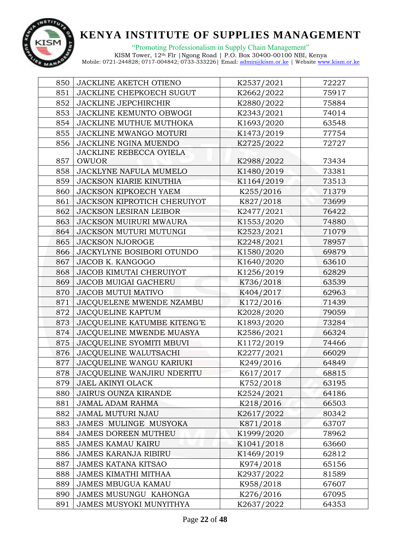

"Promoting Professionalism in Supply Chain Management"

| 850 | JACKLINE AKETCH OTIENO           | K2537/2021 | 72227 |
|-----|----------------------------------|------------|-------|
| 851 | <b>JACKLINE CHEPKOECH SUGUT</b>  | K2662/2022 | 75917 |
| 852 | <b>JACKLINE JEPCHIRCHIR</b>      | K2880/2022 | 75884 |
| 853 | JACKLINE KEMUNTO OBWOGI          | K2343/2021 | 74014 |
| 854 | JACKLINE MUTHUE MUTHOKA          | K1693/2020 | 63548 |
| 855 | JACKLINE MWANGO MOTURI           | K1473/2019 | 77754 |
| 856 | JACKLINE NGINA MUENDO            | K2725/2022 | 72727 |
|     | JACKLINE REBECCA OYIELA          |            |       |
| 857 | <b>OWUOR</b>                     | K2988/2022 | 73434 |
| 858 | JACKLYNE NAFULA MUMELO           | K1480/2019 | 73381 |
| 859 | JACKSON KIARIE KINUTHIA          | K1164/2019 | 73513 |
| 860 | <b>JACKSON KIPKOECH YAEM</b>     | K255/2016  | 71379 |
| 861 | JACKSON KIPROTICH CHERUIYOT      | K827/2018  | 73699 |
| 862 | <b>JACKSON LESIRAN LEIBOR</b>    | K2477/2021 | 76422 |
| 863 | JACKSON MUIRURI MWAURA           | K1553/2020 | 74880 |
| 864 | JACKSON MUTURI MUTUNGI           | K2523/2021 | 71079 |
| 865 | <b>JACKSON NJOROGE</b>           | K2248/2021 | 78957 |
| 866 | <b>JACKYLYNE BOSIBORI OTUNDO</b> | K1580/2020 | 69879 |
| 867 | JACOB K. KANGOGO                 | K1640/2020 | 63610 |
| 868 | <b>JACOB KIMUTAI CHERUIYOT</b>   | K1256/2019 | 62829 |
| 869 | JACOB MUIGAI GACHERU             | K736/2018  | 63539 |
| 870 | <b>JACOB MUTUI MATIVO</b>        | K404/2017  | 62963 |
| 871 | JACQUELENE MWENDE NZAMBU         | K172/2016  | 71439 |
| 872 | <b>JACQUELINE KAPTUM</b>         | K2028/2020 | 79059 |
| 873 | JACQUELINE KATUMBE KITENG'E      | K1893/2020 | 73284 |
| 874 | JACQUELINE MWENDE MUASYA         | K2586/2021 | 66324 |
| 875 | JACQUELINE SYOMITI MBUVI         | K1172/2019 | 74466 |
| 876 | <b>JACQUELINE WALUTSACHI</b>     | K2277/2021 | 66029 |
| 877 | JACQUELINE WANGU KARIUKI         | K249/2016  | 64849 |
| 878 | JACQUELINE WANJIRU NDERITU       | K617/2017  | 68815 |
| 879 | JAEL AKINYI OLACK                | K752/2018  | 63195 |
| 880 | <b>JAIRUS OUNZA KIRANDE</b>      | K2524/2021 | 64186 |
| 881 | JAMAL ADAM RAHMA                 | K218/2016  | 66503 |
| 882 | JAMAL MUTURI NJAU                | K2617/2022 | 80342 |
| 883 | JAMES MULINGE MUSYOKA            | K871/2018  | 63707 |
| 884 | <b>JAMES DOREEN MUTHEU</b>       | K1999/2020 | 78962 |
| 885 | <b>JAMES KAMAU KAIRU</b>         | K1041/2018 | 63660 |
| 886 | <b>JAMES KARANJA RIBIRU</b>      | K1469/2019 | 62812 |
| 887 | <b>JAMES KATANA KITSAO</b>       | K974/2018  | 65156 |
| 888 | <b>JAMES KIMATHI MITHAA</b>      | K2937/2022 | 81589 |
| 889 | JAMES MBUGUA KAMAU               | K958/2018  | 67607 |
| 890 | <b>JAMES MUSUNGU KAHONGA</b>     | K276/2016  | 67095 |
| 891 | JAMES MUSYOKI MUNYITHYA          | K2637/2022 | 64353 |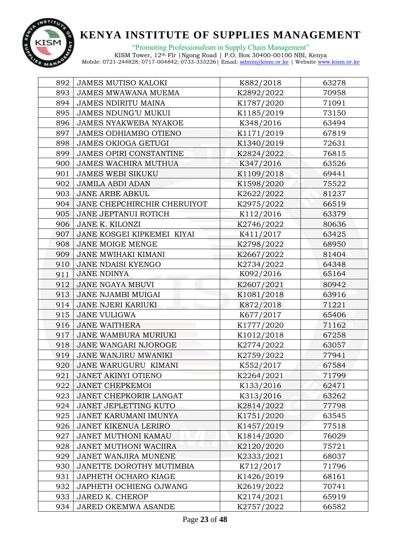

"Promoting Professionalism in Supply Chain Management"

| 892 | <b>JAMES MUTISO KALOKI</b>   | K882/2018  | 63278 |
|-----|------------------------------|------------|-------|
| 893 | <b>JAMES MWAWANA MUEMA</b>   | K2892/2022 | 70958 |
| 894 | <b>JAMES NDIRITU MAINA</b>   | K1787/2020 | 71091 |
| 895 | <b>JAMES NDUNG'U MUKUI</b>   | K1185/2019 | 73150 |
| 896 | <b>JAMES NYAKWEBA NYAKOE</b> | K348/2016  | 63494 |
| 897 | JAMES ODHIAMBO OTIENO        | K1171/2019 | 67819 |
| 898 | <b>JAMES OKIOGA GETUGI</b>   | K1340/2019 | 72631 |
| 899 | JAMES OPIRI CONSTANTINE      | K2824/2022 | 76815 |
| 900 | <b>JAMES WACHIRA MUTHUA</b>  | K347/2016  | 63526 |
| 901 | <b>JAMES WEBI SIKUKU</b>     | K1109/2018 | 69441 |
| 902 | <b>JAMILA ABDI ADAN</b>      | K1598/2020 | 75522 |
| 903 | <b>JANE ARBE ABKUL</b>       | K2622/2022 | 81237 |
| 904 | JANE CHEPCHIRCHIR CHERUIYOT  | K2975/2022 | 66519 |
| 905 | <b>JANE JEPTANUI ROTICH</b>  | K112/2016  | 63379 |
| 906 | JANE K. KILONZI              | K2746/2022 | 80636 |
| 907 | JANE KOSGEI KIPKEMEI KIYAI   | K411/2017  | 63425 |
| 908 | JANE MOIGE MENGE             | K2798/2022 | 68950 |
| 909 | <b>JANE MWIHAKI KIMANI</b>   | K2667/2022 | 81404 |
| 910 | <b>JANE NDAISI KYENGO</b>    | K2734/2022 | 64348 |
| 911 | <b>JANE NDINYA</b>           | K092/2016  | 65164 |
| 912 | <b>JANE NGAYA MBUVI</b>      | K2607/2021 | 80942 |
| 913 | JANE NJAMBI MUIGAI           | K1081/2018 | 63916 |
| 914 | <b>JANE NJERI KARIUKI</b>    | K872/2018  | 71221 |
| 915 | <b>JANE VULIGWA</b>          | K677/2017  | 65406 |
| 916 | <b>JANE WAITHERA</b>         | K1777/2020 | 71162 |
| 917 | JANE WAMBURA MURIUKI         | K1012/2018 | 67258 |
| 918 | JANE WANGARI NJOROGE         | K2774/2022 | 63057 |
| 919 | JANE WANJIRU MWANIKI         | K2759/2022 | 77941 |
| 920 | JANE WARUGURU KIMANI         | K552/2017  | 67584 |
| 921 | <b>JANET AKINYI OTIENO</b>   | K2264/2021 | 71799 |
| 922 | <b>JANET CHEPKEMOI</b>       | K133/2016  | 62471 |
| 923 | JANET CHEPKORIR LANGAT       | K313/2016  | 63262 |
| 924 | <b>JANET JEPLETTING KUTO</b> | K2814/2022 | 77798 |
| 925 | JANET KARUMANI IMUNYA        | K1751/2020 | 63545 |
| 926 | <b>JANET KIKENUA LERIRO</b>  | K1457/2019 | 77518 |
| 927 | JANET MUTHONI KAMAU          | K1814/2020 | 76029 |
| 928 | JANET MUTHONI WACIIRA        | K2120/2020 | 75721 |
| 929 | JANET WANJIRA MUNENE         | K2333/2021 | 68037 |
| 930 | JANETTE DOROTHY MUTIMBIA     | K712/2017  | 71796 |
| 931 | JAPHETH OCHARO KIAGE         | K1426/2019 | 68161 |
| 932 | JAPHETH OCHIENG OJWANG       | K2619/2022 | 70741 |
| 933 | JARED K. CHEROP              | K2174/2021 | 65919 |
| 934 | JARED OKEMWA ASANDE          | K2757/2022 | 66582 |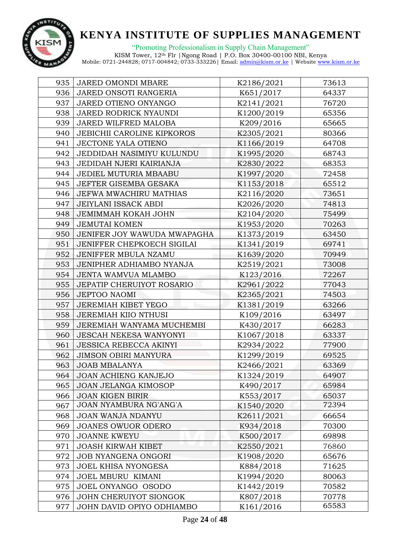

"Promoting Professionalism in Supply Chain Management" KISM Tower, 12th Flr |Ngong Road | P.O. Box 30400-00100 NBI, Kenya

| 935 | JARED OMONDI MBARE               | K2186/2021 | 73613 |
|-----|----------------------------------|------------|-------|
| 936 | JARED ONSOTI RANGERIA            | K651/2017  | 64337 |
| 937 | JARED OTIENO ONYANGO             | K2141/2021 | 76720 |
| 938 | JARED RODRICK NYAUNDI            | K1200/2019 | 65356 |
| 939 | JARED WILFRED MALOBA             | K209/2016  | 65665 |
| 940 | JEBICHII CAROLINE KIPKOROS       | K2305/2021 | 80366 |
| 941 | JECTONE YALA OTIENO              | K1166/2019 | 64708 |
| 942 | JEDDIDAH NASIMIYU KULUNDU        | K1995/2020 | 68743 |
| 943 | JEDIDAH NJERI KAIRIANJA          | K2830/2022 | 68353 |
| 944 | JEDIEL MUTURIA MBAABU            | K1997/2020 | 72458 |
| 945 | JEFTER GISEMBA GESAKA            | K1153/2018 | 65512 |
| 946 | <b>JEFWA MWACHIRU MATHIAS</b>    | K2116/2020 | 73651 |
| 947 | <b>JEIYLANI ISSACK ABDI</b>      | K2026/2020 | 74813 |
| 948 | <b>JEMIMMAH KOKAH JOHN</b>       | K2104/2020 | 75499 |
| 949 | <b>JEMUTAI KOMEN</b>             | K1953/2020 | 70263 |
| 950 | JENIFER JOY WAWUDA MWAPAGHA      | K1373/2019 | 63450 |
| 951 | JENIFFER CHEPKOECH SIGILAI       | K1341/2019 | 69741 |
| 952 | JENIFFER MBULA NZAMU             | K1639/2020 | 70949 |
| 953 | JENIPHER ADHIAMBO NYANJA         | K2519/2021 | 73008 |
| 954 | JENTA WAMVUA MLAMBO              | K123/2016  | 72267 |
| 955 | <b>JEPATIP CHERUIYOT ROSARIO</b> | K2961/2022 | 77043 |
| 956 | <b>JEPTOO NAOMI</b>              | K2365/2021 | 74503 |
| 957 | JEREMIAH KIBET YEGO              | K1381/2019 | 63266 |
| 958 | JEREMIAH KIIO NTHUSI             | K109/2016  | 63497 |
| 959 | JEREMIAH WANYAMA MUCHEMBI        | K430/2017  | 66283 |
| 960 | <b>JESCAH NEKESA WANYONYI</b>    | K1067/2018 | 63337 |
| 961 | <b>JESSICA REBECCA AKINYI</b>    | K2934/2022 | 77900 |
| 962 | <b>JIMSON OBIRI MANYURA</b>      | K1299/2019 | 69525 |
| 963 | <b>JOAB MBALANYA</b>             | K2466/2021 | 63369 |
| 964 | JOAN ACHIENG KANJEJO             | K1324/2019 | 64907 |
| 965 | JOAN JELANGA KIMOSOP             | K490/2017  | 65984 |
| 966 | <b>JOAN KIGEN BIRIR</b>          | K553/2017  | 65037 |
| 967 | JOAN NYAMBURA NG'ANG'A           | K1540/2020 | 72394 |
| 968 | <b>JOAN WANJA NDANYU</b>         | K2611/2021 | 66654 |
| 969 | JOANES OWUOR ODERO               | K934/2018  | 70300 |
| 970 | <b>JOANNE KWEYU</b>              | K500/2017  | 69898 |
| 971 | <b>JOASH KIRWAH KIBET</b>        | K2550/2021 | 76860 |
| 972 | <b>JOB NYANGENA ONGORI</b>       | K1908/2020 | 65676 |
| 973 | JOEL KHISA NYONGESA              | K884/2018  | 71625 |
| 974 | JOEL MBURU KIMANI                | K1994/2020 | 80063 |
| 975 | JOEL ONYANGO OSODO               | K1442/2019 | 70582 |
| 976 | JOHN CHERUIYOT SIONGOK           | K807/2018  | 70778 |
| 977 | JOHN DAVID OPIYO ODHIAMBO        | K161/2016  | 65583 |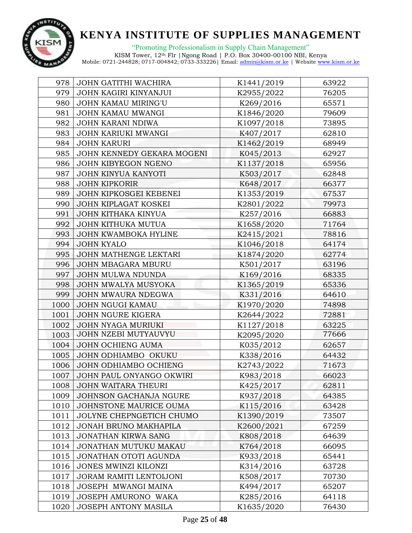

"Promoting Professionalism in Supply Chain Management"

| 978  | JOHN GATITHI WACHIRA         | K1441/2019 | 63922 |
|------|------------------------------|------------|-------|
| 979  | JOHN KAGIRI KINYANJUI        | K2955/2022 | 76205 |
| 980  | <b>JOHN KAMAU MIRING'U</b>   | K269/2016  | 65571 |
| 981  | JOHN KAMAU MWANGI            | K1846/2020 | 79609 |
| 982  | JOHN KARANI NDIWA            | K1097/2018 | 73895 |
| 983  | JOHN KARIUKI MWANGI          | K407/2017  | 62810 |
| 984  | <b>JOHN KARURI</b>           | K1462/2019 | 68949 |
| 985  | JOHN KENNEDY GEKARA MOGENI   | K045/2013  | 62927 |
| 986  | JOHN KIBYEGON NGENO          | K1137/2018 | 65956 |
| 987  | JOHN KINYUA KANYOTI          | K503/2017  | 62848 |
| 988  | <b>JOHN KIPKORIR</b>         | K648/2017  | 66377 |
| 989  | JOHN KIPKOSGEI KEBENEI       | K1353/2019 | 67537 |
| 990  | JOHN KIPLAGAT KOSKEI         | K2801/2022 | 79973 |
| 991  | JOHN KITHAKA KINYUA          | K257/2016  | 66883 |
| 992  | JOHN KITHUKA MUTUA           | K1658/2020 | 71764 |
| 993  | JOHN KWAMBOKA HYLINE         | K2415/2021 | 78816 |
| 994  | <b>JOHN KYALO</b>            | K1046/2018 | 64174 |
| 995  | JOHN MATHENGE LEKTARI        | K1874/2020 | 62774 |
| 996  | JOHN MBAGARA MBURU           | K501/2017  | 63196 |
| 997  | JOHN MULWA NDUNDA            | K169/2016  | 68335 |
| 998  | JOHN MWALYA MUSYOKA          | K1365/2019 | 65336 |
| 999  | JOHN MWAURA NDEGWA           | K331/2016  | 64610 |
| 1000 | <b>JOHN NGUGI KAMAU</b>      | K1970/2020 | 74898 |
| 1001 | <b>JOHN NGURE KIGERA</b>     | K2644/2022 | 72881 |
| 1002 | JOHN NYAGA MURIUKI           | K1127/2018 | 63225 |
| 1003 | JOHN NZEBI MUTYAUVYU         | K2095/2020 | 77666 |
| 1004 | <b>JOHN OCHIENG AUMA</b>     | K035/2012  | 62657 |
| 1005 | JOHN ODHIAMBO OKUKU          | K338/2016  | 64432 |
| 1006 | JOHN ODHIAMBO OCHIENG        | K2743/2022 | 71673 |
| 1007 | JOHN PAUL ONYANGO OKWIRI     | K983/2018  | 66023 |
| 1008 | <b>JOHN WAITARA THEURI</b>   | K425/2017  | 62811 |
| 1009 | JOHNSON GACHANJA NGURE       | K937/2018  | 64385 |
| 1010 | JOHNSTONE MAURICE OUMA       | K115/2016  | 63428 |
| 1011 | JOLYNE CHEPNGETICH CHUMO     | K1390/2019 | 73507 |
| 1012 | <b>JONAH BRUNO MAKHAPILA</b> | K2600/2021 | 67259 |
| 1013 | <b>JONATHAN KIRWA SANG</b>   | K808/2018  | 64639 |
| 1014 | JONATHAN MUTUKU MAKAU        | K764/2018  | 66095 |
| 1015 | JONATHAN OTOTI AGUNDA        | K933/2018  | 65441 |
| 1016 | JONES MWINZI KILONZI         | K314/2016  | 63728 |
| 1017 | JORAM RAMITI LENTOIJONI      | K508/2017  | 70730 |
| 1018 | JOSEPH MWANGI MAINA          | K494/2017  | 65207 |
| 1019 | JOSEPH AMURONO WAKA          | K285/2016  | 64118 |
| 1020 | <b>JOSEPH ANTONY MASILA</b>  | K1635/2020 | 76430 |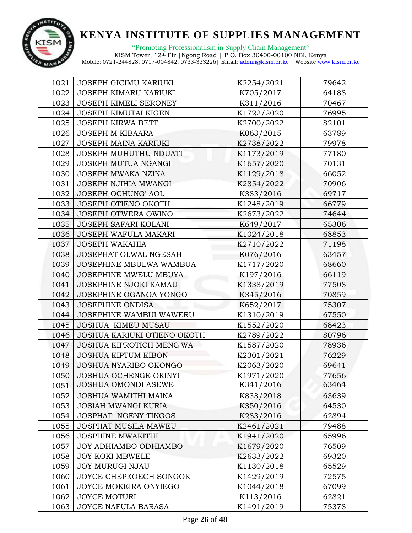

"Promoting Professionalism in Supply Chain Management"

| 1021 | <b>JOSEPH GICIMU KARIUKI</b> | K2254/2021 | 79642 |
|------|------------------------------|------------|-------|
| 1022 | JOSEPH KIMARU KARIUKI        | K705/2017  | 64188 |
| 1023 | <b>JOSEPH KIMELI SERONEY</b> | K311/2016  | 70467 |
| 1024 | JOSEPH KIMUTAI KIGEN         | K1722/2020 | 76995 |
| 1025 | <b>JOSEPH KIRWA BETT</b>     | K2700/2022 | 82101 |
| 1026 | <b>JOSEPH M KIBAARA</b>      | K063/2015  | 63789 |
| 1027 | <b>JOSEPH MAINA KARIUKI</b>  | K2738/2022 | 79978 |
| 1028 | JOSEPH MUHUTHU NDUATI        | K1173/2019 | 77180 |
| 1029 | JOSEPH MUTUA NGANGI          | K1657/2020 | 70131 |
| 1030 | JOSEPH MWAKA NZINA           | K1129/2018 | 66052 |
| 1031 | JOSEPH NJIHIA MWANGI         | K2854/2022 | 70906 |
| 1032 | <b>JOSEPH OCHUNG' AOL</b>    | K383/2016  | 69717 |
| 1033 | JOSEPH OTIENO OKOTH          | K1248/2019 | 66779 |
| 1034 | JOSEPH OTWERA OWINO          | K2673/2022 | 74644 |
| 1035 | JOSEPH SAFARI KOLANI         | K649/2017  | 65306 |
| 1036 | JOSEPH WAFULA MAKARI         | K1024/2018 | 68853 |
| 1037 | <b>JOSEPH WAKAHIA</b>        | K2710/2022 | 71198 |
| 1038 | JOSEPHAT OLWAL NGESAH        | K076/2016  | 63457 |
| 1039 | JOSEPHINE MBULWA WAMBUA      | K1717/2020 | 68660 |
| 1040 | JOSEPHINE MWELU MBUYA        | K197/2016  | 66119 |
| 1041 | <b>JOSEPHINE NJOKI KAMAU</b> | K1338/2019 | 77508 |
| 1042 | JOSEPHINE OGANGA YONGO       | K345/2016  | 70859 |
| 1043 | <b>JOSEPHINE ONDISA</b>      | K652/2017  | 75307 |
| 1044 | JOSEPHINE WAMBUI WAWERU      | K1310/2019 | 67550 |
| 1045 | <b>JOSHUA KIMEU MUSAU</b>    | K1552/2020 | 68423 |
| 1046 | JOSHUA KARIUKI OTIENO OKOTH  | K2789/2022 | 80796 |
| 1047 | JOSHUA KIPROTICH MENG'WA     | K1587/2020 | 78936 |
| 1048 | <b>JOSHUA KIPTUM KIBON</b>   | K2301/2021 | 76229 |
| 1049 | <b>JOSHUA NYARIBO OKONGO</b> | K2063/2020 | 69641 |
| 1050 | JOSHUA OCHENGE OKINYI        | K1971/2020 | 77656 |
| 1051 | <b>JOSHUA OMONDI ASEWE</b>   | K341/2016  | 63464 |
| 1052 | JOSHUA WAMITHI MAINA         | K838/2018  | 63639 |
| 1053 | <b>JOSIAH MWANGI KURIA</b>   | K350/2016  | 64530 |
| 1054 | <b>JOSPHAT NGENY TINGOS</b>  | K283/2016  | 62894 |
| 1055 | JOSPHAT MUSILA MAWEU         | K2461/2021 | 79488 |
| 1056 | <b>JOSPHINE MWAKITHI</b>     | K1941/2020 | 65996 |
| 1057 | JOY ADHIAMBO ODHIAMBO        | K1679/2020 | 76509 |
| 1058 | <b>JOY KOKI MBWELE</b>       | K2633/2022 | 69320 |
| 1059 | <b>JOY MURUGI NJAU</b>       | K1130/2018 | 65529 |
| 1060 | JOYCE CHEPKOECH SONGOK       | K1429/2019 | 72575 |
| 1061 | JOYCE MOKEIRA ONYIEGO        | K1044/2018 | 67099 |
| 1062 | JOYCE MOTURI                 | K113/2016  | 62821 |
| 1063 | JOYCE NAFULA BARASA          | K1491/2019 | 75378 |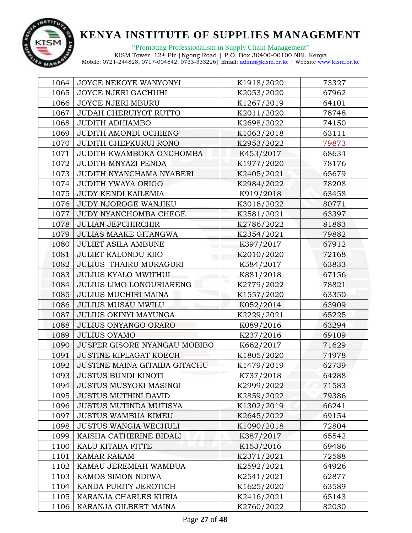

| 1064 | JOYCE NEKOYE WANYONYI         | K1918/2020 | 73327 |
|------|-------------------------------|------------|-------|
| 1065 | JOYCE NJERI GACHUHI           | K2053/2020 | 67962 |
| 1066 | <b>JOYCE NJERI MBURU</b>      | K1267/2019 | 64101 |
| 1067 | <b>JUDAH CHERUIYOT RUTTO</b>  | K2011/2020 | 78748 |
| 1068 | <b>JUDITH ADHIAMBO</b>        | K2698/2022 | 74150 |
| 1069 | JUDITH AMONDI OCHIENG'        | K1063/2018 | 63111 |
| 1070 | <b>JUDITH CHEPKURUI RONO</b>  | K2953/2022 | 79873 |
| 1071 | JUDITH KWAMBOKA ONCHOMBA      | K453/2017  | 68634 |
| 1072 | <b>JUDITH MNYAZI PENDA</b>    | K1977/2020 | 78176 |
| 1073 | JUDITH NYANCHAMA NYABERI      | K2405/2021 | 65679 |
| 1074 | <b>JUDITH YWAYA ORIGO</b>     | K2984/2022 | 78208 |
| 1075 | <b>JUDY KENDI KAILEMIA</b>    | K919/2018  | 63458 |
| 1076 | JUDY NJOROGE WANJIKU          | K3016/2022 | 80771 |
| 1077 | JUDY NYANCHOMBA CHEGE         | K2581/2021 | 63397 |
| 1078 | <b>JULIAN JEPCHIRCHIR</b>     | K2786/2022 | 81883 |
| 1079 | JULIAS MAAKE GITANGWA         | K2354/2021 | 79882 |
| 1080 | <b>JULIET ASILA AMBUNE</b>    | K397/2017  | 67912 |
| 1081 | <b>JULIET KALONDU KIIO</b>    | K2010/2020 | 72168 |
| 1082 | JULIUS THAIRU MURAGURI        | K584/2017  | 63833 |
| 1083 | <b>JULIUS KYALO MWITHUI</b>   | K881/2018  | 67156 |
| 1084 | JULIUS LIMO LONGURIARENG      | K2779/2022 | 78821 |
| 1085 | JULIUS MUCHIRI MAINA          | K1557/2020 | 63350 |
| 1086 | <b>JULIUS MUSAU MWILU</b>     | K052/2014  | 63909 |
| 1087 | <b>JULIUS OKINYI MAYUNGA</b>  | K2229/2021 | 65225 |
| 1088 | JULIUS ONYANGO ORARO          | K089/2016  | 63294 |
| 1089 | <b>JULIUS OYAMO</b>           | K237/2016  | 69109 |
| 1090 | JUSPER GISORE NYANGAU MOBIBO  | K662/2017  | 71629 |
| 1091 | <b>JUSTINE KIPLAGAT KOECH</b> | K1805/2020 | 74978 |
| 1092 | JUSTINE MAINA GITAIBA GITACHU | K1479/2019 | 62739 |
| 1093 | <b>JUSTUS BUNDI KINOTI</b>    | K737/2018  | 64288 |
| 1094 | JUSTUS MUSYOKI MASINGI        | K2999/2022 | 71583 |
| 1095 | <b>JUSTUS MUTHINI DAVID</b>   | K2859/2022 | 79386 |
| 1096 | <b>JUSTUS MUTINDA MUTISYA</b> | K1302/2019 | 66241 |
| 1097 | <b>JUSTUS WAMBUA KIMEU</b>    | K2645/2022 | 69154 |
| 1098 | <b>JUSTUS WANGIA WECHULI</b>  | K1090/2018 | 72804 |
| 1099 | KAISHA CATHERINE BIDALI       | K387/2017  | 65542 |
| 1100 | KALU KITABA FITTE             | K153/2016  | 69486 |
| 1101 | <b>KAMAR RAKAM</b>            | K2371/2021 | 72588 |
| 1102 | KAMAU JEREMIAH WAMBUA         | K2592/2021 | 64926 |
| 1103 | KAMOS SIMON NDIWA             | K2541/2021 | 62877 |
| 1104 | KANDA PURITY JEROTICH         | K1625/2020 | 63589 |
| 1105 | KARANJA CHARLES KURIA         | K2416/2021 | 65143 |
| 1106 | KARANJA GILBERT MAINA         | K2760/2022 | 82030 |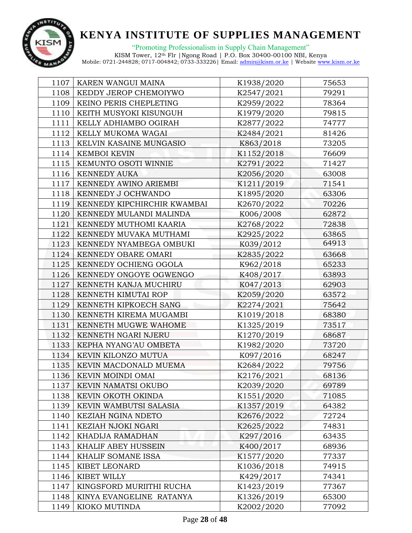

"Promoting Professionalism in Supply Chain Management"

| 1107 | KAREN WANGUI MAINA          | K1938/2020 | 75653 |
|------|-----------------------------|------------|-------|
| 1108 | KEDDY JEROP CHEMOIYWO       | K2547/2021 | 79291 |
| 1109 | KEINO PERIS CHEPLETING      | K2959/2022 | 78364 |
| 1110 | KEITH MUSYOKI KISUNGUH      | K1979/2020 | 79815 |
| 1111 | KELLY ADHIAMBO OGIRAH       | K2877/2022 | 74777 |
| 1112 | KELLY MUKOMA WAGAI          | K2484/2021 | 81426 |
| 1113 | KELVIN KASAINE MUNGASIO     | K863/2018  | 73205 |
| 1114 | <b>KEMBOI KEVIN</b>         | K1152/2018 | 76609 |
| 1115 | KEMUNTO OSOTI WINNIE        | K2791/2022 | 71427 |
| 1116 | <b>KENNEDY AUKA</b>         | K2056/2020 | 63008 |
| 1117 | KENNEDY AWINO ARIEMBI       | K1211/2019 | 71541 |
| 1118 | KENNEDY J OCHWANDO          | K1895/2020 | 63306 |
| 1119 | KENNEDY KIPCHIRCHIR KWAMBAI | K2670/2022 | 70226 |
| 1120 | KENNEDY MULANDI MALINDA     | K006/2008  | 62872 |
| 1121 | KENNEDY MUTHOMI KAARIA      | K2768/2022 | 72838 |
| 1122 | KENNEDY MUVAKA MUTHAMI      | K2925/2022 | 63865 |
| 1123 | KENNEDY NYAMBEGA OMBUKI     | K039/2012  | 64913 |
| 1124 | KENNEDY OBARE OMARI         | K2835/2022 | 63668 |
| 1125 | KENNEDY OCHIENG OGOLA       | K962/2018  | 65233 |
| 1126 | KENNEDY ONGOYE OGWENGO      | K408/2017  | 63893 |
| 1127 | KENNETH KANJA MUCHIRU       | K047/2013  | 62903 |
| 1128 | KENNETH KIMUTAI ROP         | K2059/2020 | 63572 |
| 1129 | KENNETH KIPKOECH SANG       | K2274/2021 | 75642 |
| 1130 | KENNETH KIREMA MUGAMBI      | K1019/2018 | 68380 |
| 1131 | KENNETH MUGWE WAHOME        | K1325/2019 | 73517 |
| 1132 | KENNETH NGARI NJERU         | K1270/2019 | 68687 |
| 1133 | KEPHA NYANG'AU OMBETA       | K1982/2020 | 73720 |
| 1134 | KEVIN KILONZO MUTUA         | K097/2016  | 68247 |
| 1135 | KEVIN MACDONALD MUEMA       | K2684/2022 | 79756 |
| 1136 | KEVIN MOINDI OMAI           | K2176/2021 | 68136 |
| 1137 | KEVIN NAMATSI OKUBO         | K2039/2020 | 69789 |
| 1138 | KEVIN OKOTH OKINDA          | K1551/2020 | 71085 |
| 1139 | KEVIN WAMBUTSI SALASIA      | K1357/2019 | 64382 |
| 1140 | KEZIAH NGINA NDETO          | K2676/2022 | 72724 |
| 1141 | KEZIAH NJOKI NGARI          | K2625/2022 | 74831 |
| 1142 | KHADIJA RAMADHAN            | K297/2016  | 63435 |
| 1143 | KHALIF ABEY HUSSEIN         | K400/2017  | 68936 |
| 1144 | KHALIF SOMANE ISSA          | K1577/2020 | 77337 |
| 1145 | KIBET LEONARD               | K1036/2018 | 74915 |
| 1146 | KIBET WILLY                 | K429/2017  | 74341 |
| 1147 | KINGSFORD MURIITHI RUCHA    | K1423/2019 | 77367 |
| 1148 | KINYA EVANGELINE RATANYA    | K1326/2019 | 65300 |
| 1149 | KIOKO MUTINDA               | K2002/2020 | 77092 |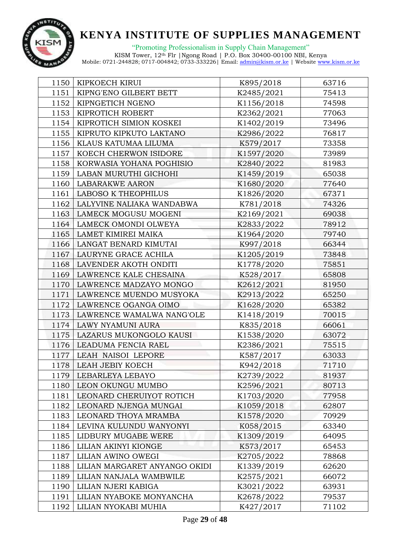

"Promoting Professionalism in Supply Chain Management"

| 1150 | KIPKOECH KIRUI                | K895/2018  | 63716 |
|------|-------------------------------|------------|-------|
| 1151 | KIPNG'ENO GILBERT BETT        | K2485/2021 | 75413 |
| 1152 | KIPNGETICH NGENO              | K1156/2018 | 74598 |
| 1153 | KIPROTICH ROBERT              | K2362/2021 | 77063 |
| 1154 | KIPROTICH SIMION KOSKEI       | K1402/2019 | 73496 |
| 1155 | KIPRUTO KIPKUTO LAKTANO       | K2986/2022 | 76817 |
| 1156 | KLAUS KATUMAA LILUMA          | K579/2017  | 73358 |
| 1157 | KOECH CHERWON ISIDORE         | K1597/2020 | 73989 |
| 1158 | KORWASIA YOHANA POGHISIO      | K2840/2022 | 81983 |
| 1159 | LABAN MURUTHI GICHOHI         | K1459/2019 | 65038 |
| 1160 | <b>LABARAKWE AARON</b>        | K1680/2020 | 77640 |
| 1161 | <b>LABOSO K THEOPHILUS</b>    | K1826/2020 | 67371 |
| 1162 | LALYVINE NALIAKA WANDABWA     | K781/2018  | 74326 |
| 1163 | LAMECK MOGUSU MOGENI          | K2169/2021 | 69038 |
| 1164 | LAMECK OMONDI OLWEYA          | K2833/2022 | 78912 |
| 1165 | LAMET KIMIREI MAIKA           | K1964/2020 | 79740 |
| 1166 | LANGAT BENARD KIMUTAI         | K997/2018  | 66344 |
| 1167 | LAURYNE GRACE ACHILA          | K1205/2019 | 73848 |
| 1168 | LAVENDER AKOTH ONDITI         | K1778/2020 | 75851 |
| 1169 | LAWRENCE KALE CHESAINA        | K528/2017  | 65808 |
| 1170 | LAWRENCE MADZAYO MONGO        | K2612/2021 | 81950 |
| 1171 | LAWRENCE MUENDO MUSYOKA       | K2913/2022 | 65250 |
| 1172 | LAWRENCE OGANGA OIMO          | K1628/2020 | 65382 |
| 1173 | LAWRENCE WAMALWA NANG'OLE     | K1418/2019 | 70015 |
| 1174 | LAWY NYAMUNI AURA             | K835/2018  | 66061 |
| 1175 | LAZARUS MUKONGOLO KAUSI       | K1538/2020 | 63072 |
| 1176 | LEADUMA FENCIA RAEL           | K2386/2021 | 75515 |
| 1177 | LEAH NAISOI LEPORE            | K587/2017  | 63033 |
| 1178 | LEAH JEBIY KOECH              | K942/2018  | 71710 |
| 1179 | LEBARLEYA LEBAYO              | K2739/2022 | 81937 |
| 1180 | LEON OKUNGU MUMBO             | K2596/2021 | 80713 |
| 1181 | LEONARD CHERUIYOT ROTICH      | K1703/2020 | 77958 |
| 1182 | LEONARD NJENGA MUNGAI         | K1059/2018 | 62807 |
| 1183 | LEONARD THOYA MRAMBA          | K1578/2020 | 70929 |
| 1184 | LEVINA KULUNDU WANYONYI       | K058/2015  | 63340 |
| 1185 | LIDBURY MUGABE WERE           | K1309/2019 | 64095 |
| 1186 | LILIAN AKINYI KIONGE          | K573/2017  | 65453 |
| 1187 | LILIAN AWINO OWEGI            | K2705/2022 | 78868 |
| 1188 | LILIAN MARGARET ANYANGO OKIDI | K1339/2019 | 62620 |
| 1189 | LILIAN NANJALA WAMBWILE       | K2575/2021 | 66072 |
| 1190 | LILIAN NJERI KABIGA           | K3021/2022 | 63931 |
| 1191 | LILIAN NYABOKE MONYANCHA      | K2678/2022 | 79537 |
| 1192 | LILIAN NYOKABI MUHIA          | K427/2017  | 71102 |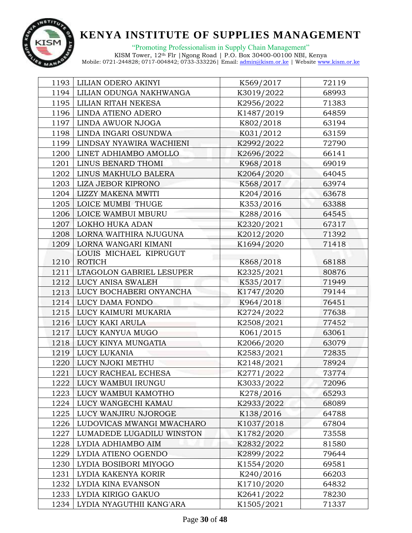

"Promoting Professionalism in Supply Chain Management" KISM Tower, 12th Flr |Ngong Road | P.O. Box 30400-00100 NBI, Kenya

| 1193 | LILIAN ODERO AKINYI       | K569/2017  | 72119 |
|------|---------------------------|------------|-------|
| 1194 | LILIAN ODUNGA NAKHWANGA   | K3019/2022 | 68993 |
| 1195 | LILIAN RITAH NEKESA       | K2956/2022 | 71383 |
| 1196 | LINDA ATIENO ADERO        | K1487/2019 | 64859 |
| 1197 | LINDA AWUOR NJOGA         | K802/2018  | 63194 |
| 1198 | LINDA INGARI OSUNDWA      | K031/2012  | 63159 |
| 1199 | LINDSAY NYAWIRA WACHIENI  | K2992/2022 | 72790 |
| 1200 | LINET ADHIAMBO AMOLLO     | K2696/2022 | 66141 |
| 1201 | LINUS BENARD THOMI        | K968/2018  | 69019 |
| 1202 | LINUS MAKHULO BALERA      | K2064/2020 | 64045 |
| 1203 | LIZA JEBOR KIPRONO        | K568/2017  | 63974 |
| 1204 | <b>LIZZY MAKENA MWITI</b> | K204/2016  | 63678 |
| 1205 | LOICE MUMBI THUGE         | K353/2016  | 63388 |
| 1206 | LOICE WAMBUI MBURU        | K288/2016  | 64545 |
| 1207 | LOKHO HUKA ADAN           | K2320/2021 | 67317 |
| 1208 | LORNA WAITHIRA NJUGUNA    | K2012/2020 | 71392 |
| 1209 | LORNA WANGARI KIMANI      | K1694/2020 | 71418 |
|      | LOUIS MICHAEL KIPRUGUT    |            |       |
| 1210 | <b>ROTICH</b>             | K868/2018  | 68188 |
| 1211 | LTAGOLON GABRIEL LESUPER  | K2325/2021 | 80876 |
| 1212 | LUCY ANISA SWALEH         | K535/2017  | 71949 |
| 1213 | LUCY BOCHABERI ONYANCHA   | K1747/2020 | 79144 |
| 1214 | LUCY DAMA FONDO           | K964/2018  | 76451 |
| 1215 | LUCY KAIMURI MUKARIA      | K2724/2022 | 77638 |
| 1216 | LUCY KAKI ARULA           | K2508/2021 | 77452 |
| 1217 | LUCY KANYUA MUGO          | K061/2015  | 63061 |
| 1218 | LUCY KINYA MUNGATIA       | K2066/2020 | 63079 |
| 1219 | <b>LUCY LUKANIA</b>       | K2583/2021 | 72835 |
| 1220 | LUCY NJOKI METHU          | K2148/2021 | 78924 |
| 1221 | LUCY RACHEAL ECHESA       | K2771/2022 | 73774 |
| 1222 | LUCY WAMBUI IRUNGU        | K3033/2022 | 72096 |
| 1223 | LUCY WAMBUI KAMOTHO       | K278/2016  | 65293 |
| 1224 | LUCY WANGECHI KAMAU       | K2933/2022 | 68089 |
| 1225 | LUCY WANJIRU NJOROGE      | K138/2016  | 64788 |
| 1226 | LUDOVICAS MWANGI MWACHARO | K1037/2018 | 67804 |
| 1227 | LUMADEDE LUGADILU WINSTON | K1782/2020 | 73558 |
| 1228 | LYDIA ADHIAMBO AIM        | K2832/2022 | 81580 |
| 1229 | LYDIA ATIENO OGENDO       | K2899/2022 | 79644 |
| 1230 | LYDIA BOSIBORI MIYOGO     | K1554/2020 | 69581 |
| 1231 | LYDIA KAKENYA KORIR       | K240/2016  | 66203 |
| 1232 | LYDIA KINA EVANSON        | K1710/2020 | 64832 |
| 1233 | LYDIA KIRIGO GAKUO        | K2641/2022 | 78230 |
| 1234 | LYDIA NYAGUTHII KANG'ARA  | K1505/2021 | 71337 |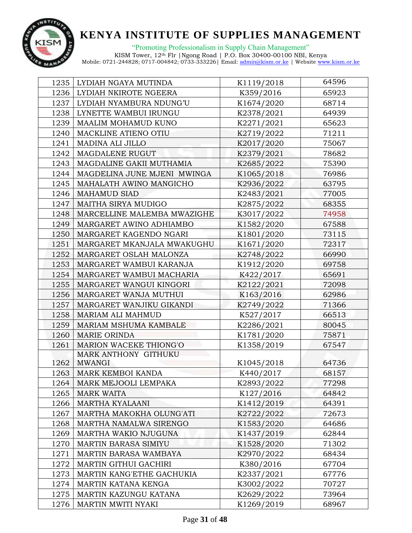

"Promoting Professionalism in Supply Chain Management" KISM Tower, 12th Flr |Ngong Road | P.O. Box 30400-00100 NBI, Kenya

| 1235 | LYDIAH NGAYA MUTINDA        | K1119/2018 | 64596 |
|------|-----------------------------|------------|-------|
| 1236 | LYDIAH NKIROTE NGEERA       | K359/2016  | 65923 |
| 1237 | LYDIAH NYAMBURA NDUNG'U     | K1674/2020 | 68714 |
| 1238 | LYNETTE WAMBUI IRUNGU       | K2378/2021 | 64939 |
| 1239 | MAALIM MOHAMUD KUNO         | K2271/2021 | 65623 |
| 1240 | MACKLINE ATIENO OTIU        | K2719/2022 | 71211 |
| 1241 | MADINA ALI JILLO            | K2017/2020 | 75067 |
| 1242 | MAGDALENE RUGUT             | K2379/2021 | 78682 |
| 1243 | MAGDALINE GAKII MUTHAMIA    | K2685/2022 | 75390 |
| 1244 | MAGDELINA JUNE MJENI MWINGA | K1065/2018 | 76986 |
| 1245 | MAHALATH AWINO MANGICHO     | K2936/2022 | 63795 |
| 1246 | <b>MAHAMUD SIAD</b>         | K2483/2021 | 77005 |
| 1247 | MAITHA SIRYA MUDIGO         | K2875/2022 | 68355 |
| 1248 | MARCELLINE MALEMBA MWAZIGHE | K3017/2022 | 74958 |
| 1249 | MARGARET AWINO ADHIAMBO     | K1582/2020 | 67588 |
| 1250 | MARGARET KAGENDO NGARI      | K1801/2020 | 73115 |
| 1251 | MARGARET MKANJALA MWAKUGHU  | K1671/2020 | 72317 |
| 1252 | MARGARET OSLAH MALONZA      | K2748/2022 | 66990 |
| 1253 | MARGARET WAMBUI KARANJA     | K1912/2020 | 69758 |
| 1254 | MARGARET WAMBUI MACHARIA    | K422/2017  | 65691 |
| 1255 | MARGARET WANGUI KINGORI     | K2122/2021 | 72098 |
| 1256 | MARGARET WANJA MUTHUI       | K163/2016  | 62986 |
| 1257 | MARGARET WANJIKU GIKANDI    | K2749/2022 | 71366 |
| 1258 | MARIAM ALI MAHMUD           | K527/2017  | 66513 |
| 1259 | MARIAM MSHUMA KAMBALE       | K2286/2021 | 80045 |
| 1260 | MARIE ORINDA                | K1781/2020 | 75871 |
| 1261 | MARION WACEKE THIONG'O      | K1358/2019 | 67547 |
|      | MARK ANTHONY GITHUKU        |            |       |
| 1262 | <b>MWANGI</b>               | K1045/2018 | 64736 |
| 1263 | MARK KEMBOI KANDA           | K440/2017  | 68157 |
| 1264 | MARK MEJOOLI LEMPAKA        | K2893/2022 | 77298 |
| 1265 | <b>MARK WAITA</b>           | K127/2016  | 64842 |
| 1266 | <b>MARTHA KYALAANI</b>      | K1412/2019 | 64391 |
| 1267 | MARTHA MAKOKHA OLUNG'ATI    | K2722/2022 | 72673 |
| 1268 | MARTHA NAMALWA SIRENGO      | K1583/2020 | 64686 |
| 1269 | MARTHA WAKIO NJUGUNA        | K1437/2019 | 62844 |
| 1270 | <b>MARTIN BARASA SIMIYU</b> | K1528/2020 | 71302 |
| 1271 | MARTIN BARASA WAMBAYA       | K2970/2022 | 68434 |
| 1272 | MARTIN GITHUI GACHIRI       | K380/2016  | 67704 |
| 1273 | MARTIN KANG'ETHE GACHUKIA   | K2337/2021 | 67776 |
| 1274 | MARTIN KATANA KENGA         | K3002/2022 | 70727 |
| 1275 | MARTIN KAZUNGU KATANA       | K2629/2022 | 73964 |
| 1276 | MARTIN MWITI NYAKI          | K1269/2019 | 68967 |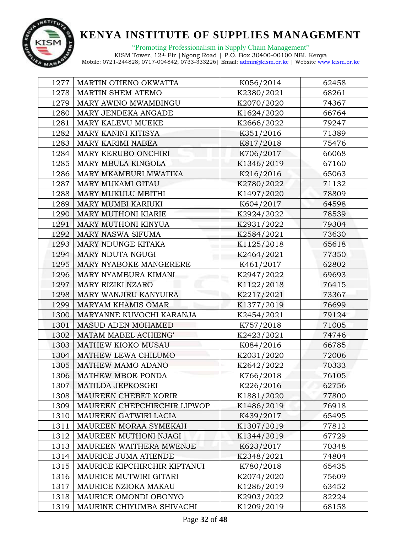

"Promoting Professionalism in Supply Chain Management"

| 1277 | MARTIN OTIENO OKWATTA        | K056/2014  | 62458 |
|------|------------------------------|------------|-------|
| 1278 | MARTIN SHEM ATEMO            | K2380/2021 | 68261 |
| 1279 | MARY AWINO MWAMBINGU         | K2070/2020 | 74367 |
| 1280 | MARY JENDEKA ANGADE          | K1624/2020 | 66764 |
| 1281 | MARY KALEVU MUEKE            | K2666/2022 | 79247 |
| 1282 | MARY KANINI KITISYA          | K351/2016  | 71389 |
| 1283 | MARY KARIMI NABEA            | K817/2018  | 75476 |
| 1284 | MARY KERUBO ONCHIRI          | K706/2017  | 66068 |
| 1285 | MARY MBULA KINGOLA           | K1346/2019 | 67160 |
| 1286 | MARY MKAMBURI MWATIKA        | K216/2016  | 65063 |
| 1287 | MARY MUKAMI GITAU            | K2780/2022 | 71132 |
| 1288 | MARY MUKULU MBITHI           | K1497/2020 | 78809 |
| 1289 | MARY MUMBI KARIUKI           | K604/2017  | 64598 |
| 1290 | MARY MUTHONI KIARIE          | K2924/2022 | 78539 |
| 1291 | MARY MUTHONI KINYUA          | K2931/2022 | 79304 |
| 1292 | MARY NASWA SIFUMA            | K2584/2021 | 73630 |
| 1293 | MARY NDUNGE KITAKA           | K1125/2018 | 65618 |
| 1294 | MARY NDUTA NGUGI             | K2464/2021 | 77350 |
| 1295 | MARY NYABOKE MANGERERE       | K461/2017  | 62802 |
| 1296 | MARY NYAMBURA KIMANI         | K2947/2022 | 69693 |
| 1297 | MARY RIZIKI NZARO            | K1122/2018 | 76415 |
| 1298 | MARY WANJIRU KANYUIRA        | K2217/2021 | 73367 |
| 1299 | MARYAM KHAMIS OMAR           | K1377/2019 | 76699 |
| 1300 | MARYANNE KUVOCHI KARANJA     | K2454/2021 | 79124 |
| 1301 | MASUD ADEN MOHAMED           | K757/2018  | 71005 |
| 1302 | MATAM MABEL ACHIENG'         | K2423/2021 | 74746 |
| 1303 | MATHEW KIOKO MUSAU           | K084/2016  | 66785 |
| 1304 | MATHEW LEWA CHILUMO          | K2031/2020 | 72006 |
| 1305 | MATHEW MAMO ADANO            | K2642/2022 | 70333 |
| 1306 | MATHEW MBOE PONDA            | K766/2018  | 76105 |
| 1307 | MATILDA JEPKOSGEI            | K226/2016  | 62756 |
| 1308 | MAUREEN CHEBET KORIR         | K1881/2020 | 77800 |
| 1309 | MAUREEN CHEPCHIRCHIR LIPWOP  | K1486/2019 | 76918 |
| 1310 | MAUREEN GATWIRI LACIA        | K439/2017  | 65495 |
| 1311 | MAUREEN MORAA SYMEKAH        | K1307/2019 | 77812 |
| 1312 | MAUREEN MUTHONI NJAGI        | K1344/2019 | 67729 |
| 1313 | MAUREEN WAITHERA MWENJE      | K623/2017  | 70348 |
| 1314 | MAURICE JUMA ATIENDE         | K2348/2021 | 74804 |
| 1315 | MAURICE KIPCHIRCHIR KIPTANUI | K780/2018  | 65435 |
| 1316 | MAURICE MUTWIRI GITARI       | K2074/2020 | 75609 |
| 1317 | MAURICE NZIOKA MAKAU         | K1286/2019 | 63452 |
| 1318 | MAURICE OMONDI OBONYO        | K2903/2022 | 82224 |
| 1319 | MAURINE CHIYUMBA SHIVACHI    | K1209/2019 | 68158 |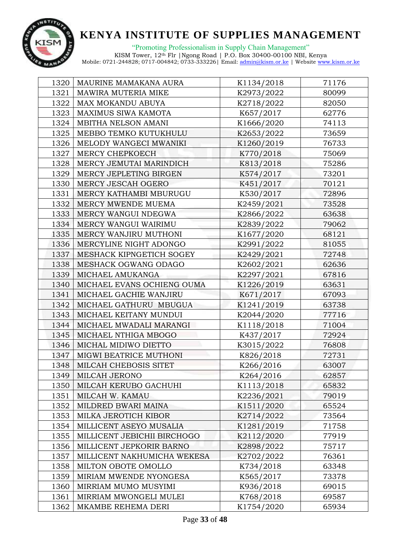

"Promoting Professionalism in Supply Chain Management" KISM Tower, 12th Flr |Ngong Road | P.O. Box 30400-00100 NBI, Kenya

| 1320 | MAURINE MAMAKANA AURA       | K1134/2018 | 71176 |
|------|-----------------------------|------------|-------|
| 1321 | MAWIRA MUTERIA MIKE         | K2973/2022 | 80099 |
| 1322 | MAX MOKANDU ABUYA           | K2718/2022 | 82050 |
| 1323 | MAXIMUS SIWA KAMOTA         | K657/2017  | 62776 |
| 1324 | MBITHA NELSON AMANI         | K1666/2020 | 74113 |
| 1325 | MEBBO TEMKO KUTUKHULU       | K2653/2022 | 73659 |
| 1326 | MELODY WANGECI MWANIKI      | K1260/2019 | 76733 |
| 1327 | MERCY CHEPKOECH             | K770/2018  | 75069 |
| 1328 | MERCY JEMUTAI MARINDICH     | K813/2018  | 75286 |
| 1329 | MERCY JEPLETING BIRGEN      | K574/2017  | 73201 |
| 1330 | MERCY JESCAH OGERO          | K451/2017  | 70121 |
| 1331 | MERCY KATHAMBI MBURUGU      | K530/2017  | 72896 |
| 1332 | MERCY MWENDE MUEMA          | K2459/2021 | 73528 |
| 1333 | MERCY WANGUI NDEGWA         | K2866/2022 | 63638 |
| 1334 | MERCY WANGUI WAIRIMU        | K2839/2022 | 79062 |
| 1335 | MERCY WANJIRU MUTHONI       | K1677/2020 | 68121 |
| 1336 | MERCYLINE NIGHT ADONGO      | K2991/2022 | 81055 |
| 1337 | MESHACK KIPNGETICH SOGEY    | K2429/2021 | 72748 |
| 1338 | MESHACK OGWANG ODAGO        | K2602/2021 | 62636 |
| 1339 | MICHAEL AMUKANGA            | K2297/2021 | 67816 |
| 1340 | MICHAEL EVANS OCHIENG OUMA  | K1226/2019 | 63631 |
| 1341 | MICHAEL GACHIE WANJIRU      | K671/2017  | 67093 |
| 1342 | MICHAEL GATHURU MBUGUA      | K1241/2019 | 63738 |
| 1343 | MICHAEL KEITANY MUNDUI      | K2044/2020 | 77716 |
| 1344 | MICHAEL MWADALI MARANGI     | K1118/2018 | 71004 |
| 1345 | MICHAEL NTHIGA MBOGO        | K437/2017  | 72924 |
| 1346 | MICHAL MIDIWO DIETTO        | K3015/2022 | 76808 |
| 1347 | MIGWI BEATRICE MUTHONI      | K826/2018  | 72731 |
| 1348 | MILCAH CHEBOSIS SITET       | K266/2016  | 63007 |
| 1349 | MILCAH JERONO               | K264/2016  | 62857 |
| 1350 | MILCAH KERUBO GACHUHI       | K1113/2018 | 65832 |
| 1351 | MILCAH W. KAMAU             | K2236/2021 | 79019 |
| 1352 | MILDRED BWARI MAINA         | K1511/2020 | 65524 |
| 1353 | MILKA JEROTICH KIBOR        | K2714/2022 | 73564 |
| 1354 | MILLICENT ASEYO MUSALIA     | K1281/2019 | 71758 |
| 1355 | MILLICENT JEBICHII BIRCHOGO | K2112/2020 | 77919 |
| 1356 | MILLICENT JEPKORIR BARNO    | K2898/2022 | 75717 |
| 1357 | MILLICENT NAKHUMICHA WEKESA | K2702/2022 | 76361 |
| 1358 | MILTON OBOTE OMOLLO         | K734/2018  | 63348 |
| 1359 | MIRIAM MWENDE NYONGESA      | K565/2017  | 73378 |
| 1360 | MIRRIAM MUMO MUSYIMI        | K936/2018  | 69015 |
| 1361 | MIRRIAM MWONGELI MULEI      | K768/2018  | 69587 |
| 1362 | MKAMBE REHEMA DERI          | K1754/2020 | 65934 |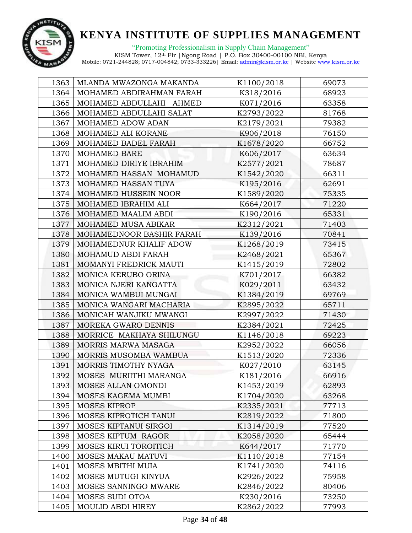

|      | 1363   MLANDA MWAZONGA MAKANDA | K1100/2018 | 69073 |
|------|--------------------------------|------------|-------|
| 1364 | MOHAMED ABDIRAHMAN FARAH       | K318/2016  | 68923 |
| 1365 | MOHAMED ABDULLAHI AHMED        | K071/2016  | 63358 |
| 1366 | MOHAMED ABDULLAHI SALAT        | K2793/2022 | 81768 |
| 1367 | MOHAMED ADOW ADAN              | K2179/2021 | 79382 |
| 1368 | MOHAMED ALI KORANE             | K906/2018  | 76150 |
| 1369 | MOHAMED BADEL FARAH            | K1678/2020 | 66752 |
| 1370 | MOHAMED BARE                   | K606/2017  | 63634 |
| 1371 | MOHAMED DIRIYE IBRAHIM         | K2577/2021 | 78687 |
| 1372 | MOHAMED HASSAN MOHAMUD         | K1542/2020 | 66311 |
| 1373 | MOHAMED HASSAN TUYA            | K195/2016  | 62691 |
| 1374 | MOHAMED HUSSEIN NOOR           | K1589/2020 | 75335 |
| 1375 | MOHAMED IBRAHIM ALI            | K664/2017  | 71220 |
| 1376 | MOHAMED MAALIM ABDI            | K190/2016  | 65331 |
| 1377 | MOHAMED MUSA ABIKAR            | K2312/2021 | 71403 |
| 1378 | MOHAMEDNOOR BASHIR FARAH       | K139/2016  | 70841 |
| 1379 | MOHAMEDNUR KHALIF ADOW         | K1268/2019 | 73415 |
| 1380 | MOHAMUD ABDI FARAH             | K2468/2021 | 65367 |
| 1381 | MOMANYI FREDRICK MAUTI         | K1415/2019 | 72802 |
| 1382 | MONICA KERUBO ORINA            | K701/2017  | 66382 |
| 1383 | MONICA NJERI KANGATTA          | K029/2011  | 63432 |
| 1384 | MONICA WAMBUI MUNGAI           | K1384/2019 | 69769 |
| 1385 | MONICA WANGARI MACHARIA        | K2895/2022 | 65711 |
| 1386 | MONICAH WANJIKU MWANGI         | K2997/2022 | 71430 |
| 1387 | MOREKA GWARO DENNIS            | K2384/2021 | 72425 |
| 1388 | MORRICE MAKHAYA SHILUNGU       | K1146/2018 | 69223 |
| 1389 | MORRIS MARWA MASAGA            | K2952/2022 | 66056 |
| 1390 | MORRIS MUSOMBA WAMBUA          | K1513/2020 | 72336 |
| 1391 | MORRIS TIMOTHY NYAGA           | K027/2010  | 63145 |
| 1392 | MOSES MURIITHI MARANGA         | K181/2016  | 66916 |
| 1393 | MOSES ALLAN OMONDI             | K1453/2019 | 62893 |
| 1394 | MOSES KAGEMA MUMBI             | K1704/2020 | 63268 |
| 1395 | <b>MOSES KIPROP</b>            | K2335/2021 | 77713 |
| 1396 | MOSES KIPROTICH TANUI          | K2819/2022 | 71800 |
| 1397 | MOSES KIPTANUI SIRGOI          | K1314/2019 | 77520 |
| 1398 | MOSES KIPTUM RAGOR             | K2058/2020 | 65444 |
| 1399 | MOSES KIRUI TOROITICH          | K644/2017  | 71770 |
| 1400 | MOSES MAKAU MATUVI             | K1110/2018 | 77154 |
| 1401 | MOSES MBITHI MUIA              | K1741/2020 | 74116 |
| 1402 | MOSES MUTUGI KINYUA            | K2926/2022 | 75958 |
| 1403 | MOSES SANNINGO MWARE           | K2846/2022 | 80406 |
| 1404 | MOSES SUDI OTOA                | K230/2016  | 73250 |
| 1405 | MOULID ABDI HIREY              | K2862/2022 | 77993 |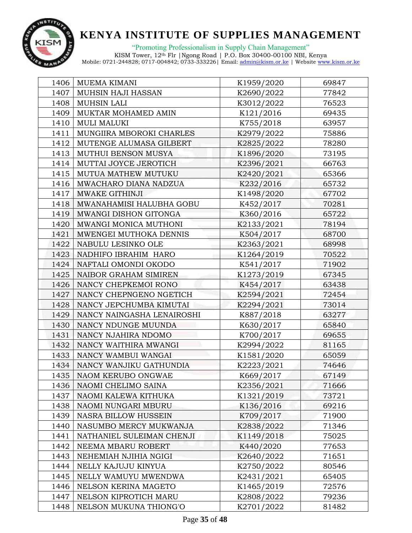

"Promoting Professionalism in Supply Chain Management"

| 1406 | MUEMA KIMANI                | K1959/2020 | 69847 |
|------|-----------------------------|------------|-------|
| 1407 | MUHSIN HAJI HASSAN          | K2690/2022 | 77842 |
| 1408 | <b>MUHSIN LALI</b>          | K3012/2022 | 76523 |
| 1409 | MUKTAR MOHAMED AMIN         | K121/2016  | 69435 |
| 1410 | <b>MULI MALUKI</b>          | K755/2018  | 63957 |
| 1411 | MUNGIIRA MBOROKI CHARLES    | K2979/2022 | 75886 |
| 1412 | MUTENGE ALUMASA GILBERT     | K2825/2022 | 78280 |
| 1413 | MUTHUI BENSON MUSYA         | K1896/2020 | 73195 |
| 1414 | MUTTAI JOYCE JEROTICH       | K2396/2021 | 66763 |
| 1415 | MUTUA MATHEW MUTUKU         | K2420/2021 | 65366 |
| 1416 | MWACHARO DIANA NADZUA       | K232/2016  | 65732 |
| 1417 | MWAKE GITHINJI              | K1498/2020 | 67702 |
| 1418 | MWANAHAMISI HALUBHA GOBU    | K452/2017  | 70281 |
| 1419 | MWANGI DISHON GITONGA       | K360/2016  | 65722 |
| 1420 | MWANGI MONICA MUTHONI       | K2133/2021 | 78194 |
| 1421 | MWENGEI MUTHOKA DENNIS      | K504/2017  | 68700 |
| 1422 | NABULU LESINKO OLE          | K2363/2021 | 68998 |
| 1423 | NADHIFO IBRAHIM HARO        | K1264/2019 | 70522 |
| 1424 | NAFTALI OMONDI OKODO        | K541/2017  | 71902 |
| 1425 | NAIBOR GRAHAM SIMIREN       | K1273/2019 | 67345 |
| 1426 | NANCY CHEPKEMOI RONO        | K454/2017  | 63438 |
| 1427 | NANCY CHEPNGENO NGETICH     | K2594/2021 | 72454 |
| 1428 | NANCY JEPCHUMBA KIMUTAI     | K2294/2021 | 73014 |
| 1429 | NANCY NAINGASHA LENAIROSHI  | K887/2018  | 63277 |
| 1430 | NANCY NDUNGE MUUNDA         | K630/2017  | 65840 |
| 1431 | NANCY NJAHIRA NDOMO         | K700/2017  | 69655 |
| 1432 | NANCY WAITHIRA MWANGI       | K2994/2022 | 81165 |
| 1433 | NANCY WAMBUI WANGAI         | K1581/2020 | 65059 |
| 1434 | NANCY WANJIKU GATHUNDIA     | K2223/2021 | 74646 |
| 1435 | NAOM KERUBO ONGWAE          | K669/2017  | 67149 |
| 1436 | NAOMI CHELIMO SAINA         | K2356/2021 | 71666 |
| 1437 | NAOMI KALEWA KITHUKA        | K1321/2019 | 73721 |
| 1438 | NAOMI NUNGARI MBURU         | K136/2016  | 69216 |
| 1439 | <b>NASRA BILLOW HUSSEIN</b> | K709/2017  | 71900 |
| 1440 | NASUMBO MERCY MUKWANJA      | K2838/2022 | 71346 |
| 1441 | NATHANIEL SULEIMAN CHENJI   | K1149/2018 | 75025 |
| 1442 | NEEMA MBARU ROBERT          | K440/2020  | 77653 |
| 1443 | NEHEMIAH NJIHIA NGIGI       | K2640/2022 | 71651 |
| 1444 | NELLY KAJUJU KINYUA         | K2750/2022 | 80546 |
| 1445 | NELLY WAMUYU MWENDWA        | K2431/2021 | 65405 |
| 1446 | NELSON KERINA MAGETO        | K1465/2019 | 72576 |
| 1447 | NELSON KIPROTICH MARU       | K2808/2022 | 79236 |
| 1448 | NELSON MUKUNA THIONG'O      | K2701/2022 | 81482 |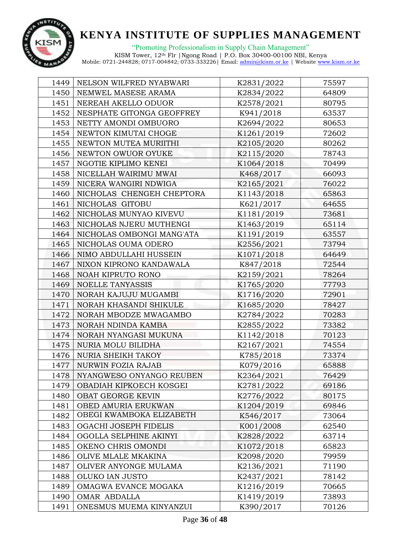

| 1449 | NELSON WILFRED NYABWARI   | K2831/2022 | 75597 |
|------|---------------------------|------------|-------|
| 1450 | NEMWEL MASESE ARAMA       | K2834/2022 | 64809 |
| 1451 | NEREAH AKELLO ODUOR       | K2578/2021 | 80795 |
| 1452 | NESPHATE GITONGA GEOFFREY | K941/2018  | 63537 |
| 1453 | NETTY AMONDI OMBUORO      | K2694/2022 | 80653 |
| 1454 | NEWTON KIMUTAI CHOGE      | K1261/2019 | 72602 |
| 1455 | NEWTON MUTEA MURIITHI     | K2105/2020 | 80262 |
| 1456 | NEWTON OWUOR OYUKE        | K2115/2020 | 78743 |
| 1457 | NGOTIE KIPLIMO KENEI      | K1064/2018 | 70499 |
| 1458 | NICELLAH WAIRIMU MWAI     | K468/2017  | 66093 |
| 1459 | NICERA WANGIRI NDWIGA     | K2165/2021 | 76022 |
| 1460 | NICHOLAS CHENGEH CHEPTORA | K1143/2018 | 65863 |
| 1461 | NICHOLAS GITOBU           | K621/2017  | 64655 |
| 1462 | NICHOLAS MUNYAO KIVEVU    | K1181/2019 | 73681 |
| 1463 | NICHOLAS NJERU MUTHENGI   | K1463/2019 | 65114 |
| 1464 | NICHOLAS OMBONGI MANG'ATA | K1191/2019 | 63557 |
| 1465 | NICHOLAS OUMA ODERO       | K2556/2021 | 73794 |
| 1466 | NIMO ABDULLAHI HUSSEIN    | K1071/2018 | 64649 |
| 1467 | NIXON KIPRONO KANDAWALA   | K847/2018  | 72544 |
| 1468 | NOAH KIPRUTO RONO         | K2159/2021 | 78264 |
| 1469 | <b>NOELLE TANYASSIS</b>   | K1765/2020 | 77793 |
| 1470 | NORAH KAJUJU MUGAMBI      | K1716/2020 | 72901 |
| 1471 | NORAH KHASANDI SHIKULE    | K1685/2020 | 78427 |
| 1472 | NORAH MBODZE MWAGAMBO     | K2784/2022 | 70283 |
| 1473 | NORAH NDINDA KAMBA        | K2855/2022 | 73382 |
| 1474 | NORAH NYANGASI MUKUNA     | K1142/2018 | 70123 |
| 1475 | NURIA MOLU BILIDHA        | K2167/2021 | 74554 |
| 1476 | <b>NURIA SHEIKH TAKOY</b> | K785/2018  | 73374 |
| 1477 | NURWIN FOZIA RAJAB        | K079/2016  | 65888 |
| 1478 | NYANGWESO ONYANGO REUBEN  | K2364/2021 | 76429 |
| 1479 | OBADIAH KIPKOECH KOSGEI   | K2781/2022 | 69186 |
| 1480 | OBAT GEORGE KEVIN         | K2776/2022 | 80175 |
| 1481 | OBED AMURIA ERUKWAN       | K1204/2019 | 69846 |
| 1482 | OBEGI KWAMBOKA ELIZABETH  | K546/2017  | 73064 |
| 1483 | OGACHI JOSEPH FIDELIS     | K001/2008  | 62540 |
| 1484 | OGOLLA SELPHINE AKINYI    | K2828/2022 | 63714 |
| 1485 | OKENO CHRIS OMONDI        | K1072/2018 | 65823 |
| 1486 | OLIVE MLALE MKAKINA       | K2098/2020 | 79959 |
| 1487 | OLIVER ANYONGE MULAMA     | K2136/2021 | 71190 |
| 1488 | OLUKO IAN JUSTO           | K2437/2021 | 78142 |
| 1489 | OMAGWA EVANCE MOGAKA      | K1216/2019 | 70665 |
| 1490 | OMAR ABDALLA              | K1419/2019 | 73893 |
| 1491 | ONESMUS MUEMA KINYANZUI   | K390/2017  | 70126 |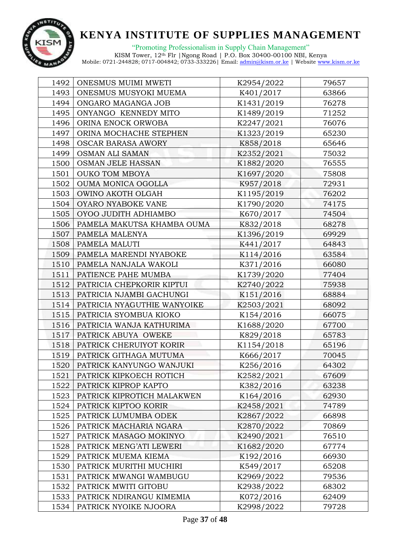

"Promoting Professionalism in Supply Chain Management" KISM Tower, 12th Flr |Ngong Road | P.O. Box 30400-00100 NBI, Kenya

| 1492 | ONESMUS MUIMI MWETI         | K2954/2022 | 79657 |
|------|-----------------------------|------------|-------|
| 1493 | ONESMUS MUSYOKI MUEMA       | K401/2017  | 63866 |
| 1494 | ONGARO MAGANGA JOB          | K1431/2019 | 76278 |
| 1495 | ONYANGO KENNEDY MITO        | K1489/2019 | 71252 |
| 1496 | ORINA ENOCK ORWOBA          | K2247/2021 | 76076 |
| 1497 | ORINA MOCHACHE STEPHEN      | K1323/2019 | 65230 |
| 1498 | <b>OSCAR BARASA AWORY</b>   | K858/2018  | 65646 |
| 1499 | OSMAN ALI SAMAN             | K2352/2021 | 75032 |
| 1500 | OSMAN JELE HASSAN           | K1882/2020 | 76555 |
| 1501 | <b>OUKO TOM MBOYA</b>       | K1697/2020 | 75808 |
| 1502 | OUMA MONICA OGOLLA          | K957/2018  | 72931 |
| 1503 | OWINO AKOTH OLGAH           | K1195/2019 | 76202 |
| 1504 | OYARO NYABOKE VANE          | K1790/2020 | 74175 |
| 1505 | OYOO JUDITH ADHIAMBO        | K670/2017  | 74504 |
| 1506 | PAMELA MAKUTSA KHAMBA OUMA  | K832/2018  | 68278 |
| 1507 | PAMELA MALENYA              | K1396/2019 | 69929 |
| 1508 | PAMELA MALUTI               | K441/2017  | 64843 |
| 1509 | PAMELA MARENDI NYABOKE      | K114/2016  | 63584 |
| 1510 | PAMELA NANJALA WAKOLI       | K371/2016  | 66080 |
| 1511 | PATIENCE PAHE MUMBA         | K1739/2020 | 77404 |
| 1512 | PATRICIA CHEPKORIR KIPTUI   | K2740/2022 | 75938 |
| 1513 | PATRICIA NJAMBI GACHUNGI    | K151/2016  | 68884 |
| 1514 | PATRICIA NYAGUTHIE WANYOIKE | K2503/2021 | 68092 |
| 1515 | PATRICIA SYOMBUA KIOKO      | K154/2016  | 66075 |
| 1516 | PATRICIA WANJA KATHURIMA    | K1688/2020 | 67700 |
| 1517 | PATRICK ABUYA OWEKE         | K829/2018  | 65783 |
| 1518 | PATRICK CHERUIYOT KORIR     | K1154/2018 | 65196 |
| 1519 | PATRICK GITHAGA MUTUMA      | K666/2017  | 70045 |
| 1520 | PATRICK KANYUNGO WANJUKI    | K256/2016  | 64302 |
| 1521 | PATRICK KIPKOECH ROTICH     | K2582/2021 | 67609 |
| 1522 | PATRICK KIPROP KAPTO        | K382/2016  | 63238 |
| 1523 | PATRICK KIPROTICH MALAKWEN  | K164/2016  | 62930 |
| 1524 | PATRICK KIPTOO KORIR        | K2458/2021 | 74789 |
| 1525 | PATRICK LUMUMBA ODEK        | K2867/2022 | 66898 |
| 1526 | PATRICK MACHARIA NGARA      | K2870/2022 | 70869 |
| 1527 | PATRICK MASAGO MOKINYO      | K2490/2021 | 76510 |
| 1528 | PATRICK MENG'ATI LEWERI     | K1682/2020 | 67774 |
| 1529 | PATRICK MUEMA KIEMA         | K192/2016  | 66930 |
| 1530 | PATRICK MURITHI MUCHIRI     | K549/2017  | 65208 |
| 1531 | PATRICK MWANGI WAMBUGU      | K2969/2022 | 79536 |
| 1532 | PATRICK MWITI GITOBU        | K2938/2022 | 68302 |
| 1533 | PATRICK NDIRANGU KIMEMIA    | K072/2016  | 62409 |
| 1534 | PATRICK NYOIKE NJOORA       | K2998/2022 | 79728 |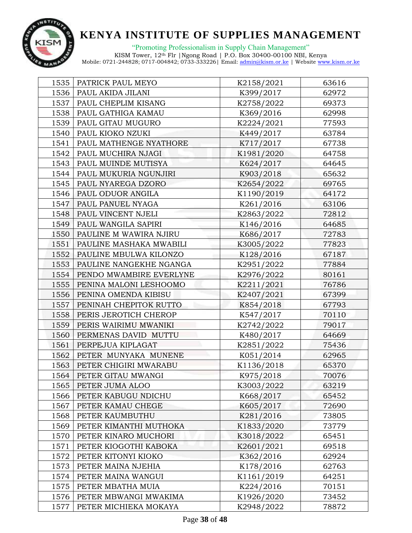

"Promoting Professionalism in Supply Chain Management"

| 1535 | PATRICK PAUL MEYO       | K2158/2021 | 63616 |
|------|-------------------------|------------|-------|
| 1536 | PAUL AKIDA JILANI       | K399/2017  | 62972 |
| 1537 | PAUL CHEPLIM KISANG     | K2758/2022 | 69373 |
| 1538 | PAUL GATHIGA KAMAU      | K369/2016  | 62998 |
| 1539 | PAUL GITAU MUGURO       | K2224/2021 | 77593 |
| 1540 | PAUL KIOKO NZUKI        | K449/2017  | 63784 |
| 1541 | PAUL MATHENGE NYATHORE  | K717/2017  | 67738 |
| 1542 | PAUL MUCHIRA NJAGI      | K1981/2020 | 64758 |
| 1543 | PAUL MUINDE MUTISYA     | K624/2017  | 64645 |
| 1544 | PAUL MUKURIA NGUNJIRI   | K903/2018  | 65632 |
| 1545 | PAUL NYAREGA DZORO      | K2654/2022 | 69765 |
| 1546 | PAUL ODUOR ANGILA       | K1190/2019 | 64172 |
| 1547 | PAUL PANUEL NYAGA       | K261/2016  | 63106 |
| 1548 | PAUL VINCENT NJELI      | K2863/2022 | 72812 |
| 1549 | PAUL WANGILA SAPIRI     | K146/2016  | 64685 |
| 1550 | PAULINE M WAWIRA NJIRU  | K686/2017  | 72783 |
| 1551 | PAULINE MASHAKA MWABILI | K3005/2022 | 77823 |
| 1552 | PAULINE MBULWA KILONZO  | K128/2016  | 67187 |
| 1553 | PAULINE NANGEKHE NGANGA | K2951/2022 | 77884 |
| 1554 | PENDO MWAMBIRE EVERLYNE | K2976/2022 | 80161 |
| 1555 | PENINA MALONI LESHOOMO  | K2211/2021 | 76786 |
| 1556 | PENINA OMENDA KIBISU    | K2407/2021 | 67399 |
| 1557 | PENINAH CHEPITOK RUTTO  | K854/2018  | 67793 |
| 1558 | PERIS JEROTICH CHEROP   | K547/2017  | 70110 |
| 1559 | PERIS WAIRIMU MWANIKI   | K2742/2022 | 79017 |
| 1560 | PERMENAS DAVID MUTTU    | K480/2017  | 64669 |
| 1561 | PERPEJUA KIPLAGAT       | K2851/2022 | 75436 |
| 1562 | PETER MUNYAKA MUNENE    | K051/2014  | 62965 |
| 1563 | PETER CHIGIRI MWARABU   | K1136/2018 | 65370 |
| 1564 | PETER GITAU MWANGI      | K975/2018  | 70076 |
| 1565 | PETER JUMA ALOO         | K3003/2022 | 63219 |
| 1566 | PETER KABUGU NDICHU     | K668/2017  | 65452 |
| 1567 | PETER KAMAU CHEGE       | K605/2017  | 72690 |
| 1568 | PETER KAUMBUTHU         | K281/2016  | 73805 |
| 1569 | PETER KIMANTHI MUTHOKA  | K1833/2020 | 73779 |
| 1570 | PETER KINARO MUCHORI    | K3018/2022 | 65451 |
| 1571 | PETER KIOGOTHI KABOKA   | K2601/2021 | 69518 |
| 1572 | PETER KITONYI KIOKO     | K362/2016  | 62924 |
| 1573 | PETER MAINA NJEHIA      | K178/2016  | 62763 |
| 1574 | PETER MAINA WANGUI      | K1161/2019 | 64251 |
| 1575 | PETER MBATHA MUIA       | K224/2016  | 70151 |
| 1576 | PETER MBWANGI MWAKIMA   | K1926/2020 | 73452 |
| 1577 | PETER MICHIEKA MOKAYA   | K2948/2022 | 78872 |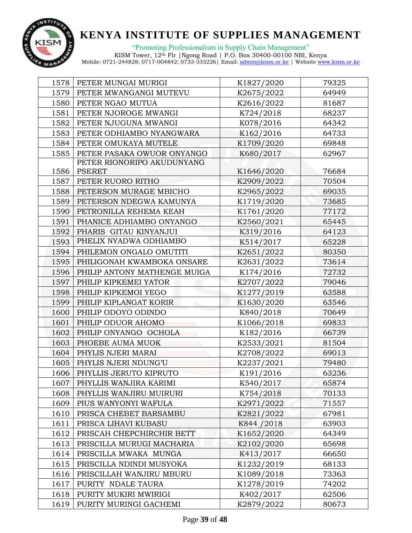

"Promoting Professionalism in Supply Chain Management" KISM Tower, 12th Flr |Ngong Road | P.O. Box 30400-00100 NBI, Kenya

| 1578 | PETER MUNGAI MURIGI          | K1827/2020  | 79325 |  |
|------|------------------------------|-------------|-------|--|
| 1579 | PETER MWANGANGI MUTEVU       | K2675/2022  | 64949 |  |
| 1580 | PETER NGAO MUTUA             | K2616/2022  | 81687 |  |
| 1581 | PETER NJOROGE MWANGI         | K724/2018   | 68237 |  |
| 1582 | PETER NJUGUNA MWANGI         | K078/2016   | 64342 |  |
| 1583 | PETER ODHIAMBO NYANGWARA     | K162/2016   | 64733 |  |
| 1584 | PETER OMUKAYA MUTELE         | K1709/2020  | 69848 |  |
| 1585 | PETER PASAKA OWUOR ONYANGO   | K680/2017   | 62967 |  |
|      | PETER RIONORIPO AKUDUNYANG   |             |       |  |
| 1586 | <b>PSERET</b>                | K1646/2020  | 76684 |  |
| 1587 | PETER RUORO RITHO            | K2909/2022  | 70504 |  |
| 1588 | PETERSON MURAGE MBICHO       | K2965/2022  | 69035 |  |
| 1589 | PETERSON NDEGWA KAMUNYA      | K1719/2020  | 73685 |  |
| 1590 | PETRONILLA REHEMA KEAH       | K1761/2020  | 77172 |  |
| 1591 | PHANICE ADHIAMBO ONYANGO     | K2560/2021  | 65445 |  |
| 1592 | PHARIS GITAU KINYANJUI       | K319/2016   | 64123 |  |
| 1593 | PHELIX NYADWA ODHIAMBO       | K514/2017   | 65228 |  |
| 1594 | PHILEMON ONGALO OMUTITI      | K2651/2022  | 80350 |  |
| 1595 | PHILIGONAH KWAMBOKA ONSARE   | K2631/2022  | 73614 |  |
| 1596 | PHILIP ANTONY MATHENGE MUIGA | K174/2016   | 72732 |  |
| 1597 | PHILIP KIPKEMEI YATOR        | K2707/2022  | 79046 |  |
| 1598 | PHILIP KIPKEMOI YEGO         | K1277/2019  | 63588 |  |
| 1599 | PHILIP KIPLANGAT KORIR       | K1630/2020  | 63546 |  |
| 1600 | PHILIP ODOYO ODINDO          | K840/2018   | 70649 |  |
| 1601 | PHILIP ODUOR AHOMO           | K1066/2018  | 69833 |  |
| 1602 | PHILIP ONYANGO OCHOLA        | K182/2016   | 66739 |  |
| 1603 | PHOEBE AUMA MUOK             | K2533/2021  | 81504 |  |
| 1604 | PHYLIS NJERI MARAI           | K2708/2022  | 69013 |  |
| 1605 | PHYLIS NJERI NDUNG'U         | K2237/2021  | 79480 |  |
| 1606 | PHYLLIS JERUTO KIPRUTO       | K191/2016   | 63236 |  |
| 1607 | PHYLLIS WANJIRA KARIMI       | K540/2017   | 65874 |  |
| 1608 | PHYLLIS WANJIRU MUIRURI      | K754/2018   | 70133 |  |
| 1609 | PIUS WANYONYI WAFULA         | K2971/2022  | 71557 |  |
| 1610 | PRISCA CHEBET BARSAMBU       | K2821/2022  | 67981 |  |
| 1611 | PRISCA LIHAVI KUBASU         | K844 / 2018 | 63903 |  |
| 1612 | PRISCAH CHEPCHIRCHIR BETT    | K1652/2020  | 64349 |  |
| 1613 | PRISCILLA MURUGI MACHARIA    | K2102/2020  | 65698 |  |
| 1614 | PRISCILLA MWAKA MUNGA        | K413/2017   | 66650 |  |
| 1615 | PRISCILLA NDINDI MUSYOKA     | K1232/2019  | 68133 |  |
| 1616 | PRISCILLAH WANJIRU MBURU     | K1089/2018  | 73363 |  |
| 1617 | PURITY NDALE TAURA           | K1278/2019  | 74202 |  |
| 1618 | PURITY MUKIRI MWIRIGI        | K402/2017   | 62506 |  |
| 1619 | PURITY MURINGI GACHEMI       | K2879/2022  | 80673 |  |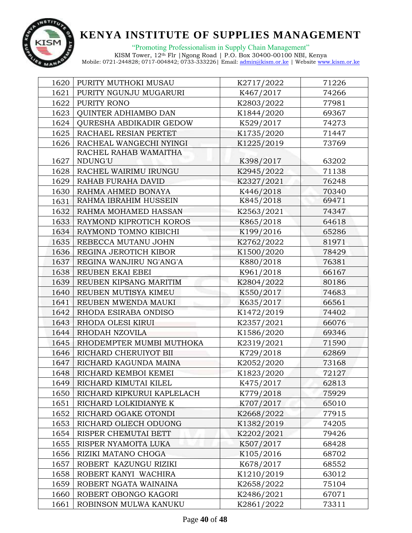

"Promoting Professionalism in Supply Chain Management" KISM Tower, 12th Flr |Ngong Road | P.O. Box 30400-00100 NBI, Kenya

| 1620 | PURITY MUTHOKI MUSAU           | K2717/2022 | 71226 |  |
|------|--------------------------------|------------|-------|--|
| 1621 | PURITY NGUNJU MUGARURI         | K467/2017  | 74266 |  |
| 1622 | PURITY RONO                    | K2803/2022 | 77981 |  |
| 1623 | QUINTER ADHIAMBO DAN           | K1844/2020 | 69367 |  |
| 1624 | <b>QURESHA ABDIKADIR GEDOW</b> | K529/2017  | 74273 |  |
| 1625 | RACHAEL RESIAN PERTET          | K1735/2020 | 71447 |  |
| 1626 | RACHEAL WANGECHI NYINGI        | K1225/2019 | 73769 |  |
|      | RACHEL RAHAB WAMAITHA          |            |       |  |
| 1627 | NDUNG'U                        | K398/2017  | 63202 |  |
| 1628 | RACHEL WAIRIMU IRUNGU          | K2945/2022 | 71138 |  |
| 1629 | RAHAB FURAHA DAVID             | K2327/2021 | 76248 |  |
| 1630 | RAHMA AHMED BONAYA             | K446/2018  | 70340 |  |
| 1631 | RAHMA IBRAHIM HUSSEIN          | K845/2018  | 69471 |  |
| 1632 | RAHMA MOHAMED HASSAN           | K2563/2021 | 74347 |  |
| 1633 | RAYMOND KIPROTICH KOROS        | K865/2018  | 64618 |  |
| 1634 | RAYMOND TOMNO KIBICHI          | K199/2016  | 65286 |  |
| 1635 | REBECCA MUTANU JOHN            | K2762/2022 | 81971 |  |
| 1636 | REGINA JEROTICH KIBOR          | K1500/2020 | 78429 |  |
| 1637 | REGINA WANJIRU NG'ANG'A        | K880/2018  | 76381 |  |
| 1638 | REUBEN EKAI EBEI               | K961/2018  | 66167 |  |
| 1639 | REUBEN KIPSANG MARITIM         | K2804/2022 | 80186 |  |
| 1640 | REUBEN MUTISYA KIMEU           | K550/2017  | 74683 |  |
| 1641 | REUBEN MWENDA MAUKI            | K635/2017  | 66561 |  |
| 1642 | RHODA ESIRABA ONDISO           | K1472/2019 | 74402 |  |
| 1643 | RHODA OLESI KIRUI              | K2357/2021 | 66076 |  |
| 1644 | RHODAH NZOVILA                 | K1586/2020 | 69346 |  |
| 1645 | RHODEMPTER MUMBI MUTHOKA       | K2319/2021 | 71590 |  |
| 1646 | RICHARD CHERUIYOT BII          | K729/2018  | 62869 |  |
| 1647 | RICHARD KAGUNDA MAINA          | K2052/2020 | 73168 |  |
| 1648 | RICHARD KEMBOI KEMEI           | K1823/2020 | 72127 |  |
| 1649 | RICHARD KIMUTAI KILEL          | K475/2017  | 62813 |  |
| 1650 | RICHARD KIPKURUI KAPLELACH     | K779/2018  | 75929 |  |
| 1651 | RICHARD LOLKIDIANYE K          | K707/2017  | 65010 |  |
| 1652 | RICHARD OGAKE OTONDI           | K2668/2022 | 77915 |  |
| 1653 | RICHARD OLIECH ODUONG          | K1382/2019 | 74205 |  |
| 1654 | RISPER CHEMUTAI BETT           | K2202/2021 | 79426 |  |
| 1655 | RISPER NYAMOITA LUKA           | K507/2017  | 68428 |  |
| 1656 | RIZIKI MATANO CHOGA            | K105/2016  | 68702 |  |
| 1657 | ROBERT KAZUNGU RIZIKI          | K678/2017  | 68552 |  |
| 1658 | ROBERT KANYI WACHIRA           | K1210/2019 | 63012 |  |
| 1659 | ROBERT NGATA WAINAINA          | K2658/2022 | 75104 |  |
| 1660 | ROBERT OBONGO KAGORI           | K2486/2021 | 67071 |  |
| 1661 | ROBINSON MULWA KANUKU          | K2861/2022 | 73311 |  |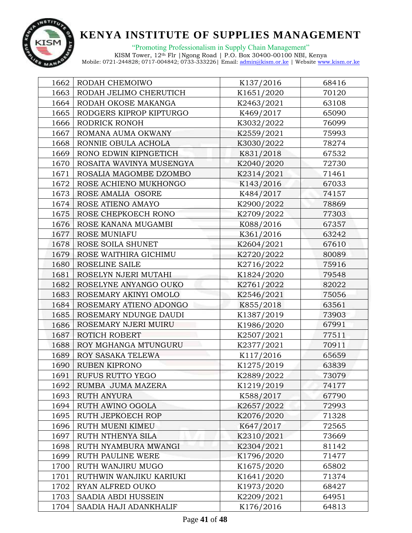

"Promoting Professionalism in Supply Chain Management" KISM Tower, 12th Flr |Ngong Road | P.O. Box 30400-00100 NBI, Kenya

|      | 1662   RODAH CHEMOIWO    | K137/2016  | 68416 |  |
|------|--------------------------|------------|-------|--|
| 1663 | RODAH JELIMO CHERUTICH   | K1651/2020 | 70120 |  |
| 1664 | RODAH OKOSE MAKANGA      | K2463/2021 | 63108 |  |
| 1665 | RODGERS KIPROP KIPTURGO  | K469/2017  | 65090 |  |
| 1666 | RODRICK RONOH            | K3032/2022 | 76099 |  |
| 1667 | ROMANA AUMA OKWANY       | K2559/2021 | 75993 |  |
| 1668 | RONNIE OBULA ACHOLA      | K3030/2022 | 78274 |  |
| 1669 | RONO EDWIN KIPNGETICH    | K831/2018  | 67532 |  |
| 1670 | ROSAITA WAVINYA MUSENGYA | K2040/2020 | 72730 |  |
| 1671 | ROSALIA MAGOMBE DZOMBO   | K2314/2021 | 71461 |  |
| 1672 | ROSE ACHIENO MUKHONGO    | K143/2016  | 67033 |  |
| 1673 | ROSE AMALIA OSORE        | K484/2017  | 74157 |  |
| 1674 | ROSE ATIENO AMAYO        | K2900/2022 | 78869 |  |
| 1675 | ROSE CHEPKOECH RONO      | K2709/2022 | 77303 |  |
| 1676 | ROSE KANANA MUGAMBI      | K088/2016  | 67357 |  |
| 1677 | ROSE MUNIAFU             | K361/2016  | 63242 |  |
| 1678 | ROSE SOILA SHUNET        | K2604/2021 | 67610 |  |
| 1679 | ROSE WAITHIRA GICHIMU    | K2720/2022 | 80089 |  |
| 1680 | ROSELINE SAILE           | K2716/2022 | 75916 |  |
| 1681 | ROSELYN NJERI MUTAHI     | K1824/2020 | 79548 |  |
| 1682 | ROSELYNE ANYANGO OUKO    | K2761/2022 | 82022 |  |
| 1683 | ROSEMARY AKINYI OMOLO    | K2546/2021 | 75056 |  |
| 1684 | ROSEMARY ATIENO ADONGO   | K855/2018  | 63561 |  |
| 1685 | ROSEMARY NDUNGE DAUDI    | K1387/2019 | 73903 |  |
| 1686 | ROSEMARY NJERI MUIRU     | K1986/2020 | 67991 |  |
| 1687 | ROTICH ROBERT            | K2507/2021 | 77511 |  |
| 1688 | ROY MGHANGA MTUNGURU     | K2377/2021 | 70911 |  |
| 1689 | ROY SASAKA TELEWA        | K117/2016  | 65659 |  |
| 1690 | <b>RUBEN KIPRONO</b>     | K1275/2019 | 63839 |  |
| 1691 | RUFUS RUTTO YEGO         | K2889/2022 | 73079 |  |
| 1692 | RUMBA JUMA MAZERA        | K1219/2019 | 74177 |  |
| 1693 | RUTH ANYURA              | K588/2017  | 67790 |  |
| 1694 | RUTH AWINO OGOLA         | K2657/2022 | 72993 |  |
| 1695 | RUTH JEPKOECH ROP        | K2076/2020 | 71328 |  |
| 1696 | RUTH MUENI KIMEU         | K647/2017  | 72565 |  |
| 1697 | RUTH NTHENYA SILA        | K2310/2021 | 73669 |  |
| 1698 | RUTH NYAMBURA MWANGI     | K2304/2021 | 81142 |  |
| 1699 | RUTH PAULINE WERE        | K1796/2020 | 71477 |  |
| 1700 | RUTH WANJIRU MUGO        | K1675/2020 | 65802 |  |
| 1701 | RUTHWIN WANJIKU KARIUKI  | K1641/2020 | 71374 |  |
| 1702 | RYAN ALFRED OUKO         | K1973/2020 | 68427 |  |
| 1703 | SAADIA ABDI HUSSEIN      | K2209/2021 | 64951 |  |
| 1704 | SAADIA HAJI ADANKHALIF   | K176/2016  | 64813 |  |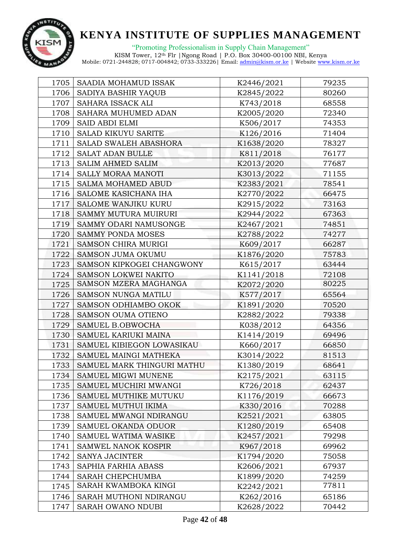

| 1705 | SAADIA MOHAMUD ISSAK         | K2446/2021 | 79235 |  |
|------|------------------------------|------------|-------|--|
| 1706 | SADIYA BASHIR YAQUB          | K2845/2022 | 80260 |  |
| 1707 | SAHARA ISSACK ALI            | K743/2018  | 68558 |  |
| 1708 | SAHARA MUHUMED ADAN          | K2005/2020 | 72340 |  |
| 1709 | SAID ABDI ELMI               | K506/2017  | 74353 |  |
| 1710 | SALAD KIKUYU SARITE          | K126/2016  | 71404 |  |
| 1711 | <b>SALAD SWALEH ABASHORA</b> | K1638/2020 | 78327 |  |
| 1712 | <b>SALAT ADAN BULLE</b>      | K811/2018  | 76177 |  |
| 1713 | <b>SALIM AHMED SALIM</b>     | K2013/2020 | 77687 |  |
| 1714 | SALLY MORAA MANOTI           | K3013/2022 | 71155 |  |
| 1715 | <b>SALMA MOHAMED ABUD</b>    | K2383/2021 | 78541 |  |
| 1716 | SALOME KASICHANA IHA         | K2770/2022 | 66475 |  |
| 1717 | SALOME WANJIKU KURU          | K2915/2022 | 73163 |  |
| 1718 | SAMMY MUTURA MUIRURI         | K2944/2022 | 67363 |  |
| 1719 | SAMMY ODARI NAMUSONGE        | K2467/2021 | 74851 |  |
| 1720 | <b>SAMMY PONDA MOSES</b>     | K2788/2022 | 74277 |  |
| 1721 | <b>SAMSON CHIRA MURIGI</b>   | K609/2017  | 66287 |  |
| 1722 | <b>SAMSON JUMA OKUMU</b>     | K1876/2020 | 75783 |  |
| 1723 | SAMSON KIPKOGEI CHANGWONY    | K615/2017  | 63444 |  |
| 1724 | SAMSON LOKWEI NAKITO         | K1141/2018 | 72108 |  |
| 1725 | SAMSON MZERA MAGHANGA        | K2072/2020 | 80225 |  |
| 1726 | SAMSON NUNGA MATILU          | K577/2017  | 65564 |  |
| 1727 | SAMSON ODHIAMBO OKOK         | K1891/2020 | 70520 |  |
| 1728 | <b>SAMSON OUMA OTIENO</b>    | K2882/2022 | 79338 |  |
| 1729 | SAMUEL B.OBWOCHA             | K038/2012  | 64356 |  |
| 1730 | SAMUEL KARIUKI MAINA         | K1414/2019 | 69496 |  |
| 1731 | SAMUEL KIBIEGON LOWASIKAU    | K660/2017  | 66850 |  |
| 1732 | SAMUEL MAINGI MATHEKA        | K3014/2022 | 81513 |  |
| 1733 | SAMUEL MARK THINGURI MATHU   | K1380/2019 | 68641 |  |
| 1734 | SAMUEL MIGWI MUNENE          | K2175/2021 | 63115 |  |
| 1735 | SAMUEL MUCHIRI MWANGI        | K726/2018  | 62437 |  |
| 1736 | SAMUEL MUTHIKE MUTUKU        | K1176/2019 | 66673 |  |
| 1737 | SAMUEL MUTHUI IKIMA          | K330/2016  | 70288 |  |
| 1738 | SAMUEL MWANGI NDIRANGU       | K2521/2021 | 63805 |  |
| 1739 | SAMUEL OKANDA ODUOR          | K1280/2019 | 65408 |  |
| 1740 | SAMUEL WATIMA WASIKE         | K2457/2021 | 79298 |  |
| 1741 | SAMWEL NANOK KOSPIR          | K967/2018  | 69962 |  |
| 1742 | <b>SANYA JACINTER</b>        | K1794/2020 | 75058 |  |
| 1743 | SAPHIA FARHIA ABASS          | K2606/2021 | 67937 |  |
| 1744 | SARAH CHEPCHUMBA             | K1899/2020 | 74259 |  |
| 1745 | SARAH KWAMBOKA KINGI         | K2242/2021 | 77811 |  |
| 1746 | SARAH MUTHONI NDIRANGU       | K262/2016  | 65186 |  |
| 1747 | SARAH OWANO NDUBI            | K2628/2022 | 70442 |  |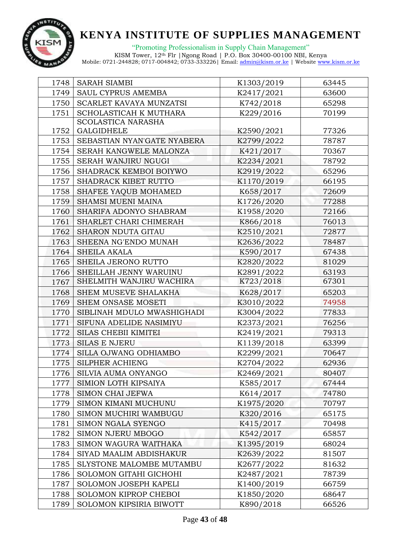

"Promoting Professionalism in Supply Chain Management"

| 1748 | <b>SARAH SIAMBI</b>         | K1303/2019         | 63445 |  |
|------|-----------------------------|--------------------|-------|--|
| 1749 | SAUL CYPRUS AMEMBA          | K2417/2021         | 63600 |  |
| 1750 | SCARLET KAVAYA MUNZATSI     | K742/2018          | 65298 |  |
| 1751 | SCHOLASTICAH K MUTHARA      | 70199<br>K229/2016 |       |  |
|      | <b>SCOLASTICA NARASHA</b>   |                    |       |  |
| 1752 | <b>GALGIDHELE</b>           | K2590/2021         | 77326 |  |
| 1753 | SEBASTIAN NYAN'GATE NYABERA | K2799/2022         | 78787 |  |
| 1754 | SERAH KANGWELE MALONZA      | K421/2017          | 70367 |  |
| 1755 | SERAH WANJIRU NGUGI         | K2234/2021         | 78792 |  |
| 1756 | SHADRACK KEMBOI BOIYWO      | K2919/2022         | 65296 |  |
| 1757 | SHADRACK KIBET RUTTO        | K1170/2019         | 66195 |  |
| 1758 | SHAFEE YAQUB MOHAMED        | K658/2017          | 72609 |  |
| 1759 | SHAMSI MUENI MAINA          | K1726/2020         | 77288 |  |
| 1760 | SHARIFA ADONYO SHABRAM      | K1958/2020         | 72166 |  |
| 1761 | SHARLET CHARI CHIMERAH      | K866/2018          | 76013 |  |
| 1762 | SHARON NDUTA GITAU          | K2510/2021         | 72877 |  |
| 1763 | SHEENA NG'ENDO MUNAH        | K2636/2022         | 78487 |  |
| 1764 | <b>SHEILA AKALA</b>         | K590/2017          | 67438 |  |
| 1765 | SHEILA JERONO RUTTO         | K2820/2022         | 81029 |  |
| 1766 | SHEILLAH JENNY WARUINU      | K2891/2022         | 63193 |  |
| 1767 | SHELMITH WANJIRU WACHIRA    | K723/2018          | 67301 |  |
| 1768 | SHEM MUSEVE SHALAKHA        | K628/2017          | 65203 |  |
| 1769 | SHEM ONSASE MOSETI          | K3010/2022         | 74958 |  |
| 1770 | SIBLINAH MDULO MWASHIGHADI  | K3004/2022         | 77833 |  |
| 1771 | SIFUNA ADELIDE NASIMIYU     | K2373/2021         | 76256 |  |
| 1772 | <b>SILAS CHEBII KIMITEI</b> | K2419/2021         | 79313 |  |
| 1773 | <b>SILAS E NJERU</b>        | K1139/2018         | 63399 |  |
| 1774 | SILLA OJWANG ODHIAMBO       | K2299/2021         | 70647 |  |
| 1775 | <b>SILPHER ACHIENG</b>      | K2704/2022         | 62936 |  |
| 1776 | SILVIA AUMA ONYANGO         | K2469/2021         | 80407 |  |
| 1777 | SIMION LOTH KIPSAIYA        | K585/2017          | 67444 |  |
| 1778 | <b>SIMON CHAI JEFWA</b>     | K614/2017          | 74780 |  |
| 1779 | SIMON KIMANI MUCHUNU        | K1975/2020         | 70797 |  |
| 1780 | SIMON MUCHIRI WAMBUGU       | K320/2016          | 65175 |  |
| 1781 | SIMON NGALA SYENGO          | K415/2017          | 70498 |  |
| 1782 | SIMON NJERU MBOGO           | K542/2017          | 65857 |  |
| 1783 | SIMON WAGURA WAITHAKA       | K1395/2019         | 68024 |  |
| 1784 | SIYAD MAALIM ABDISHAKUR     | K2639/2022         | 81507 |  |
| 1785 | SLYSTONE MALOMBE MUTAMBU    | K2677/2022         | 81632 |  |
| 1786 | SOLOMON GITAHI GICHOHI      | K2487/2021         | 78739 |  |
| 1787 | SOLOMON JOSEPH KAPELI       | K1400/2019         | 66759 |  |
| 1788 | SOLOMON KIPROP CHEBOI       | K1850/2020         | 68647 |  |
| 1789 | SOLOMON KIPSIRIA BIWOTT     | K890/2018          | 66526 |  |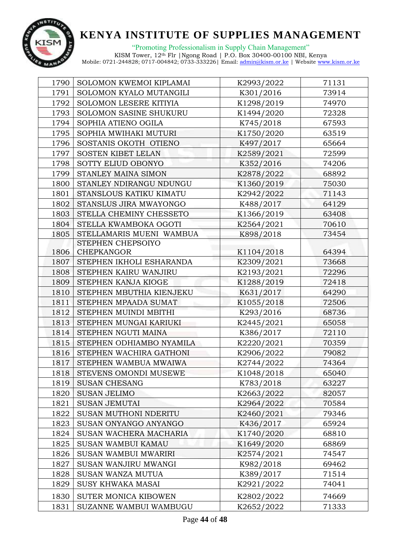

| 1790 | SOLOMON KWEMOI KIPLAMAI  | K2993/2022 | 71131 |  |
|------|--------------------------|------------|-------|--|
| 1791 | SOLOMON KYALO MUTANGILI  | K301/2016  | 73914 |  |
| 1792 | SOLOMON LESERE KITIYIA   | K1298/2019 | 74970 |  |
| 1793 | SOLOMON SASINE SHUKURU   | K1494/2020 | 72328 |  |
| 1794 | SOPHIA ATIENO OGILA      | K745/2018  | 67593 |  |
| 1795 | SOPHIA MWIHAKI MUTURI    | K1750/2020 | 63519 |  |
| 1796 | SOSTANIS OKOTH OTIENO    | K497/2017  | 65664 |  |
| 1797 | SOSTEN KIBET LELAN       | K2589/2021 | 72599 |  |
| 1798 | SOTTY ELIUD OBONYO       | K352/2016  | 74206 |  |
| 1799 | STANLEY MAINA SIMON      | K2878/2022 | 68892 |  |
| 1800 | STANLEY NDIRANGU NDUNGU  | K1360/2019 | 75030 |  |
| 1801 | STANSLOUS KATIKU KIMATU  | K2942/2022 | 71143 |  |
| 1802 | STANSLUS JIRA MWAYONGO   | K488/2017  | 64129 |  |
| 1803 | STELLA CHEMINY CHESSETO  | K1366/2019 | 63408 |  |
| 1804 | STELLA KWAMBOKA OGOTI    | K2564/2021 | 70610 |  |
| 1805 | STELLAMARIS MUENI WAMBUA | K898/2018  | 73454 |  |
|      | STEPHEN CHEPSOIYO        |            |       |  |
| 1806 | CHEPKANGOR               | K1104/2018 | 64394 |  |
| 1807 | STEPHEN IKHOLI ESHARANDA | K2309/2021 | 73668 |  |
| 1808 | STEPHEN KAIRU WANJIRU    | K2193/2021 | 72296 |  |
| 1809 | STEPHEN KANJA KIOGE      | K1288/2019 | 72418 |  |
| 1810 | STEPHEN MBUTHIA KIENJEKU | K631/2017  | 64290 |  |
| 1811 | STEPHEN MPAADA SUMAT     | K1055/2018 | 72506 |  |
| 1812 | STEPHEN MUINDI MBITHI    | K293/2016  | 68736 |  |
| 1813 | STEPHEN MUNGAI KARIUKI   | K2445/2021 | 65058 |  |
| 1814 | STEPHEN NGUTI MAINA      | K386/2017  | 72110 |  |
| 1815 | STEPHEN ODHIAMBO NYAMILA | K2220/2021 | 70359 |  |
| 1816 | STEPHEN WACHIRA GATHONI  | K2906/2022 | 79082 |  |
| 1817 | STEPHEN WAMBUA MWAIWA    | K2744/2022 | 74364 |  |
| 1818 | STEVENS OMONDI MUSEWE    | K1048/2018 | 65040 |  |
| 1819 | <b>SUSAN CHESANG</b>     | K783/2018  | 63227 |  |
| 1820 | <b>SUSAN JELIMO</b>      | K2663/2022 | 82057 |  |
| 1821 | <b>SUSAN JEMUTAI</b>     | K2964/2022 | 70584 |  |
| 1822 | SUSAN MUTHONI NDERITU    | K2460/2021 | 79346 |  |
| 1823 | SUSAN ONYANGO ANYANGO    | K436/2017  | 65924 |  |
| 1824 | SUSAN WACHERA MACHARIA   | K1740/2020 | 68810 |  |
| 1825 | SUSAN WAMBUI KAMAU       | K1649/2020 | 68869 |  |
| 1826 | SUSAN WAMBUI MWARIRI     | K2574/2021 | 74547 |  |
| 1827 | SUSAN WANJIRU MWANGI     | K982/2018  | 69462 |  |
| 1828 | SUSAN WANZA MUTUA        | K389/2017  | 71514 |  |
| 1829 | <b>SUSY KHWAKA MASAI</b> | K2921/2022 | 74041 |  |
| 1830 | SUTER MONICA KIBOWEN     | K2802/2022 | 74669 |  |
| 1831 | SUZANNE WAMBUI WAMBUGU   | K2652/2022 | 71333 |  |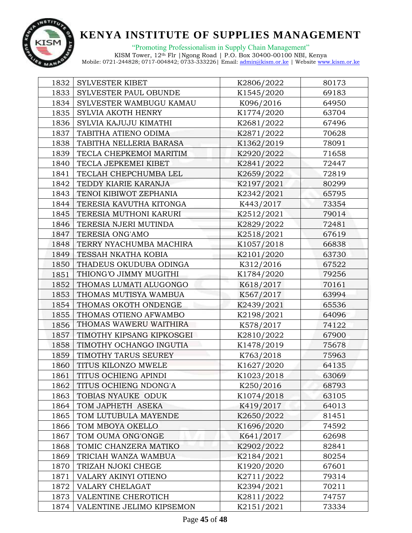

"Promoting Professionalism in Supply Chain Management"

| 1832 | SYLVESTER KIBET           | K2806/2022 | 80173 |
|------|---------------------------|------------|-------|
| 1833 | SYLVESTER PAUL OBUNDE     | K1545/2020 | 69183 |
| 1834 | SYLVESTER WAMBUGU KAMAU   | K096/2016  | 64950 |
| 1835 | SYLVIA AKOTH HENRY        | K1774/2020 | 63704 |
| 1836 | SYLVIA KAJUJU KIMATHI     | K2681/2022 | 67496 |
| 1837 | TABITHA ATIENO ODIMA      | K2871/2022 | 70628 |
| 1838 | TABITHA NELLERIA BARASA   | K1362/2019 | 78091 |
| 1839 | TECLA CHEPKEMOI MARITIM   | K2920/2022 | 71658 |
| 1840 | TECLA JEPKEMEI KIBET      | K2841/2022 | 72447 |
| 1841 | TECLAH CHEPCHUMBA LEL     | K2659/2022 | 72819 |
| 1842 | TEDDY KIARIE KARANJA      | K2197/2021 | 80299 |
| 1843 | TENOI KIBIWOT ZEPHANIA    | K2342/2021 | 65795 |
| 1844 | TERESIA KAVUTHA KITONGA   | K443/2017  | 73354 |
| 1845 | TERESIA MUTHONI KARURI    | K2512/2021 | 79014 |
| 1846 | TERESIA NJERI MUTINDA     | K2829/2022 | 72481 |
| 1847 | TERESIA ONG'AMO           | K2518/2021 | 67619 |
| 1848 | TERRY NYACHUMBA MACHIRA   | K1057/2018 | 66838 |
| 1849 | TESSAH NKATHA KOBIA       | K2101/2020 | 63730 |
| 1850 | THADEUS OKUDUBA ODINGA    | K312/2016  | 67522 |
| 1851 | THIONG'O JIMMY MUGITHI    | K1784/2020 | 79256 |
| 1852 | THOMAS LUMATI ALUGONGO    | K618/2017  | 70161 |
| 1853 | THOMAS MUTISYA WAMBUA     | K567/2017  | 63994 |
| 1854 | THOMAS OKOTH ONDENGE      | K2439/2021 | 65536 |
| 1855 | THOMAS OTIENO AFWAMBO     | K2198/2021 | 64096 |
| 1856 | THOMAS WAWERU WAITHIRA    | K578/2017  | 74122 |
| 1857 | TIMOTHY KIPSANG KIPKOSGEI | K2810/2022 | 67900 |
| 1858 | TIMOTHY OCHANGO INGUTIA   | K1478/2019 | 75678 |
| 1859 | TIMOTHY TARUS SEUREY      | K763/2018  | 75963 |
| 1860 | TITUS KILONZO MWELE       | K1627/2020 | 64135 |
| 1861 | TITUS OCHIENG APINDI      | K1023/2018 | 63069 |
| 1862 | TITUS OCHIENG NDONG'A     | K250/2016  | 68793 |
| 1863 | TOBIAS NYAUKE ODUK        | K1074/2018 | 63105 |
| 1864 | TOM JAPHETH ASEKA         | K419/2017  | 64013 |
| 1865 | TOM LUTUBULA MAYENDE      | K2650/2022 | 81451 |
| 1866 | TOM MBOYA OKELLO          | K1696/2020 | 74592 |
| 1867 | TOM OUMA ONG'ONGE         | K641/2017  | 62698 |
| 1868 | TOMIC CHANZERA MATIKO     | K2902/2022 | 82841 |
| 1869 | TRICIAH WANZA WAMBUA      | K2184/2021 | 80254 |
| 1870 | TRIZAH NJOKI CHEGE        | K1920/2020 | 67601 |
| 1871 | VALARY AKINYI OTIENO      | K2711/2022 | 79314 |
| 1872 | VALARY CHELAGAT           | K2394/2021 | 70211 |
| 1873 | VALENTINE CHEROTICH       | K2811/2022 | 74757 |
| 1874 | VALENTINE JELIMO KIPSEMON | K2151/2021 | 73334 |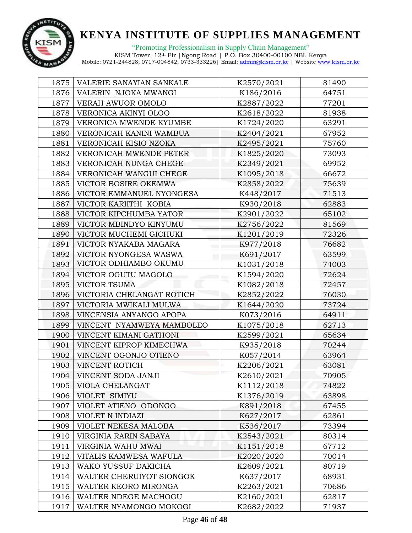

| 1875 | VALERIE SANAYIAN SANKALE  | K2570/2021 | 81490 |  |
|------|---------------------------|------------|-------|--|
| 1876 | VALERIN NJOKA MWANGI      | K186/2016  | 64751 |  |
| 1877 | VERAH AWUOR OMOLO         | K2887/2022 | 77201 |  |
| 1878 | VERONICA AKINYI OLOO      | K2618/2022 | 81938 |  |
| 1879 | VERONICA MWENDE KYUMBE    | K1724/2020 | 63291 |  |
| 1880 | VERONICAH KANINI WAMBUA   | K2404/2021 | 67952 |  |
| 1881 | VERONICAH KISIO NZOKA     | K2495/2021 | 75760 |  |
| 1882 | VERONICAH MWENDE PETER    | K1825/2020 | 73093 |  |
| 1883 | VERONICAH NUNGA CHEGE     | K2349/2021 | 69952 |  |
| 1884 | VERONICAH WANGUI CHEGE    | K1095/2018 | 66672 |  |
| 1885 | VICTOR BOSIRE OKEMWA      | K2858/2022 | 75639 |  |
| 1886 | VICTOR EMMANUEL NYONGESA  | K448/2017  | 71513 |  |
| 1887 | VICTOR KARIITHI KOBIA     | K930/2018  | 62883 |  |
| 1888 | VICTOR KIPCHUMBA YATOR    | K2901/2022 | 65102 |  |
| 1889 | VICTOR MBINDYO KINYUMU    | K2756/2022 | 81569 |  |
| 1890 | VICTOR MUCHEMI GICHUKI    | K1201/2019 | 72326 |  |
| 1891 | VICTOR NYAKABA MAGARA     | K977/2018  | 76682 |  |
| 1892 | VICTOR NYONGESA WASWA     | K691/2017  | 63599 |  |
| 1893 | VICTOR ODHIAMBO OKUMU     | K1031/2018 | 74003 |  |
| 1894 | VICTOR OGUTU MAGOLO       | K1594/2020 | 72624 |  |
| 1895 | <b>VICTOR TSUMA</b>       | K1082/2018 | 72457 |  |
| 1896 | VICTORIA CHELANGAT ROTICH | K2852/2022 | 76030 |  |
| 1897 | VICTORIA MWIKALI MULWA    | K1644/2020 | 73724 |  |
| 1898 | VINCENSIA ANYANGO APOPA   | K073/2016  | 64911 |  |
| 1899 | VINCENT NYAMWEYA MAMBOLEO | K1075/2018 | 62713 |  |
| 1900 | VINCENT KIMANI GATHONI    | K2599/2021 | 65634 |  |
| 1901 | VINCENT KIPROP KIMECHWA   | K935/2018  | 70244 |  |
| 1902 | VINCENT OGONJO OTIENO     | K057/2014  | 63964 |  |
| 1903 | VINCENT ROTICH            | K2206/2021 | 63081 |  |
| 1904 | VINCENT SODA JANJI        | K2610/2021 | 70905 |  |
| 1905 | VIOLA CHELANGAT           | K1112/2018 | 74822 |  |
| 1906 | VIOLET SIMIYU             | K1376/2019 | 63898 |  |
| 1907 | VIOLET ATIENO ODONGO      | K891/2018  | 67455 |  |
| 1908 | VIOLET N INDIAZI          | K627/2017  | 62861 |  |
| 1909 | VIOLET NEKESA MALOBA      | K536/2017  | 73394 |  |
| 1910 | VIRGINIA RARIN SABAYA     | K2543/2021 | 80314 |  |
| 1911 | VIRGINIA WAHU MWAI        | K1151/2018 | 67712 |  |
| 1912 | VITALIS KAMWESA WAFULA    | K2020/2020 | 70014 |  |
| 1913 | WAKO YUSSUF DAKICHA       | K2609/2021 | 80719 |  |
| 1914 | WALTER CHERUIYOT SIONGOK  | K637/2017  | 68931 |  |
| 1915 | WALTER KEORO MIRONGA      | K2263/2021 | 70686 |  |
| 1916 | WALTER NDEGE MACHOGU      | K2160/2021 | 62817 |  |
| 1917 | WALTER NYAMONGO MOKOGI    | K2682/2022 | 71937 |  |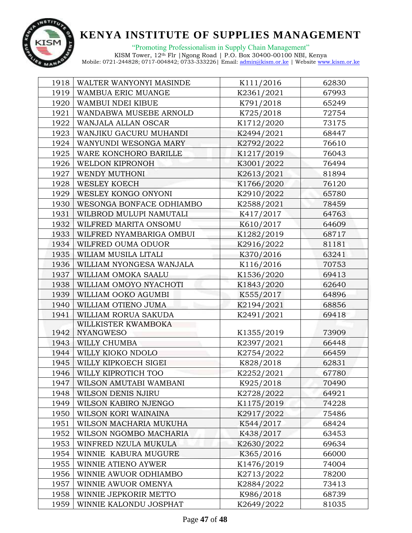

"Promoting Professionalism in Supply Chain Management" KISM Tower, 12th Flr |Ngong Road | P.O. Box 30400-00100 NBI, Kenya

| 1918 | WALTER WANYONYI MASINDE  | K111/2016  | 62830 |  |
|------|--------------------------|------------|-------|--|
| 1919 | WAMBUA ERIC MUANGE       | K2361/2021 | 67993 |  |
| 1920 | WAMBUI NDEI KIBUE        | K791/2018  | 65249 |  |
| 1921 | WANDABWA MUSEBE ARNOLD   | K725/2018  | 72754 |  |
| 1922 | WANJALA ALLAN OSCAR      | K1712/2020 | 73175 |  |
| 1923 | WANJIKU GACURU MUHANDI   | K2494/2021 | 68447 |  |
| 1924 | WANYUNDI WESONGA MARY    | K2792/2022 | 76610 |  |
| 1925 | WARE KONCHORO BARILLE    | K1217/2019 | 76043 |  |
| 1926 | WELDON KIPRONOH          | K3001/2022 | 76494 |  |
| 1927 | WENDY MUTHONI            | K2613/2021 | 81894 |  |
| 1928 | <b>WESLEY KOECH</b>      | K1766/2020 | 76120 |  |
| 1929 | WESLEY KONGO ONYONI      | K2910/2022 | 65780 |  |
| 1930 | WESONGA BONFACE ODHIAMBO | K2588/2021 | 78459 |  |
| 1931 | WILBROD MULUPI NAMUTALI  | K417/2017  | 64763 |  |
| 1932 | WILFRED MARITA ONSOMU    | K610/2017  | 64609 |  |
| 1933 | WILFRED NYAMBARIGA OMBUI | K1282/2019 | 68717 |  |
| 1934 | WILFRED OUMA ODUOR       | K2916/2022 | 81181 |  |
| 1935 | WILIAM MUSILA LITALI     | K370/2016  | 63241 |  |
| 1936 | WILLIAM NYONGESA WANJALA | K116/2016  | 70753 |  |
| 1937 | WILLIAM OMOKA SAALU      | K1536/2020 | 69413 |  |
| 1938 | WILLIAM OMOYO NYACHOTI   | K1843/2020 | 62640 |  |
| 1939 | WILLIAM OOKO AGUMBI      | K555/2017  | 64896 |  |
| 1940 | WILLIAM OTIENO JUMA      | K2194/2021 | 68856 |  |
| 1941 | WILLIAM RORUA SAKUDA     | K2491/2021 | 69418 |  |
|      | WILLKISTER KWAMBOKA      |            |       |  |
| 1942 | NYANGWESO                | K1355/2019 | 73909 |  |
| 1943 | WILLY CHUMBA             | K2397/2021 | 66448 |  |
| 1944 | WILLY KIOKO NDOLO        | K2754/2022 | 66459 |  |
| 1945 | WILLY KIPKOECH SIGEI     | K828/2018  | 62831 |  |
| 1946 | WILLY KIPROTICH TOO      | K2252/2021 | 67780 |  |
| 1947 | WILSON AMUTABI WAMBANI   | K925/2018  | 70490 |  |
| 1948 | WILSON DENIS NJIRU       | K2728/2022 | 64921 |  |
| 1949 | WILSON KABIRO NJENGO     | K1175/2019 | 74228 |  |
| 1950 | WILSON KORI WAINAINA     | K2917/2022 | 75486 |  |
| 1951 | WILSON MACHARIA MUKUHA   | K544/2017  | 68424 |  |
| 1952 | WILSON NGOMBO MACHARIA   | K438/2017  | 63453 |  |
| 1953 | WINFRED NZULA MUKULA     | K2630/2022 | 69634 |  |
| 1954 | WINNIE KABURA MUGURE     | K365/2016  | 66000 |  |
| 1955 | WINNIE ATIENO AYWER      | K1476/2019 | 74004 |  |
| 1956 | WINNIE AWUOR ODHIAMBO    | K2713/2022 | 78200 |  |
| 1957 | WINNIE AWUOR OMENYA      | K2884/2022 | 73413 |  |
| 1958 | WINNIE JEPKORIR METTO    | K986/2018  | 68739 |  |
| 1959 | WINNIE KALONDU JOSPHAT   | K2649/2022 | 81035 |  |